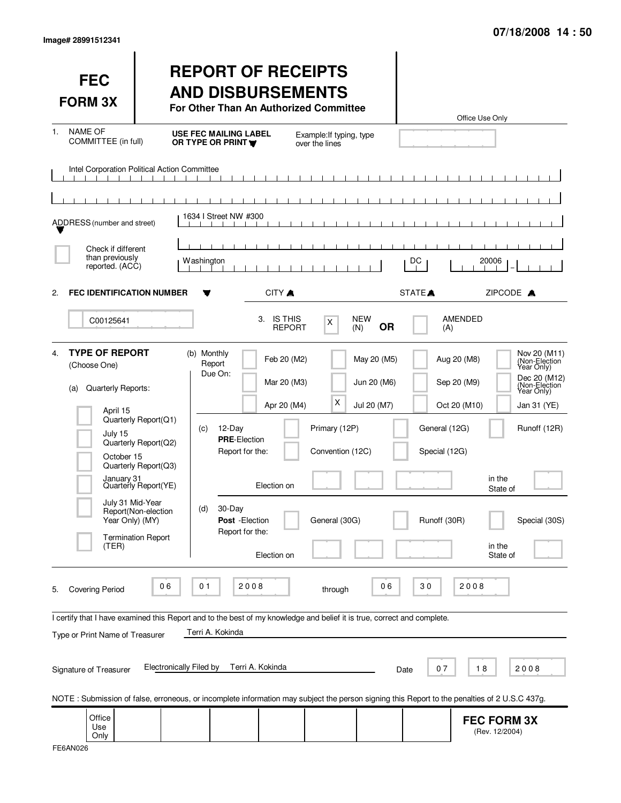| Image# 28991512341 |  |
|--------------------|--|
|                    |  |

| <b>FEC</b><br><b>FORM 3X</b>                                                                                                                               |                                                                                              |                                  | <b>REPORT OF RECEIPTS</b><br><b>AND DISBURSEMENTS</b><br>For Other Than An Authorized Committee |                            |                                                       |                   | Office Use Only                                |                                                                                            |
|------------------------------------------------------------------------------------------------------------------------------------------------------------|----------------------------------------------------------------------------------------------|----------------------------------|-------------------------------------------------------------------------------------------------|----------------------------|-------------------------------------------------------|-------------------|------------------------------------------------|--------------------------------------------------------------------------------------------|
| <b>NAME OF</b><br>1.<br>COMMITTEE (in full)                                                                                                                |                                                                                              | OR TYPE OR PRINT                 | <b>USE FEC MAILING LABEL</b>                                                                    | over the lines             | Example: If typing, type                              |                   |                                                |                                                                                            |
| Intel Corporation Political Action Committee                                                                                                               |                                                                                              |                                  |                                                                                                 |                            |                                                       |                   |                                                |                                                                                            |
| ADDRESS (number and street)                                                                                                                                |                                                                                              | 1634   Street NW #300            |                                                                                                 |                            |                                                       |                   |                                                |                                                                                            |
| Check if different<br>than previously<br>reported. (ACC)                                                                                                   |                                                                                              | <b>Washington</b>                |                                                                                                 |                            |                                                       | DC                |                                                | 20006                                                                                      |
| <b>FEC IDENTIFICATION NUMBER</b><br>2.                                                                                                                     |                                                                                              |                                  | CITY A                                                                                          |                            |                                                       | STATE <sup></sup> |                                                | ZIPCODE A                                                                                  |
| C00125641                                                                                                                                                  |                                                                                              |                                  | 3. IS THIS                                                                                      | <b>REPORT</b>              | <b>NEW</b><br>X<br>(N)                                | <b>OR</b>         | <b>AMENDED</b><br>(A)                          |                                                                                            |
| <b>TYPE OF REPORT</b><br>4 <sup>1</sup><br>(Choose One)<br>Quarterly Reports:<br>(a)                                                                       |                                                                                              | (b) Monthly<br>Report<br>Due On: |                                                                                                 | Feb 20 (M2)<br>Mar 20 (M3) | May 20 (M5)<br>Jun 20 (M6)                            |                   | Aug 20 (M8)<br>Sep 20 (M9)                     | Nov 20 (M11)<br>(Non-Election<br>Year Only)<br>Dec 20 (M12)<br>(Non-Election<br>Year Only) |
| April 15<br>July 15<br>October 15<br>January 31                                                                                                            | Quarterly Report(Q1)<br>Quarterly Report(Q2)<br>Quarterly Report(Q3)<br>Quarterly Report(YE) | (c)                              | 12-Day<br><b>PRE-Election</b><br>Report for the:<br>Election on                                 | Apr 20 (M4)                | X<br>Jul 20 (M7)<br>Primary (12P)<br>Convention (12C) |                   | Oct 20 (M10)<br>General (12G)<br>Special (12G) | Jan 31 (YE)<br>Runoff (12R)<br>in the<br>State of                                          |
| July 31 Mid-Year<br>Year Only) (MY)<br>(TER)                                                                                                               | Report(Non-election<br><b>Termination Report</b>                                             | (d)                              | 30-Day<br>Post - Election<br>Report for the:<br>Election on                                     |                            | General (30G)                                         |                   | Runoff (30R)                                   | Special (30S)<br>in the<br>State of                                                        |
| <b>Covering Period</b><br>5.                                                                                                                               | 06                                                                                           | 01                               | 2008                                                                                            |                            | through                                               | 30<br>06          | 2008                                           |                                                                                            |
| I certify that I have examined this Report and to the best of my knowledge and belief it is true, correct and complete.<br>Type or Print Name of Treasurer | <b>Electronically Filed by</b>                                                               | Terri A. Kokinda                 | Terri A. Kokinda                                                                                |                            |                                                       |                   |                                                |                                                                                            |
| Signature of Treasurer                                                                                                                                     |                                                                                              |                                  |                                                                                                 |                            |                                                       | Date              | 18<br>07                                       | 2008                                                                                       |
| NOTE: Submission of false, erroneous, or incomplete information may subject the person signing this Report to the penalties of 2 U.S.C 437g.               |                                                                                              |                                  |                                                                                                 |                            |                                                       |                   |                                                |                                                                                            |
| Office<br>Use<br>Only                                                                                                                                      |                                                                                              |                                  |                                                                                                 |                            |                                                       |                   |                                                | <b>FEC FORM 3X</b><br>(Rev. 12/2004)                                                       |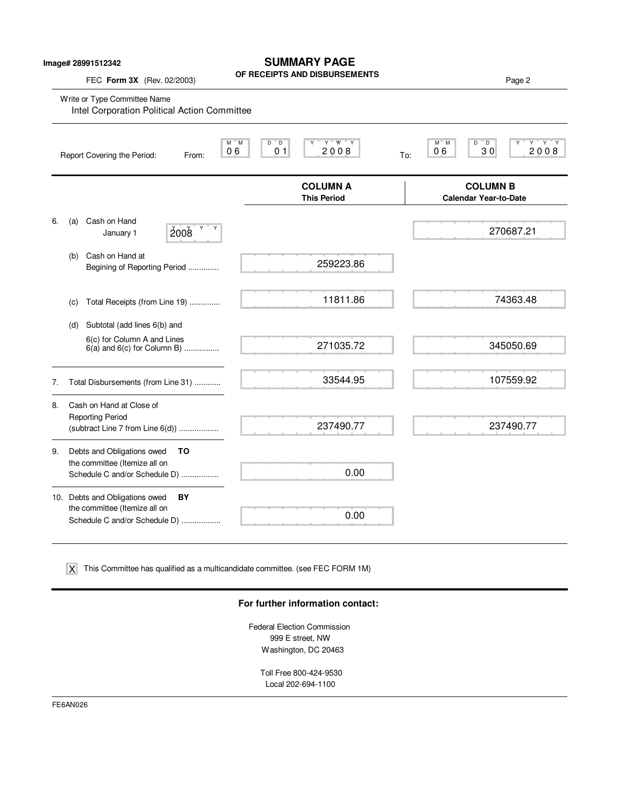## **SUMMARY PAGE**

**OF RECEIPTS AND DISBURSEMENTS**

FEC **Form 3X** (Rev. 02/2003) **Page 2 Properties AND DISBUNSEMENTS** 

|    |     | Write or Type Committee Name<br>Intel Corporation Political Action Committee                     |       |               |                                          |                                       |                      |                                                 |                     |
|----|-----|--------------------------------------------------------------------------------------------------|-------|---------------|------------------------------------------|---------------------------------------|----------------------|-------------------------------------------------|---------------------|
|    |     | Report Covering the Period:                                                                      | From: | $M$ $M$<br>06 | $D^{\prime\prime}$ $D$<br>0 <sub>1</sub> | $Y$ $W$ $Y$<br>2008                   | $M^*$ M<br>06<br>To: | $D^{\prime\prime}$ $D$<br>30                    | $Y$ $Y$ $Y$<br>2008 |
|    |     |                                                                                                  |       |               |                                          | <b>COLUMN A</b><br><b>This Period</b> |                      | <b>COLUMN B</b><br><b>Calendar Year-to-Date</b> |                     |
| 6. | (a) | Cash on Hand<br>January 1                                                                        | 2008  |               |                                          |                                       |                      |                                                 | 270687.21           |
|    | (b) | Cash on Hand at<br>Begining of Reporting Period                                                  |       |               |                                          | 259223.86                             |                      |                                                 |                     |
|    | (c) | Total Receipts (from Line 19)                                                                    |       |               |                                          | 11811.86                              |                      |                                                 | 74363.48            |
|    | (d) | Subtotal (add lines 6(b) and                                                                     |       |               |                                          |                                       |                      |                                                 |                     |
|    |     | 6(c) for Column A and Lines<br>$6(a)$ and $6(c)$ for Column B)                                   |       |               |                                          | 271035.72                             |                      |                                                 | 345050.69           |
| 7. |     | Total Disbursements (from Line 31)                                                               |       |               |                                          | 33544.95                              |                      |                                                 | 107559.92           |
| 8. |     | Cash on Hand at Close of<br><b>Reporting Period</b><br>(subtract Line 7 from Line 6(d))          |       |               |                                          | 237490.77                             |                      |                                                 | 237490.77           |
| 9. |     | Debts and Obligations owed<br>the committee (Itemize all on<br>Schedule C and/or Schedule D)     | TO    |               |                                          | 0.00                                  |                      |                                                 |                     |
|    |     | 10. Debts and Obligations owed<br>the committee (Itemize all on<br>Schedule C and/or Schedule D) | BY    |               |                                          | 0.00                                  |                      |                                                 |                     |

This Committee has qualified as a multicandidate committee. (see FEC FORM 1M) X

### **For further information contact:**

Federal Election Commission 999 E street, NW Washington, DC 20463

> Toll Free 800-424-9530 Local 202-694-1100

FE6AN026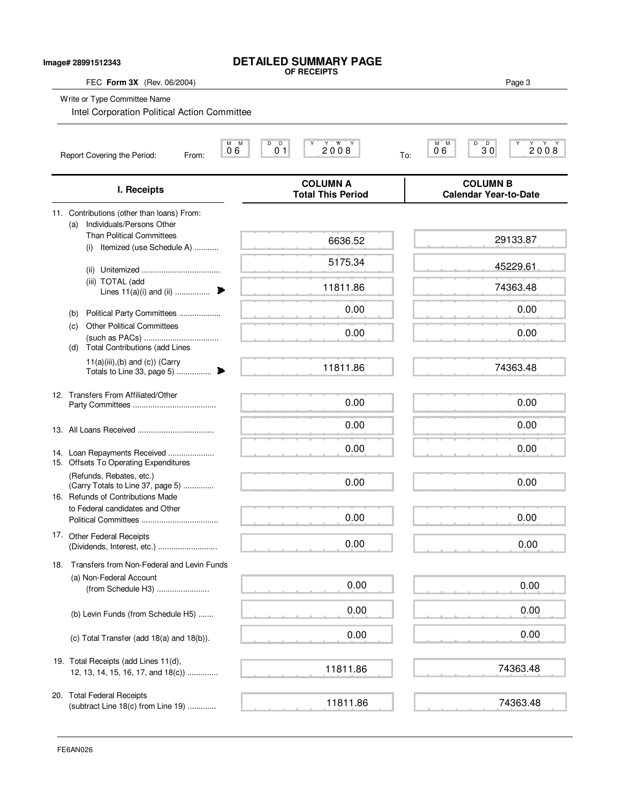| FEC Form 3X (Rev. 06/2004)                                                                         | OF RECEIPTS                                 | Page 3                                          |
|----------------------------------------------------------------------------------------------------|---------------------------------------------|-------------------------------------------------|
| Write or Type Committee Name<br>Intel Corporation Political Action Committee                       |                                             |                                                 |
| $M$ $M$<br>06<br>Report Covering the Period:<br>From:                                              | D<br>$0^{\circ}1$<br>2008                   | $0.6^\circ$<br>D<br>2008<br>$30^{\circ}$<br>To: |
| I. Receipts                                                                                        | <b>COLUMN A</b><br><b>Total This Period</b> | <b>COLUMN B</b><br><b>Calendar Year-to-Date</b> |
| 11. Contributions (other than loans) From:                                                         |                                             |                                                 |
| Individuals/Persons Other<br>(a)<br><b>Than Political Committees</b><br>Itemized (use Schedule A)  | 6636.52                                     | 29133.87                                        |
| (i)                                                                                                | 5175.34                                     | 45229.61                                        |
| (iii) TOTAL (add<br>Lines 11(a)(i) and (ii)                                                        | 11811.86                                    | 74363.48                                        |
| Political Party Committees<br>(b)                                                                  | 0.00                                        | 0.00                                            |
| <b>Other Political Committees</b><br>(c)<br><b>Total Contributions (add Lines</b><br>(d)           | 0.00                                        | 0.00                                            |
| $11(a)(iii),(b)$ and $(c)$ ) (Carry                                                                | 11811.86                                    | 74363.48                                        |
| 12. Transfers From Affiliated/Other                                                                | 0.00                                        | 0.00                                            |
|                                                                                                    | 0.00                                        | 0.00                                            |
| 14. Loan Repayments Received                                                                       | 0.00                                        | 0.00                                            |
| 15. Offsets To Operating Expenditures                                                              |                                             |                                                 |
| (Refunds, Rebates, etc.)<br>(Carry Totals to Line 37, page 5)<br>16. Refunds of Contributions Made | 0.00                                        | 0.00                                            |
| to Federal candidates and Other                                                                    | 0.00                                        | 0.00                                            |
| 17. Other Federal Receipts                                                                         | 0.00                                        | 0.00                                            |
| 18. Transfers from Non-Federal and Levin Funds                                                     |                                             |                                                 |
| (a) Non-Federal Account<br>(from Schedule H3)                                                      | 0.00                                        | 0.00                                            |
| (b) Levin Funds (from Schedule H5)                                                                 | 0.00                                        | 0.00                                            |
| (c) Total Transfer (add 18(a) and 18(b)).                                                          | 0.00                                        | 0.00                                            |
| 19. Total Receipts (add Lines 11(d),<br>12, 13, 14, 15, 16, 17, and 18(c))                         | 11811.86                                    | 74363.48                                        |
| 20. Total Federal Receipts<br>(subtract Line 18(c) from Line 19)                                   | 11811.86                                    | 74363.48                                        |

**DETAILED SUMMARY PAGE**

**Image# 28991512343**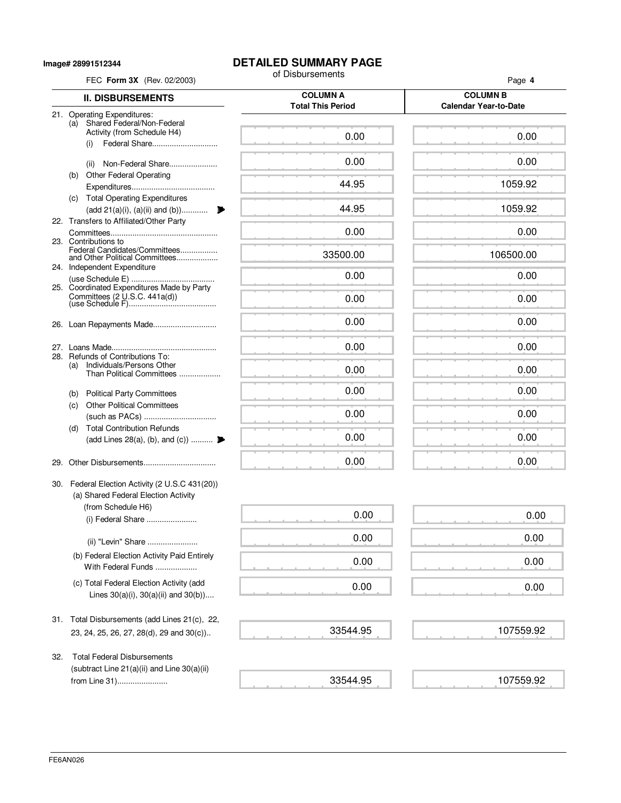**Image# 28991512344**

# **DETAILED SUMMARY PAGE**<br>of Disbursements

| FEC Form 3X (Rev. 02/2003)                                                                        | of Disbursements                            | Page 4                                          |
|---------------------------------------------------------------------------------------------------|---------------------------------------------|-------------------------------------------------|
| <b>II. DISBURSEMENTS</b>                                                                          | <b>COLUMN A</b><br><b>Total This Period</b> | <b>COLUMN B</b><br><b>Calendar Year-to-Date</b> |
| 21. Operating Expenditures:<br>(a) Shared Federal/Non-Federal                                     |                                             |                                                 |
| Activity (from Schedule H4)<br>Federal Share<br>(i)                                               | 0.00                                        | 0.00                                            |
| Non-Federal Share<br>(ii)                                                                         | 0.00                                        | 0.00                                            |
| <b>Other Federal Operating</b><br>(b)                                                             | 44.95                                       | 1059.92                                         |
| (c) Total Operating Expenditures<br>(add 21(a)(i), (a)(ii) and (b))                               | 44.95                                       | 1059.92                                         |
| 22. Transfers to Affiliated/Other Party                                                           | 0.00                                        | 0.00                                            |
| 23. Contributions to<br>Federal Candidates/Committees<br>and Other Political Committees           | 33500.00                                    | 106500.00                                       |
| 24. Independent Expenditure                                                                       | 0.00                                        | 0.00                                            |
| 25. Coordinated Expenditures Made by Party<br>Committees $(2 \text{ U.S.C. } 441a(d))$            | 0.00                                        | 0.00                                            |
| 26. Loan Repayments Made                                                                          | 0.00                                        | 0.00                                            |
|                                                                                                   | 0.00                                        | 0.00                                            |
| 28. Refunds of Contributions To:<br>Individuals/Persons Other<br>(a)<br>Than Political Committees | 0.00                                        | 0.00                                            |
| (b) Political Party Committees                                                                    | 0.00                                        | 0.00                                            |
| <b>Other Political Committees</b><br>(c)                                                          | 0.00                                        | 0.00                                            |
| <b>Total Contribution Refunds</b><br>(d)<br>(add Lines 28(a), (b), and (c))                       | 0.00                                        | 0.00                                            |
| 29.                                                                                               | 0.00                                        | 0.00                                            |
| 30. Federal Election Activity (2 U.S.C 431(20))<br>(a) Shared Federal Election Activity           |                                             |                                                 |
| (from Schedule H6)<br>(i) Federal Share                                                           | 0.00                                        | 0.00                                            |
| (ii) "Levin" Share                                                                                | 0.00                                        | 0.00                                            |
| (b) Federal Election Activity Paid Entirely<br>With Federal Funds                                 | 0.00                                        | 0.00                                            |
| (c) Total Federal Election Activity (add<br>Lines $30(a)(i)$ , $30(a)(ii)$ and $30(b)$ )          | 0.00                                        | 0.00                                            |
| 31. Total Disbursements (add Lines 21(c), 22,<br>23, 24, 25, 26, 27, 28(d), 29 and 30(c))         | 33544.95                                    | 107559.92                                       |
| <b>Total Federal Disbursements</b><br>32.<br>(subtract Line 21(a)(ii) and Line 30(a)(ii)          |                                             |                                                 |

107559.92

 $\mathcal{L}$  . The set of  $\mathcal{L}$ 

33544.95

from Line 31).......................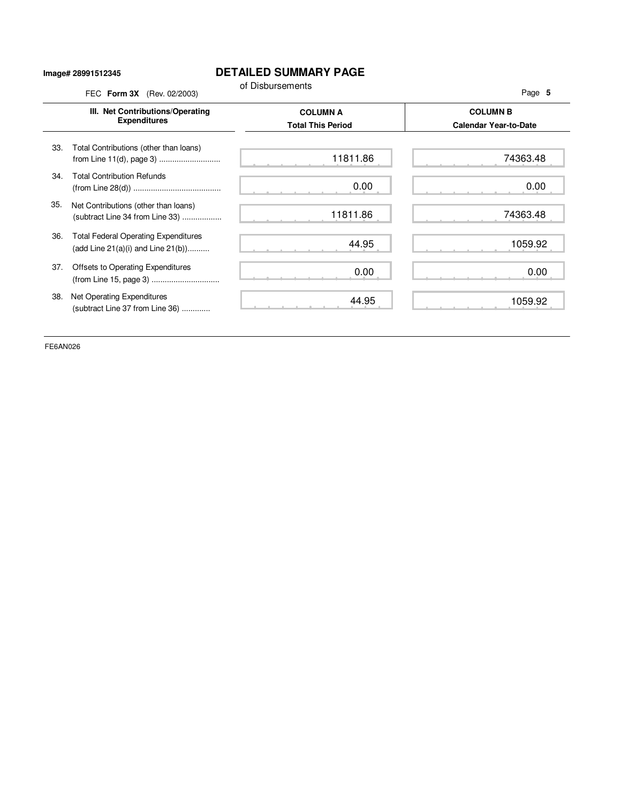#### **Image# 28991512345**

## **DETAILED SUMMARY PAGE**

|     | III. Net Contributions/Operating<br><b>Expenditures</b>                                | <b>COLUMN A</b><br><b>Total This Period</b> | <b>COLUMN B</b><br><b>Calendar Year-to-Date</b> |
|-----|----------------------------------------------------------------------------------------|---------------------------------------------|-------------------------------------------------|
| 33. | Total Contributions (other than loans)<br>from Line 11(d), page 3)                     | 11811.86                                    | 74363.48                                        |
| 34. | <b>Total Contribution Refunds</b>                                                      | 0.00                                        | 0.00                                            |
| 35. | Net Contributions (other than loans)<br>(subtract Line 34 from Line 33)                | 11811.86                                    | 74363.48                                        |
| 36. | <b>Total Federal Operating Expenditures</b><br>(add Line $21(a)(i)$ and Line $21(b)$ ) | 44.95                                       | 1059.92                                         |
| 37. | Offsets to Operating Expenditures                                                      | 0.00                                        | 0.00                                            |
| 38. | Net Operating Expenditures<br>(subtract Line 37 from Line 36)                          | 44.95                                       | 1059.92                                         |

FE6AN026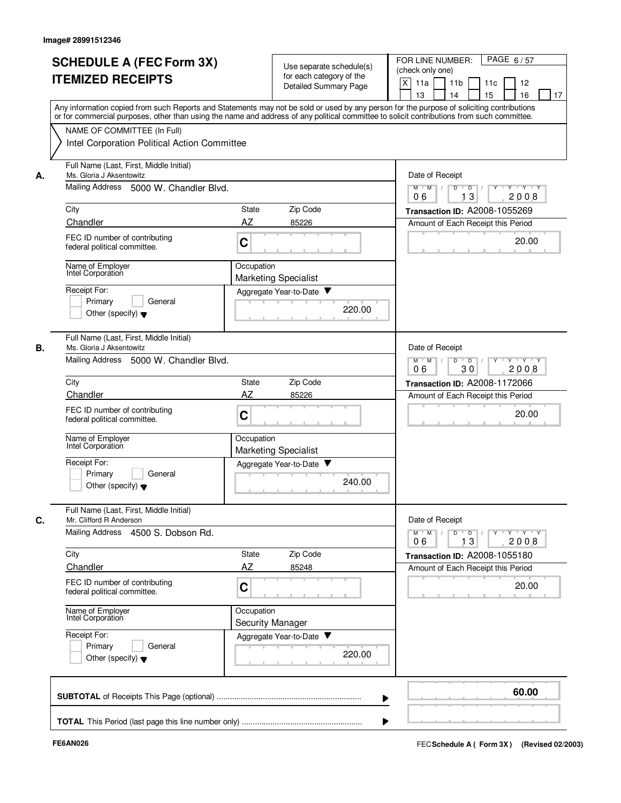| <b>SCHEDULE A (FEC Form 3X)</b><br><b>ITEMIZED RECEIPTS</b>               | Use separate schedule(s)<br>for each category of the<br><b>Detailed Summary Page</b>                                                                                                                                                                                                    | FOR LINE NUMBER:<br>PAGE 6/57<br>(check only one)<br>X<br>11 <sub>b</sub><br>11a<br>11c<br>12<br>15<br>16<br>13<br>14<br>17 |
|---------------------------------------------------------------------------|-----------------------------------------------------------------------------------------------------------------------------------------------------------------------------------------------------------------------------------------------------------------------------------------|-----------------------------------------------------------------------------------------------------------------------------|
| NAME OF COMMITTEE (In Full)                                               | Any information copied from such Reports and Statements may not be sold or used by any person for the purpose of soliciting contributions<br>or for commercial purposes, other than using the name and address of any political committee to solicit contributions from such committee. |                                                                                                                             |
| Intel Corporation Political Action Committee                              |                                                                                                                                                                                                                                                                                         |                                                                                                                             |
| Full Name (Last, First, Middle Initial)<br>Ms. Gloria J Aksentowitz<br>А. |                                                                                                                                                                                                                                                                                         | Date of Receipt                                                                                                             |
| Mailing Address 5000 W. Chandler Blvd.                                    |                                                                                                                                                                                                                                                                                         | Y Y Y Y<br>$M$ $M$ $/$<br>$\overline{D}$<br>$\overline{D}$ /<br>Y<br>13<br>06<br>2008                                       |
| City                                                                      | Zip Code<br>State                                                                                                                                                                                                                                                                       | Transaction ID: A2008-1055269                                                                                               |
| Chandler                                                                  | AZ<br>85226                                                                                                                                                                                                                                                                             | Amount of Each Receipt this Period                                                                                          |
| FEC ID number of contributing<br>federal political committee.             | C                                                                                                                                                                                                                                                                                       | 20.00                                                                                                                       |
| Name of Employer<br>Intel Corporation                                     | Occupation<br><b>Marketing Specialist</b>                                                                                                                                                                                                                                               |                                                                                                                             |
| Receipt For:                                                              | Aggregate Year-to-Date                                                                                                                                                                                                                                                                  |                                                                                                                             |
| Primary<br>General<br>Other (specify) $\blacktriangledown$                | 220.00                                                                                                                                                                                                                                                                                  |                                                                                                                             |
| Full Name (Last, First, Middle Initial)<br>В.<br>Ms. Gloria J Aksentowitz |                                                                                                                                                                                                                                                                                         | Date of Receipt                                                                                                             |
| Mailing Address 5000 W. Chandler Blvd.                                    |                                                                                                                                                                                                                                                                                         | $Y - Y - Y$<br>$M$ M<br>D<br>$\overline{D}$<br>30<br>2008<br>06                                                             |
| City                                                                      | Zip Code<br>State                                                                                                                                                                                                                                                                       | Transaction ID: A2008-1172066                                                                                               |
| Chandler                                                                  | AZ<br>85226                                                                                                                                                                                                                                                                             | Amount of Each Receipt this Period                                                                                          |
| FEC ID number of contributing<br>federal political committee.             | C                                                                                                                                                                                                                                                                                       | 20.00                                                                                                                       |
| Name of Employer<br>Intel Corporation                                     | Occupation<br><b>Marketing Specialist</b>                                                                                                                                                                                                                                               |                                                                                                                             |
| Receipt For:                                                              | Aggregate Year-to-Date<br>v                                                                                                                                                                                                                                                             |                                                                                                                             |
| Primary<br>General<br>Other (specify) $\blacktriangledown$                | 240.00                                                                                                                                                                                                                                                                                  |                                                                                                                             |
| Full Name (Last, First, Middle Initial)<br>C.<br>Mr. Clifford R Anderson  |                                                                                                                                                                                                                                                                                         | Date of Receipt                                                                                                             |
| Mailing Address 4500 S. Dobson Rd.                                        |                                                                                                                                                                                                                                                                                         | $Y$ $Y$ $Y$<br>$M$ M<br>D<br>$\overline{D}$<br>13<br>2008<br>06                                                             |
| City                                                                      | Zip Code<br>State                                                                                                                                                                                                                                                                       | Transaction ID: A2008-1055180                                                                                               |
| Chandler                                                                  | AZ<br>85248                                                                                                                                                                                                                                                                             | Amount of Each Receipt this Period                                                                                          |
| FEC ID number of contributing<br>federal political committee.             | C                                                                                                                                                                                                                                                                                       | 20.00                                                                                                                       |
| Name of Employer<br>Intel Corporation                                     | Occupation<br>Security Manager                                                                                                                                                                                                                                                          |                                                                                                                             |
| Receipt For:                                                              | Aggregate Year-to-Date                                                                                                                                                                                                                                                                  |                                                                                                                             |
| Primary<br>General<br>Other (specify) $\blacktriangledown$                | 220.00                                                                                                                                                                                                                                                                                  |                                                                                                                             |
|                                                                           |                                                                                                                                                                                                                                                                                         | 60.00                                                                                                                       |
|                                                                           |                                                                                                                                                                                                                                                                                         |                                                                                                                             |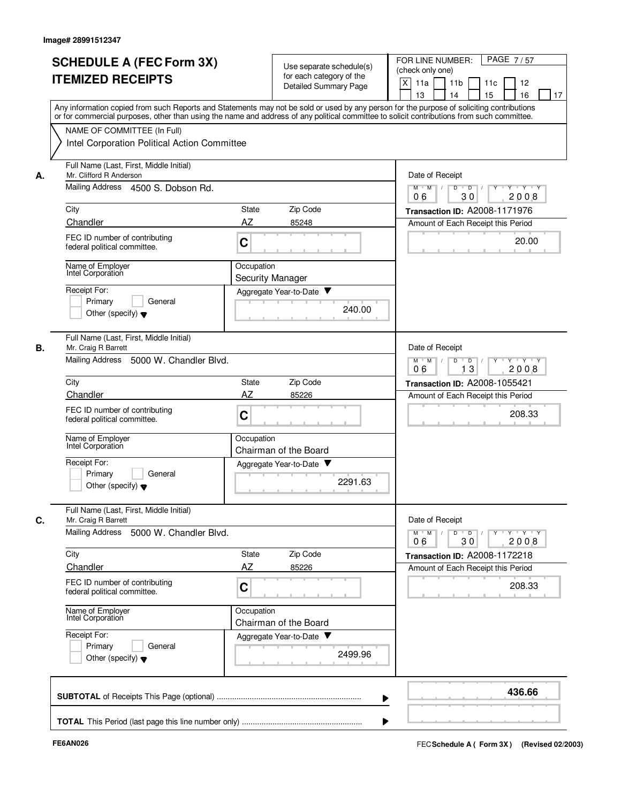| Any information copied from such Reports and Statements may not be sold or used by any person for the purpose of soliciting contributions<br>or for commercial purposes, other than using the name and address of any political committee to solicit contributions from such committee.<br>NAME OF COMMITTEE (In Full)<br>Intel Corporation Political Action Committee |                                                                                                          |
|------------------------------------------------------------------------------------------------------------------------------------------------------------------------------------------------------------------------------------------------------------------------------------------------------------------------------------------------------------------------|----------------------------------------------------------------------------------------------------------|
|                                                                                                                                                                                                                                                                                                                                                                        |                                                                                                          |
|                                                                                                                                                                                                                                                                                                                                                                        |                                                                                                          |
| Full Name (Last, First, Middle Initial)<br>Mr. Clifford R Anderson<br>А.                                                                                                                                                                                                                                                                                               | Date of Receipt                                                                                          |
| Mailing Address 4500 S. Dobson Rd.                                                                                                                                                                                                                                                                                                                                     | Y Y Y Y<br>$M$ $M$ /<br>D<br>$\overline{D}$ /<br>$Y$ <sup>-1</sup><br>30<br>06<br>2008                   |
| City<br>Zip Code<br>State                                                                                                                                                                                                                                                                                                                                              | Transaction ID: A2008-1171976                                                                            |
| Chandler<br>AZ<br>85248<br>FEC ID number of contributing                                                                                                                                                                                                                                                                                                               | Amount of Each Receipt this Period                                                                       |
| C<br>federal political committee.                                                                                                                                                                                                                                                                                                                                      | 20.00                                                                                                    |
| Name of Employer<br>Occupation<br>Intel Corporation<br><b>Security Manager</b>                                                                                                                                                                                                                                                                                         |                                                                                                          |
| Receipt For:<br>Aggregate Year-to-Date                                                                                                                                                                                                                                                                                                                                 |                                                                                                          |
| Primary<br>General<br>Other (specify) $\blacktriangledown$                                                                                                                                                                                                                                                                                                             | 240.00                                                                                                   |
| Full Name (Last, First, Middle Initial)<br>В.<br>Mr. Craig R Barrett                                                                                                                                                                                                                                                                                                   | Date of Receipt                                                                                          |
| Mailing Address<br>5000 W. Chandler Blvd.                                                                                                                                                                                                                                                                                                                              | $M^+$ M<br>D<br>$\overline{D}$<br>$Y \vdash Y \vdash Y$<br>$\sqrt{ }$<br>Y<br>$\top$<br>2008<br>06<br>13 |
| Zip Code<br>City<br>State                                                                                                                                                                                                                                                                                                                                              | Transaction ID: A2008-1055421                                                                            |
| Chandler<br>AZ<br>85226                                                                                                                                                                                                                                                                                                                                                | Amount of Each Receipt this Period                                                                       |
| FEC ID number of contributing<br>C<br>federal political committee.                                                                                                                                                                                                                                                                                                     | 208.33                                                                                                   |
| Name of Employer<br>Occupation<br>Intel Corporation<br>Chairman of the Board                                                                                                                                                                                                                                                                                           |                                                                                                          |
| Receipt For:<br>Aggregate Year-to-Date                                                                                                                                                                                                                                                                                                                                 |                                                                                                          |
| Primary<br>General<br>Other (specify) $\blacktriangledown$                                                                                                                                                                                                                                                                                                             | 2291.63                                                                                                  |
| Full Name (Last, First, Middle Initial)<br>Mr. Craig R Barrett<br>С.                                                                                                                                                                                                                                                                                                   | Date of Receipt                                                                                          |
| Mailing Address 5000 W. Chandler Blvd.                                                                                                                                                                                                                                                                                                                                 | $Y$ $Y$ $Y$<br>M<br>M<br>D<br>$\overline{D}$<br>30<br>2008<br>06                                         |
| Zip Code<br>City<br>State                                                                                                                                                                                                                                                                                                                                              | Transaction ID: A2008-1172218                                                                            |
| AZ<br>Chandler<br>85226                                                                                                                                                                                                                                                                                                                                                | Amount of Each Receipt this Period                                                                       |
| FEC ID number of contributing<br>C<br>federal political committee.                                                                                                                                                                                                                                                                                                     | 208.33                                                                                                   |
| Name of Employer<br>Occupation<br>Intel Corporation<br>Chairman of the Board                                                                                                                                                                                                                                                                                           |                                                                                                          |
| Receipt For:<br>Aggregate Year-to-Date                                                                                                                                                                                                                                                                                                                                 |                                                                                                          |
| Primary<br>General<br>Other (specify) $\blacktriangledown$                                                                                                                                                                                                                                                                                                             | 2499.96                                                                                                  |
|                                                                                                                                                                                                                                                                                                                                                                        | 436.66                                                                                                   |
|                                                                                                                                                                                                                                                                                                                                                                        |                                                                                                          |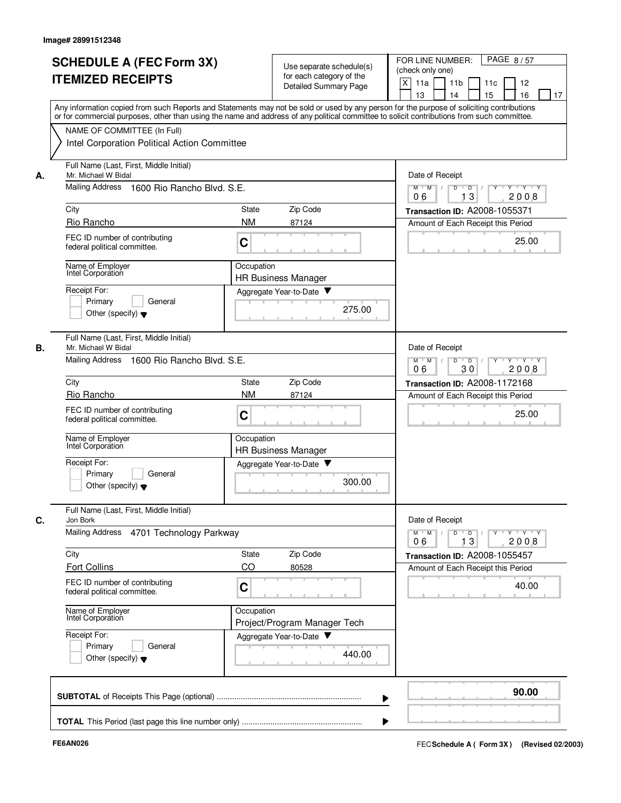|    |                                                                                                                                                                                                                                                                                         |              |                                                   | PAGE 8/57<br>FOR LINE NUMBER:                                                                                 |
|----|-----------------------------------------------------------------------------------------------------------------------------------------------------------------------------------------------------------------------------------------------------------------------------------------|--------------|---------------------------------------------------|---------------------------------------------------------------------------------------------------------------|
|    | <b>SCHEDULE A (FEC Form 3X)</b>                                                                                                                                                                                                                                                         |              | Use separate schedule(s)                          | (check only one)                                                                                              |
|    | <b>ITEMIZED RECEIPTS</b>                                                                                                                                                                                                                                                                |              | for each category of the<br>Detailed Summary Page | X<br>11a<br>11 <sub>b</sub><br>11c<br>12                                                                      |
|    |                                                                                                                                                                                                                                                                                         |              |                                                   | 15<br>13<br>14<br>16<br>17                                                                                    |
|    | Any information copied from such Reports and Statements may not be sold or used by any person for the purpose of soliciting contributions<br>or for commercial purposes, other than using the name and address of any political committee to solicit contributions from such committee. |              |                                                   |                                                                                                               |
|    | NAME OF COMMITTEE (In Full)                                                                                                                                                                                                                                                             |              |                                                   |                                                                                                               |
|    | Intel Corporation Political Action Committee                                                                                                                                                                                                                                            |              |                                                   |                                                                                                               |
| А. | Full Name (Last, First, Middle Initial)<br>Mr. Michael W Bidal                                                                                                                                                                                                                          |              |                                                   | Date of Receipt                                                                                               |
|    | Mailing Address<br>1600 Rio Rancho Blvd. S.E.                                                                                                                                                                                                                                           |              |                                                   | $M$ $M$ /<br>D<br>$\overline{D}$<br>$Y - Y - Y$<br>$\Box$<br>13<br>2008<br>06                                 |
|    | City                                                                                                                                                                                                                                                                                    | State        | Zip Code                                          | Transaction ID: A2008-1055371                                                                                 |
|    | Rio Rancho                                                                                                                                                                                                                                                                              | <b>NM</b>    | 87124                                             | Amount of Each Receipt this Period                                                                            |
|    | FEC ID number of contributing<br>federal political committee.                                                                                                                                                                                                                           | C            |                                                   | 25.00                                                                                                         |
|    | Name of Employer<br>Intel Corporation                                                                                                                                                                                                                                                   | Occupation   | <b>HR Business Manager</b>                        |                                                                                                               |
|    | Receipt For:                                                                                                                                                                                                                                                                            |              | Aggregate Year-to-Date                            |                                                                                                               |
|    | Primary<br>General                                                                                                                                                                                                                                                                      |              |                                                   |                                                                                                               |
|    | Other (specify) $\blacktriangledown$                                                                                                                                                                                                                                                    |              | 275.00                                            |                                                                                                               |
| В. | Full Name (Last, First, Middle Initial)<br>Mr. Michael W Bidal                                                                                                                                                                                                                          |              |                                                   | Date of Receipt                                                                                               |
|    | <b>Mailing Address</b><br>1600 Rio Rancho Blvd, S.E.                                                                                                                                                                                                                                    |              |                                                   | $Y$ $Y$ $Y$<br>$M$ M<br>D<br>$\overline{D}$<br>Y<br>30<br>2008<br>06                                          |
|    | City                                                                                                                                                                                                                                                                                    | <b>State</b> | Zip Code                                          | <b>Transaction ID: A2008-1172168</b>                                                                          |
|    | Rio Rancho                                                                                                                                                                                                                                                                              | <b>NM</b>    | 87124                                             | Amount of Each Receipt this Period                                                                            |
|    | FEC ID number of contributing<br>federal political committee.                                                                                                                                                                                                                           | C            |                                                   | 25.00                                                                                                         |
|    | Name of Employer<br>Intel Corporation                                                                                                                                                                                                                                                   | Occupation   | <b>HR Business Manager</b>                        |                                                                                                               |
|    | Receipt For:                                                                                                                                                                                                                                                                            |              | Aggregate Year-to-Date                            |                                                                                                               |
|    | Primary<br>General<br>Other (specify) $\blacktriangledown$                                                                                                                                                                                                                              |              | 300.00                                            |                                                                                                               |
|    | Full Name (Last, First, Middle Initial)<br>Jon Bork                                                                                                                                                                                                                                     |              |                                                   | Date of Receipt                                                                                               |
| C. | Mailing Address<br>4701 Technology Parkway                                                                                                                                                                                                                                              |              |                                                   | $\mathsf{Y} \dashv \mathsf{Y} \dashv \mathsf{Y}$<br>$M$ $M$ /<br>D<br>$\overline{D}$<br>Y<br>13<br>2008<br>06 |
|    | City                                                                                                                                                                                                                                                                                    | State        | Zip Code                                          | Transaction ID: A2008-1055457                                                                                 |
|    | <b>Fort Collins</b>                                                                                                                                                                                                                                                                     | CO           | 80528                                             | Amount of Each Receipt this Period                                                                            |
|    | FEC ID number of contributing<br>federal political committee.                                                                                                                                                                                                                           | C            |                                                   | 40.00                                                                                                         |
|    | Name of Employer<br>Intel Corporation                                                                                                                                                                                                                                                   | Occupation   | Project/Program Manager Tech                      |                                                                                                               |
|    | Receipt For:                                                                                                                                                                                                                                                                            |              | Aggregate Year-to-Date                            |                                                                                                               |
|    | Primary<br>General<br>Other (specify) $\blacktriangledown$                                                                                                                                                                                                                              |              | 440.00                                            |                                                                                                               |
|    |                                                                                                                                                                                                                                                                                         |              |                                                   |                                                                                                               |
|    |                                                                                                                                                                                                                                                                                         |              |                                                   | 90.00                                                                                                         |
|    |                                                                                                                                                                                                                                                                                         |              |                                                   |                                                                                                               |
|    |                                                                                                                                                                                                                                                                                         |              |                                                   |                                                                                                               |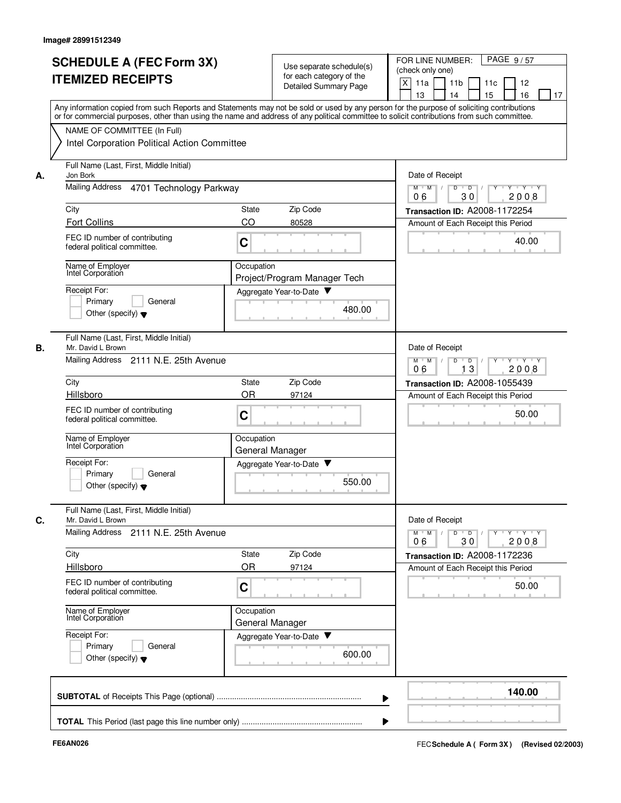|    | <b>SCHEDULE A (FEC Form 3X)</b>                                                                                                                                                                                                                                                         |            |                                                      | PAGE 9/57<br>FOR LINE NUMBER:                                                                                 |
|----|-----------------------------------------------------------------------------------------------------------------------------------------------------------------------------------------------------------------------------------------------------------------------------------------|------------|------------------------------------------------------|---------------------------------------------------------------------------------------------------------------|
|    | <b>ITEMIZED RECEIPTS</b>                                                                                                                                                                                                                                                                |            | Use separate schedule(s)<br>for each category of the | (check only one)                                                                                              |
|    |                                                                                                                                                                                                                                                                                         |            | Detailed Summary Page                                | X<br>11a<br>11 <sub>b</sub><br>11c<br>12<br>15<br>13<br>14<br>16<br>17                                        |
|    | Any information copied from such Reports and Statements may not be sold or used by any person for the purpose of soliciting contributions<br>or for commercial purposes, other than using the name and address of any political committee to solicit contributions from such committee. |            |                                                      |                                                                                                               |
|    | NAME OF COMMITTEE (In Full)                                                                                                                                                                                                                                                             |            |                                                      |                                                                                                               |
|    | Intel Corporation Political Action Committee                                                                                                                                                                                                                                            |            |                                                      |                                                                                                               |
| А. | Full Name (Last, First, Middle Initial)<br>Jon Bork                                                                                                                                                                                                                                     |            |                                                      | Date of Receipt                                                                                               |
|    | Mailing Address 4701 Technology Parkway                                                                                                                                                                                                                                                 |            |                                                      | $M$ $M$ /<br>D<br>$\overline{D}$<br>$Y - Y - Y$<br>2008<br>30<br>06                                           |
|    | City                                                                                                                                                                                                                                                                                    | State      | Zip Code                                             | Transaction ID: A2008-1172254                                                                                 |
|    | <b>Fort Collins</b>                                                                                                                                                                                                                                                                     | CO         | 80528                                                | Amount of Each Receipt this Period                                                                            |
|    | FEC ID number of contributing<br>federal political committee.                                                                                                                                                                                                                           | C          |                                                      | 40.00                                                                                                         |
|    | Name of Employer<br>Intel Corporation                                                                                                                                                                                                                                                   | Occupation | Project/Program Manager Tech                         |                                                                                                               |
|    | Receipt For:                                                                                                                                                                                                                                                                            |            | Aggregate Year-to-Date                               |                                                                                                               |
|    | Primary<br>General                                                                                                                                                                                                                                                                      |            | 480.00                                               |                                                                                                               |
|    | Other (specify) $\blacktriangledown$                                                                                                                                                                                                                                                    |            |                                                      |                                                                                                               |
| В. | Full Name (Last, First, Middle Initial)<br>Mr. David L Brown                                                                                                                                                                                                                            |            |                                                      | Date of Receipt                                                                                               |
|    | Mailing Address<br>2111 N.E. 25th Avenue                                                                                                                                                                                                                                                |            |                                                      | $Y$ $Y$ $Y$<br>$M$ M<br>D<br>D<br>Y<br>06<br>13<br>2008                                                       |
|    | City                                                                                                                                                                                                                                                                                    | State      | Zip Code                                             | <b>Transaction ID: A2008-1055439</b>                                                                          |
|    | Hillsboro                                                                                                                                                                                                                                                                               | <b>OR</b>  | 97124                                                | Amount of Each Receipt this Period                                                                            |
|    | FEC ID number of contributing<br>federal political committee.                                                                                                                                                                                                                           | C          |                                                      | 50.00                                                                                                         |
|    | Name of Employer<br>Intel Corporation                                                                                                                                                                                                                                                   | Occupation | General Manager                                      |                                                                                                               |
|    | Receipt For:                                                                                                                                                                                                                                                                            |            | Aggregate Year-to-Date<br>▼                          |                                                                                                               |
|    | Primarv<br>General<br>Other (specify) $\blacktriangledown$                                                                                                                                                                                                                              |            | 550.00                                               |                                                                                                               |
| C. | Full Name (Last, First, Middle Initial)<br>Mr. David L Brown                                                                                                                                                                                                                            |            |                                                      | Date of Receipt                                                                                               |
|    | <b>Mailing Address</b><br>2111 N.E. 25th Avenue                                                                                                                                                                                                                                         |            |                                                      | $\mathsf{Y} \dashv \mathsf{Y} \dashv \mathsf{Y}$<br>$M$ $M$ /<br>D<br>$\overline{D}$<br>Y<br>2008<br>06<br>30 |
|    | City                                                                                                                                                                                                                                                                                    | State      | Zip Code                                             | Transaction ID: A2008-1172236                                                                                 |
|    | Hillsboro                                                                                                                                                                                                                                                                               | <b>OR</b>  | 97124                                                | Amount of Each Receipt this Period                                                                            |
|    | FEC ID number of contributing<br>federal political committee.                                                                                                                                                                                                                           | C          |                                                      | 50.00                                                                                                         |
|    | Name of Employer<br>Intel Corporation                                                                                                                                                                                                                                                   | Occupation | General Manager                                      |                                                                                                               |
|    | Receipt For:                                                                                                                                                                                                                                                                            |            | Aggregate Year-to-Date                               |                                                                                                               |
|    | Primary<br>General<br>Other (specify) $\blacktriangledown$                                                                                                                                                                                                                              |            | 600.00                                               |                                                                                                               |
|    |                                                                                                                                                                                                                                                                                         |            |                                                      | 140.00                                                                                                        |
|    |                                                                                                                                                                                                                                                                                         |            |                                                      |                                                                                                               |
|    |                                                                                                                                                                                                                                                                                         |            |                                                      |                                                                                                               |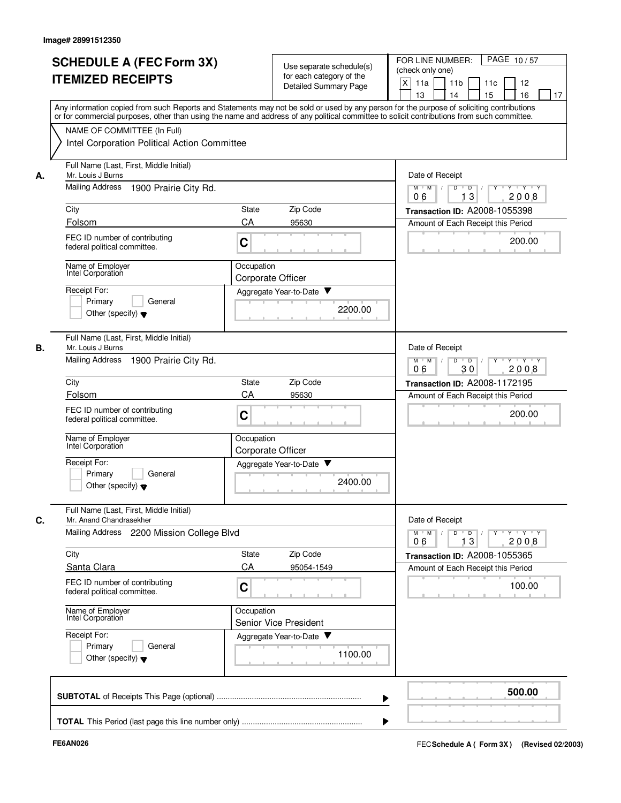|    | <b>SCHEDULE A (FEC Form 3X)</b><br><b>ITEMIZED RECEIPTS</b>                                                     | Use separate schedule(s)<br>for each category of the<br>Detailed Summary Page                                                                                                                                                                                                           | FOR LINE NUMBER:<br>PAGE 10/57<br>(check only one)<br>X<br>11a<br>11 <sub>b</sub><br>11c<br>12<br>13<br>14<br>15<br>16<br>17 |
|----|-----------------------------------------------------------------------------------------------------------------|-----------------------------------------------------------------------------------------------------------------------------------------------------------------------------------------------------------------------------------------------------------------------------------------|------------------------------------------------------------------------------------------------------------------------------|
|    | NAME OF COMMITTEE (In Full)                                                                                     | Any information copied from such Reports and Statements may not be sold or used by any person for the purpose of soliciting contributions<br>or for commercial purposes, other than using the name and address of any political committee to solicit contributions from such committee. |                                                                                                                              |
|    | Intel Corporation Political Action Committee                                                                    |                                                                                                                                                                                                                                                                                         |                                                                                                                              |
| А. | Full Name (Last, First, Middle Initial)<br>Mr. Louis J Burns                                                    |                                                                                                                                                                                                                                                                                         | Date of Receipt                                                                                                              |
|    | <b>Mailing Address</b><br>1900 Prairie City Rd.                                                                 |                                                                                                                                                                                                                                                                                         | $M$ $M$ /<br>Y 'Y 'Y<br>D<br>D<br>13<br>2008<br>06                                                                           |
|    | City                                                                                                            | Zip Code<br><b>State</b>                                                                                                                                                                                                                                                                | Transaction ID: A2008-1055398                                                                                                |
|    | Folsom<br>FEC ID number of contributing<br>federal political committee.                                         | CA<br>95630<br>C                                                                                                                                                                                                                                                                        | Amount of Each Receipt this Period<br>200.00                                                                                 |
|    | Name of Employer<br>Intel Corporation                                                                           | Occupation<br>Corporate Officer                                                                                                                                                                                                                                                         |                                                                                                                              |
|    | Receipt For:<br>Primary<br>General<br>Other (specify) $\blacktriangledown$                                      | Aggregate Year-to-Date<br>2200.00                                                                                                                                                                                                                                                       |                                                                                                                              |
| В. | Full Name (Last, First, Middle Initial)<br>Mr. Louis J Burns                                                    |                                                                                                                                                                                                                                                                                         | Date of Receipt                                                                                                              |
|    | <b>Mailing Address</b><br>1900 Prairie City Rd.                                                                 |                                                                                                                                                                                                                                                                                         | D<br>$Y - Y - Y$<br>$M$ M<br>$\sqrt{ }$<br>$\overline{D}$<br>06<br>30<br>2008                                                |
|    | City                                                                                                            | Zip Code<br>State                                                                                                                                                                                                                                                                       | Transaction ID: A2008-1172195                                                                                                |
|    | Folsom<br>FEC ID number of contributing<br>federal political committee.                                         | CA<br>95630<br>C                                                                                                                                                                                                                                                                        | Amount of Each Receipt this Period<br>200.00                                                                                 |
|    | Name of Employer<br>Intel Corporation                                                                           | Occupation<br><b>Corporate Officer</b>                                                                                                                                                                                                                                                  |                                                                                                                              |
|    | Receipt For:<br>Primary<br>General<br>Other (specify) $\blacktriangledown$                                      | Aggregate Year-to-Date<br>2400.00                                                                                                                                                                                                                                                       |                                                                                                                              |
| C. | Full Name (Last, First, Middle Initial)<br>Mr. Anand Chandrasekher<br>Mailing Address 2200 Mission College Blvd |                                                                                                                                                                                                                                                                                         | Date of Receipt<br>$Y \dashv Y \dashv Y$<br>$M$ $M$ /<br>$D$ $D$ $I$<br>$\mathbf{Y}$                                         |
|    | City                                                                                                            | State<br>Zip Code                                                                                                                                                                                                                                                                       | 13<br>2008<br>06<br>Transaction ID: A2008-1055365                                                                            |
|    | Santa Clara                                                                                                     | CA<br>95054-1549                                                                                                                                                                                                                                                                        | Amount of Each Receipt this Period                                                                                           |
|    | FEC ID number of contributing<br>federal political committee.                                                   | C                                                                                                                                                                                                                                                                                       | 100.00                                                                                                                       |
|    | Name of Employer<br>Intel Corporation                                                                           | Occupation<br>Senior Vice President                                                                                                                                                                                                                                                     |                                                                                                                              |
|    | Receipt For:<br>Primary<br>General<br>Other (specify) $\blacktriangledown$                                      | Aggregate Year-to-Date<br>1100.00                                                                                                                                                                                                                                                       |                                                                                                                              |
|    |                                                                                                                 |                                                                                                                                                                                                                                                                                         | 500.00                                                                                                                       |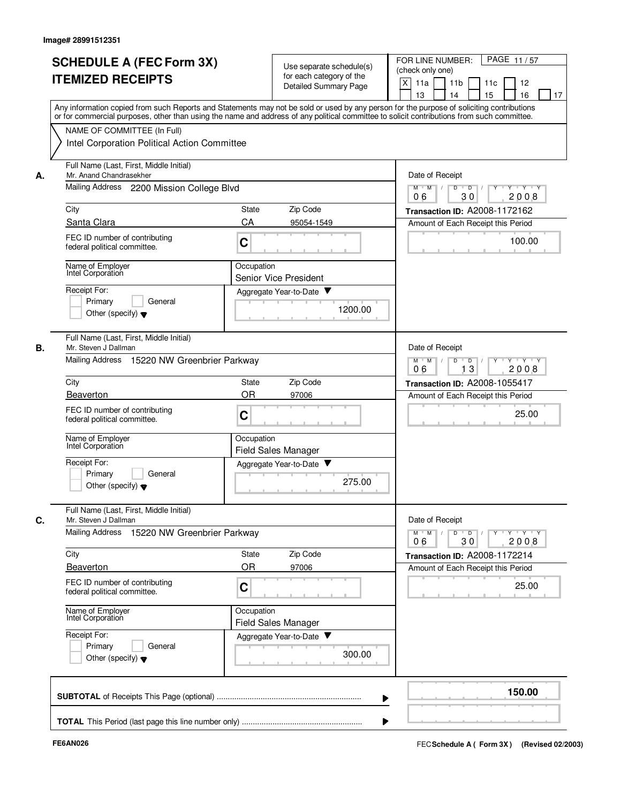|    | <b>SCHEDULE A (FEC Form 3X)</b><br><b>ITEMIZED RECEIPTS</b>                                                                                                                                                                                                                             | Use separate schedule(s)<br>for each category of the<br><b>Detailed Summary Page</b> | PAGE 11/57<br>FOR LINE NUMBER:<br>(check only one)<br>X<br>11 <sub>b</sub><br>11a<br>11c<br>12<br>13<br>14<br>15<br>16<br>17 |
|----|-----------------------------------------------------------------------------------------------------------------------------------------------------------------------------------------------------------------------------------------------------------------------------------------|--------------------------------------------------------------------------------------|------------------------------------------------------------------------------------------------------------------------------|
|    | Any information copied from such Reports and Statements may not be sold or used by any person for the purpose of soliciting contributions<br>or for commercial purposes, other than using the name and address of any political committee to solicit contributions from such committee. |                                                                                      |                                                                                                                              |
|    | NAME OF COMMITTEE (In Full)<br>Intel Corporation Political Action Committee                                                                                                                                                                                                             |                                                                                      |                                                                                                                              |
| А. | Full Name (Last, First, Middle Initial)<br>Mr. Anand Chandrasekher                                                                                                                                                                                                                      | Date of Receipt                                                                      |                                                                                                                              |
|    | Mailing Address 2200 Mission College Blvd                                                                                                                                                                                                                                               | y y y y y y<br>$M$ $M$ /<br>D<br>$\overline{D}$ /<br>30<br>06<br>2008                |                                                                                                                              |
|    | City                                                                                                                                                                                                                                                                                    | Zip Code<br>State                                                                    | Transaction ID: A2008-1172162                                                                                                |
|    | Santa Clara                                                                                                                                                                                                                                                                             | CA<br>95054-1549                                                                     | Amount of Each Receipt this Period                                                                                           |
|    | FEC ID number of contributing<br>federal political committee.                                                                                                                                                                                                                           | C                                                                                    | 100.00                                                                                                                       |
|    | Name of Employer<br>Intel Corporation                                                                                                                                                                                                                                                   | Occupation<br><b>Senior Vice President</b>                                           |                                                                                                                              |
|    | Receipt For:                                                                                                                                                                                                                                                                            | Aggregate Year-to-Date                                                               |                                                                                                                              |
|    | Primary<br>General<br>Other (specify) $\blacktriangledown$                                                                                                                                                                                                                              | 1200.00                                                                              |                                                                                                                              |
| В. | Full Name (Last, First, Middle Initial)<br>Mr. Steven J Dallman                                                                                                                                                                                                                         |                                                                                      | Date of Receipt                                                                                                              |
|    | Mailing Address 15220 NW Greenbrier Parkway                                                                                                                                                                                                                                             | $Y + Y + Y$<br>$M$ M<br>D<br>D<br>2008<br>13<br>06                                   |                                                                                                                              |
|    | City                                                                                                                                                                                                                                                                                    | Zip Code<br>State                                                                    | Transaction ID: A2008-1055417                                                                                                |
|    | Beaverton                                                                                                                                                                                                                                                                               | <b>OR</b><br>97006                                                                   | Amount of Each Receipt this Period                                                                                           |
|    | FEC ID number of contributing<br>federal political committee.                                                                                                                                                                                                                           | C                                                                                    | 25.00                                                                                                                        |
|    | Name of Employer<br>Intel Corporation                                                                                                                                                                                                                                                   | Occupation<br>Field Sales Manager                                                    |                                                                                                                              |
|    | Receipt For:<br>Primary<br>General<br>Other (specify) $\blacktriangledown$                                                                                                                                                                                                              | Aggregate Year-to-Date<br>v<br>275.00                                                |                                                                                                                              |
| C. | Full Name (Last, First, Middle Initial)<br>Mr. Steven J Dallman                                                                                                                                                                                                                         |                                                                                      | Date of Receipt                                                                                                              |
|    | Mailing Address<br>15220 NW Greenbrier Parkway                                                                                                                                                                                                                                          |                                                                                      | $Y$ $Y$ $Y$<br>$M$ $M$<br>D<br>$\overline{D}$<br>2008<br>06<br>30                                                            |
|    | City<br>Beaverton                                                                                                                                                                                                                                                                       | Zip Code<br>State<br><b>OR</b><br>97006                                              | Transaction ID: A2008-1172214<br>Amount of Each Receipt this Period                                                          |
|    | FEC ID number of contributing<br>federal political committee.                                                                                                                                                                                                                           | C                                                                                    | 25.00                                                                                                                        |
|    | Name of Employer<br>Intel Corporation                                                                                                                                                                                                                                                   | Occupation<br><b>Field Sales Manager</b>                                             |                                                                                                                              |
|    | Receipt For:<br>Primary<br>General<br>Other (specify) $\blacktriangledown$                                                                                                                                                                                                              | Aggregate Year-to-Date<br>300.00                                                     |                                                                                                                              |
|    |                                                                                                                                                                                                                                                                                         |                                                                                      | 150.00                                                                                                                       |
|    |                                                                                                                                                                                                                                                                                         |                                                                                      |                                                                                                                              |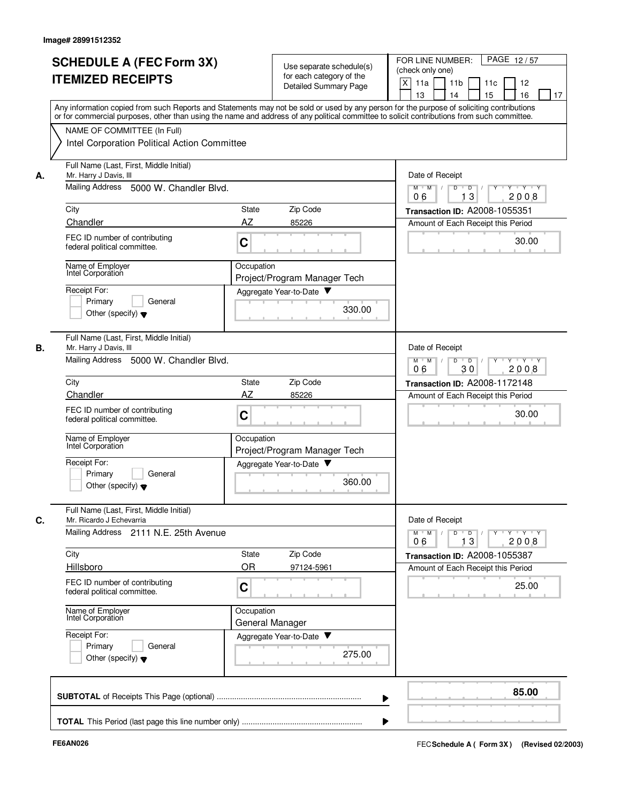| Any information copied from such Reports and Statements may not be sold or used by any person for the purpose of soliciting contributions<br>or for commercial purposes, other than using the name and address of any political committee to solicit contributions from such committee.<br>NAME OF COMMITTEE (In Full)<br>Intel Corporation Political Action Committee<br>Full Name (Last, First, Middle Initial)<br>Mr. Harry J Davis, III<br>А.<br>Mailing Address 5000 W. Chandler Blvd.<br>City<br>Zip Code<br>State<br>Chandler<br>AZ<br>85226<br>FEC ID number of contributing<br>C<br>federal political committee.<br>Name of Employer<br>Occupation<br>Intel Corporation<br>Project/Program Manager Tech<br>Receipt For:<br>Aggregate Year-to-Date<br>Primary<br>General<br>330.00<br>Other (specify) $\blacktriangledown$<br>Full Name (Last, First, Middle Initial)<br>В.<br>Mr. Harry J Davis, III<br>Mailing Address<br>5000 W. Chandler Blvd.<br>Zip Code<br>City<br>State<br>AZ<br>Chandler<br>85226<br>FEC ID number of contributing<br>C<br>federal political committee.<br>Name of Employer<br>Occupation<br>Intel Corporation<br>Project/Program Manager Tech<br>Receipt For:<br>Aggregate Year-to-Date<br>Primary<br>General<br>360.00<br>Other (specify) $\blacktriangledown$<br>Full Name (Last, First, Middle Initial)<br>Mr. Ricardo J Echevarria<br>С.<br>Mailing Address 2111 N.E. 25th Avenue<br>Zip Code<br>City<br>State<br><b>OR</b><br>Hillsboro<br>97124-5961<br>FEC ID number of contributing<br>C<br>federal political committee.<br>Name of Employer<br>Occupation<br>Intel Corporation<br>General Manager<br>Receipt For:<br>Aggregate Year-to-Date<br>Primary<br>General | FOR LINE NUMBER:<br>PAGE 12/57<br>(check only one)<br>X<br>11a<br>11 <sub>b</sub><br>11c<br>12<br>13<br>14<br>15<br>16<br>17 |
|--------------------------------------------------------------------------------------------------------------------------------------------------------------------------------------------------------------------------------------------------------------------------------------------------------------------------------------------------------------------------------------------------------------------------------------------------------------------------------------------------------------------------------------------------------------------------------------------------------------------------------------------------------------------------------------------------------------------------------------------------------------------------------------------------------------------------------------------------------------------------------------------------------------------------------------------------------------------------------------------------------------------------------------------------------------------------------------------------------------------------------------------------------------------------------------------------------------------------------------------------------------------------------------------------------------------------------------------------------------------------------------------------------------------------------------------------------------------------------------------------------------------------------------------------------------------------------------------------------------------------------------------------------------------------------------------------------------|------------------------------------------------------------------------------------------------------------------------------|
|                                                                                                                                                                                                                                                                                                                                                                                                                                                                                                                                                                                                                                                                                                                                                                                                                                                                                                                                                                                                                                                                                                                                                                                                                                                                                                                                                                                                                                                                                                                                                                                                                                                                                                              |                                                                                                                              |
|                                                                                                                                                                                                                                                                                                                                                                                                                                                                                                                                                                                                                                                                                                                                                                                                                                                                                                                                                                                                                                                                                                                                                                                                                                                                                                                                                                                                                                                                                                                                                                                                                                                                                                              |                                                                                                                              |
|                                                                                                                                                                                                                                                                                                                                                                                                                                                                                                                                                                                                                                                                                                                                                                                                                                                                                                                                                                                                                                                                                                                                                                                                                                                                                                                                                                                                                                                                                                                                                                                                                                                                                                              | Date of Receipt                                                                                                              |
|                                                                                                                                                                                                                                                                                                                                                                                                                                                                                                                                                                                                                                                                                                                                                                                                                                                                                                                                                                                                                                                                                                                                                                                                                                                                                                                                                                                                                                                                                                                                                                                                                                                                                                              | Y Y Y Y<br>$M$ $M$ /<br>D<br>$\blacksquare$ D $\blacksquare$ /<br>$Y$ <sup>-1</sup><br>06<br>13<br>2008                      |
|                                                                                                                                                                                                                                                                                                                                                                                                                                                                                                                                                                                                                                                                                                                                                                                                                                                                                                                                                                                                                                                                                                                                                                                                                                                                                                                                                                                                                                                                                                                                                                                                                                                                                                              | Transaction ID: A2008-1055351                                                                                                |
|                                                                                                                                                                                                                                                                                                                                                                                                                                                                                                                                                                                                                                                                                                                                                                                                                                                                                                                                                                                                                                                                                                                                                                                                                                                                                                                                                                                                                                                                                                                                                                                                                                                                                                              | Amount of Each Receipt this Period                                                                                           |
|                                                                                                                                                                                                                                                                                                                                                                                                                                                                                                                                                                                                                                                                                                                                                                                                                                                                                                                                                                                                                                                                                                                                                                                                                                                                                                                                                                                                                                                                                                                                                                                                                                                                                                              | 30.00                                                                                                                        |
|                                                                                                                                                                                                                                                                                                                                                                                                                                                                                                                                                                                                                                                                                                                                                                                                                                                                                                                                                                                                                                                                                                                                                                                                                                                                                                                                                                                                                                                                                                                                                                                                                                                                                                              |                                                                                                                              |
|                                                                                                                                                                                                                                                                                                                                                                                                                                                                                                                                                                                                                                                                                                                                                                                                                                                                                                                                                                                                                                                                                                                                                                                                                                                                                                                                                                                                                                                                                                                                                                                                                                                                                                              |                                                                                                                              |
|                                                                                                                                                                                                                                                                                                                                                                                                                                                                                                                                                                                                                                                                                                                                                                                                                                                                                                                                                                                                                                                                                                                                                                                                                                                                                                                                                                                                                                                                                                                                                                                                                                                                                                              |                                                                                                                              |
|                                                                                                                                                                                                                                                                                                                                                                                                                                                                                                                                                                                                                                                                                                                                                                                                                                                                                                                                                                                                                                                                                                                                                                                                                                                                                                                                                                                                                                                                                                                                                                                                                                                                                                              | Date of Receipt                                                                                                              |
|                                                                                                                                                                                                                                                                                                                                                                                                                                                                                                                                                                                                                                                                                                                                                                                                                                                                                                                                                                                                                                                                                                                                                                                                                                                                                                                                                                                                                                                                                                                                                                                                                                                                                                              | D<br>$Y - Y - Y$<br>$M$ M<br>$\sqrt{ }$<br>$\overline{D}$<br>2008<br>06<br>30                                                |
|                                                                                                                                                                                                                                                                                                                                                                                                                                                                                                                                                                                                                                                                                                                                                                                                                                                                                                                                                                                                                                                                                                                                                                                                                                                                                                                                                                                                                                                                                                                                                                                                                                                                                                              | Transaction ID: A2008-1172148                                                                                                |
|                                                                                                                                                                                                                                                                                                                                                                                                                                                                                                                                                                                                                                                                                                                                                                                                                                                                                                                                                                                                                                                                                                                                                                                                                                                                                                                                                                                                                                                                                                                                                                                                                                                                                                              | Amount of Each Receipt this Period                                                                                           |
|                                                                                                                                                                                                                                                                                                                                                                                                                                                                                                                                                                                                                                                                                                                                                                                                                                                                                                                                                                                                                                                                                                                                                                                                                                                                                                                                                                                                                                                                                                                                                                                                                                                                                                              | 30.00                                                                                                                        |
|                                                                                                                                                                                                                                                                                                                                                                                                                                                                                                                                                                                                                                                                                                                                                                                                                                                                                                                                                                                                                                                                                                                                                                                                                                                                                                                                                                                                                                                                                                                                                                                                                                                                                                              |                                                                                                                              |
|                                                                                                                                                                                                                                                                                                                                                                                                                                                                                                                                                                                                                                                                                                                                                                                                                                                                                                                                                                                                                                                                                                                                                                                                                                                                                                                                                                                                                                                                                                                                                                                                                                                                                                              |                                                                                                                              |
|                                                                                                                                                                                                                                                                                                                                                                                                                                                                                                                                                                                                                                                                                                                                                                                                                                                                                                                                                                                                                                                                                                                                                                                                                                                                                                                                                                                                                                                                                                                                                                                                                                                                                                              | Date of Receipt                                                                                                              |
|                                                                                                                                                                                                                                                                                                                                                                                                                                                                                                                                                                                                                                                                                                                                                                                                                                                                                                                                                                                                                                                                                                                                                                                                                                                                                                                                                                                                                                                                                                                                                                                                                                                                                                              | $Y$ $Y$ $Y$<br>$M$ $M$<br>D<br>$\overline{D}$<br>Y<br>13<br>2008<br>06                                                       |
|                                                                                                                                                                                                                                                                                                                                                                                                                                                                                                                                                                                                                                                                                                                                                                                                                                                                                                                                                                                                                                                                                                                                                                                                                                                                                                                                                                                                                                                                                                                                                                                                                                                                                                              | Transaction ID: A2008-1055387                                                                                                |
|                                                                                                                                                                                                                                                                                                                                                                                                                                                                                                                                                                                                                                                                                                                                                                                                                                                                                                                                                                                                                                                                                                                                                                                                                                                                                                                                                                                                                                                                                                                                                                                                                                                                                                              | Amount of Each Receipt this Period                                                                                           |
|                                                                                                                                                                                                                                                                                                                                                                                                                                                                                                                                                                                                                                                                                                                                                                                                                                                                                                                                                                                                                                                                                                                                                                                                                                                                                                                                                                                                                                                                                                                                                                                                                                                                                                              | 25.00                                                                                                                        |
|                                                                                                                                                                                                                                                                                                                                                                                                                                                                                                                                                                                                                                                                                                                                                                                                                                                                                                                                                                                                                                                                                                                                                                                                                                                                                                                                                                                                                                                                                                                                                                                                                                                                                                              |                                                                                                                              |
| 275.00<br>Other (specify) $\blacktriangledown$                                                                                                                                                                                                                                                                                                                                                                                                                                                                                                                                                                                                                                                                                                                                                                                                                                                                                                                                                                                                                                                                                                                                                                                                                                                                                                                                                                                                                                                                                                                                                                                                                                                               |                                                                                                                              |
|                                                                                                                                                                                                                                                                                                                                                                                                                                                                                                                                                                                                                                                                                                                                                                                                                                                                                                                                                                                                                                                                                                                                                                                                                                                                                                                                                                                                                                                                                                                                                                                                                                                                                                              | 85.00                                                                                                                        |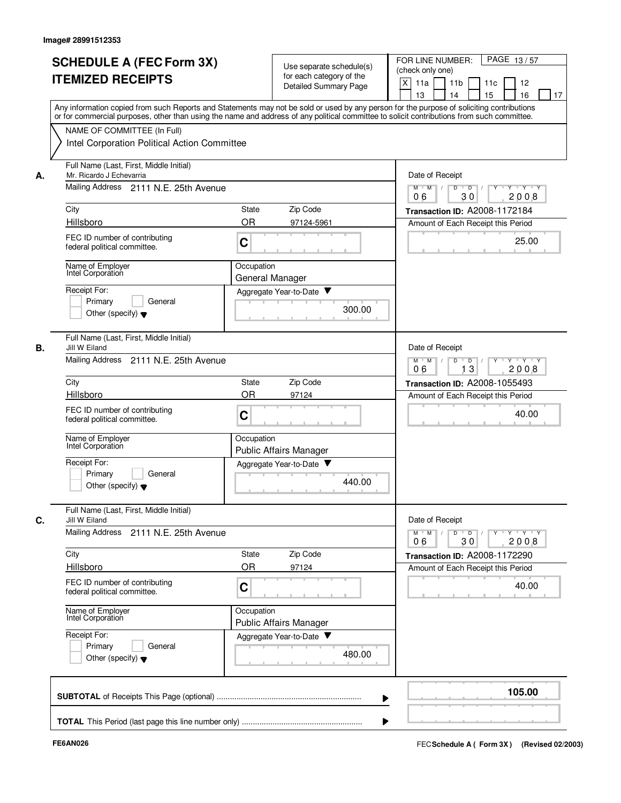|    | <b>SCHEDULE A (FEC Form 3X)</b><br><b>ITEMIZED RECEIPTS</b>         | Use separate schedule(s)<br>for each category of the<br><b>Detailed Summary Page</b>                                                                                                                                                                                                    | FOR LINE NUMBER:<br>PAGE 13/57<br>(check only one)<br>X<br>11 <sub>b</sub><br>11a<br>11 <sub>c</sub><br>12<br>13<br>15<br>16<br>14<br>17 |
|----|---------------------------------------------------------------------|-----------------------------------------------------------------------------------------------------------------------------------------------------------------------------------------------------------------------------------------------------------------------------------------|------------------------------------------------------------------------------------------------------------------------------------------|
|    | NAME OF COMMITTEE (In Full)                                         | Any information copied from such Reports and Statements may not be sold or used by any person for the purpose of soliciting contributions<br>or for commercial purposes, other than using the name and address of any political committee to solicit contributions from such committee. |                                                                                                                                          |
|    | Intel Corporation Political Action Committee                        |                                                                                                                                                                                                                                                                                         |                                                                                                                                          |
| А. | Full Name (Last, First, Middle Initial)<br>Mr. Ricardo J Echevarria |                                                                                                                                                                                                                                                                                         | Date of Receipt                                                                                                                          |
|    | Mailing Address 2111 N.E. 25th Avenue                               | Y 'Y 'Y<br>$M$ $M$ $/$<br>$\mathsf D$<br>$\overline{D}$ /<br>Y<br>30<br>2008<br>06                                                                                                                                                                                                      |                                                                                                                                          |
|    | City                                                                | Zip Code<br>State                                                                                                                                                                                                                                                                       | Transaction ID: A2008-1172184                                                                                                            |
|    | Hillsboro                                                           | <b>OR</b><br>97124-5961                                                                                                                                                                                                                                                                 | Amount of Each Receipt this Period                                                                                                       |
|    | FEC ID number of contributing<br>federal political committee.       | C                                                                                                                                                                                                                                                                                       | 25.00                                                                                                                                    |
|    | Name of Employer<br>Intel Corporation                               | Occupation<br>General Manager                                                                                                                                                                                                                                                           |                                                                                                                                          |
|    | Receipt For:                                                        | Aggregate Year-to-Date                                                                                                                                                                                                                                                                  |                                                                                                                                          |
|    | Primary<br>General<br>Other (specify) $\blacktriangledown$          | 300.00                                                                                                                                                                                                                                                                                  |                                                                                                                                          |
| В. | Full Name (Last, First, Middle Initial)<br>Jill W Eiland            |                                                                                                                                                                                                                                                                                         | Date of Receipt                                                                                                                          |
|    | Mailing Address 2111 N.E. 25th Avenue                               | $Y - Y - Y$<br>$M$ $M$<br>D<br>D<br>13<br>2008<br>06                                                                                                                                                                                                                                    |                                                                                                                                          |
|    | City                                                                | Transaction ID: A2008-1055493                                                                                                                                                                                                                                                           |                                                                                                                                          |
|    | Hillsboro                                                           | <b>OR</b><br>97124                                                                                                                                                                                                                                                                      | Amount of Each Receipt this Period                                                                                                       |
|    | FEC ID number of contributing<br>federal political committee.       | C                                                                                                                                                                                                                                                                                       | 40.00                                                                                                                                    |
|    | Name of Employer<br>Intel Corporation                               | Occupation<br>Public Affairs Manager                                                                                                                                                                                                                                                    |                                                                                                                                          |
|    | Receipt For:                                                        | Aggregate Year-to-Date                                                                                                                                                                                                                                                                  |                                                                                                                                          |
|    | Primary<br>General<br>Other (specify) $\blacktriangledown$          | 440.00                                                                                                                                                                                                                                                                                  |                                                                                                                                          |
| C. | Full Name (Last, First, Middle Initial)<br>Jill W Eiland            |                                                                                                                                                                                                                                                                                         | Date of Receipt                                                                                                                          |
|    | Mailing Address 2111 N.E. 25th Avenue                               |                                                                                                                                                                                                                                                                                         | $Y + Y + Y$<br>$M$ M<br>$\overline{D}$<br>D<br>Y<br>2008<br>06<br>30                                                                     |
|    | City                                                                | Zip Code<br>State                                                                                                                                                                                                                                                                       | Transaction ID: A2008-1172290                                                                                                            |
|    | Hillsboro                                                           | <b>OR</b><br>97124                                                                                                                                                                                                                                                                      | Amount of Each Receipt this Period                                                                                                       |
|    | FEC ID number of contributing<br>federal political committee.       | C                                                                                                                                                                                                                                                                                       | 40.00                                                                                                                                    |
|    | Name of Employer<br>Intel Corporation                               | Occupation<br>Public Affairs Manager                                                                                                                                                                                                                                                    |                                                                                                                                          |
|    | Receipt For:<br>Primary<br>General                                  | Aggregate Year-to-Date                                                                                                                                                                                                                                                                  |                                                                                                                                          |
|    | Other (specify) $\blacktriangledown$                                | 480.00                                                                                                                                                                                                                                                                                  |                                                                                                                                          |
|    |                                                                     |                                                                                                                                                                                                                                                                                         | 105.00                                                                                                                                   |
|    |                                                                     |                                                                                                                                                                                                                                                                                         |                                                                                                                                          |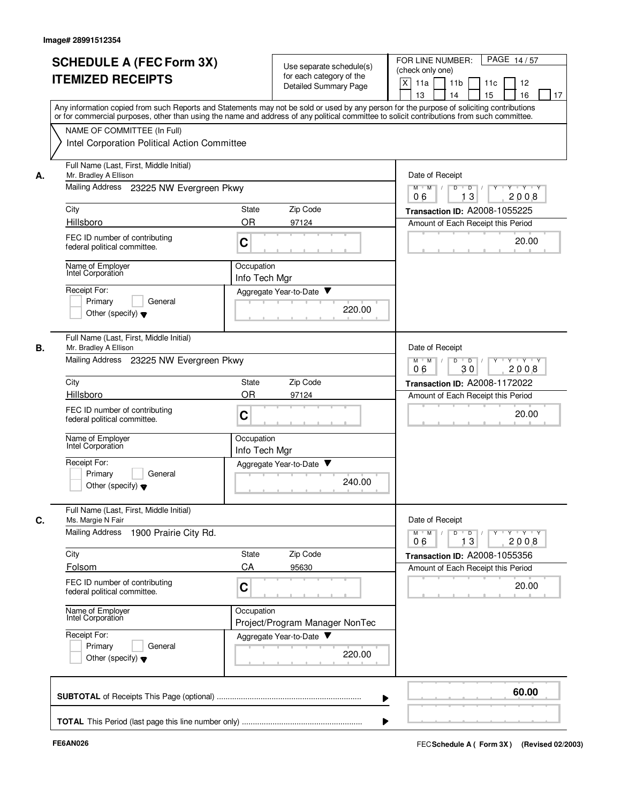|    | <b>SCHEDULE A (FEC Form 3X)</b><br><b>ITEMIZED RECEIPTS</b>                                                                                                                                                                                                                                                            |                                                                   | Use separate schedule(s)<br>for each category of the<br>Detailed Summary Page | PAGE 14/57<br>FOR LINE NUMBER:<br>(check only one)<br>X<br>11a<br>11 <sub>b</sub><br>11c<br>12<br>13<br>14<br>15<br>16<br>17 |
|----|------------------------------------------------------------------------------------------------------------------------------------------------------------------------------------------------------------------------------------------------------------------------------------------------------------------------|-------------------------------------------------------------------|-------------------------------------------------------------------------------|------------------------------------------------------------------------------------------------------------------------------|
|    | Any information copied from such Reports and Statements may not be sold or used by any person for the purpose of soliciting contributions<br>or for commercial purposes, other than using the name and address of any political committee to solicit contributions from such committee.<br>NAME OF COMMITTEE (In Full) |                                                                   |                                                                               |                                                                                                                              |
|    | Intel Corporation Political Action Committee                                                                                                                                                                                                                                                                           |                                                                   |                                                                               |                                                                                                                              |
| А. | Full Name (Last, First, Middle Initial)<br>Mr. Bradley A Ellison                                                                                                                                                                                                                                                       |                                                                   |                                                                               | Date of Receipt                                                                                                              |
|    | Mailing Address 23225 NW Evergreen Pkwy                                                                                                                                                                                                                                                                                | Y Y Y Y<br>$M$ $M$ /<br>D<br>$\overline{D}$ /<br>13<br>06<br>2008 |                                                                               |                                                                                                                              |
|    | City                                                                                                                                                                                                                                                                                                                   | State                                                             | Zip Code                                                                      | Transaction ID: A2008-1055225                                                                                                |
|    | Hillsboro<br>FEC ID number of contributing<br>federal political committee.                                                                                                                                                                                                                                             | <b>OR</b><br>C                                                    | 97124                                                                         | Amount of Each Receipt this Period<br>20.00                                                                                  |
|    | Name of Employer<br>Intel Corporation                                                                                                                                                                                                                                                                                  | Occupation<br>Info Tech Mgr                                       |                                                                               |                                                                                                                              |
|    | Receipt For:<br>Primary<br>General<br>Other (specify) $\blacktriangledown$                                                                                                                                                                                                                                             |                                                                   | Aggregate Year-to-Date<br>220.00                                              |                                                                                                                              |
| В. | Full Name (Last, First, Middle Initial)<br>Mr. Bradley A Ellison<br>Mailing Address 23225 NW Evergreen Pkwy                                                                                                                                                                                                            |                                                                   |                                                                               | Date of Receipt<br>$Y - Y - Y$<br>$M$ M<br>$\overline{D}$<br>D                                                               |
|    | City<br>Zip Code<br>State                                                                                                                                                                                                                                                                                              |                                                                   |                                                                               | 30<br>2008<br>06<br>Transaction ID: A2008-1172022                                                                            |
|    | Hillsboro                                                                                                                                                                                                                                                                                                              | OR                                                                | 97124                                                                         | Amount of Each Receipt this Period                                                                                           |
|    | FEC ID number of contributing<br>federal political committee.                                                                                                                                                                                                                                                          | C                                                                 |                                                                               | 20.00                                                                                                                        |
|    | Name of Employer<br>Intel Corporation                                                                                                                                                                                                                                                                                  | Occupation<br>Info Tech Mgr                                       |                                                                               |                                                                                                                              |
|    | Receipt For:<br>Primary<br>General<br>Other (specify) $\blacktriangledown$                                                                                                                                                                                                                                             |                                                                   | Aggregate Year-to-Date<br>240.00                                              |                                                                                                                              |
| С. | Full Name (Last, First, Middle Initial)<br>Ms. Margie N Fair                                                                                                                                                                                                                                                           |                                                                   |                                                                               | Date of Receipt                                                                                                              |
|    | Mailing Address<br>1900 Prairie City Rd.                                                                                                                                                                                                                                                                               |                                                                   |                                                                               | $Y$ $Y$ $Y$<br>$M$ $M$<br>$\overline{D}$<br>Y<br>D<br>13<br>2008<br>06                                                       |
|    | City                                                                                                                                                                                                                                                                                                                   | State                                                             | Zip Code                                                                      | Transaction ID: A2008-1055356                                                                                                |
|    | Folsom<br>FEC ID number of contributing<br>federal political committee.                                                                                                                                                                                                                                                | CA<br>C                                                           | 95630                                                                         | Amount of Each Receipt this Period<br>20.00                                                                                  |
|    | Name of Employer<br>Intel Corporation                                                                                                                                                                                                                                                                                  | Occupation                                                        | Project/Program Manager NonTec                                                |                                                                                                                              |
|    | Receipt For:<br>Primary<br>General<br>Other (specify) $\blacktriangledown$                                                                                                                                                                                                                                             |                                                                   | Aggregate Year-to-Date<br>220.00                                              |                                                                                                                              |
|    |                                                                                                                                                                                                                                                                                                                        |                                                                   |                                                                               | 60.00                                                                                                                        |
|    |                                                                                                                                                                                                                                                                                                                        |                                                                   |                                                                               |                                                                                                                              |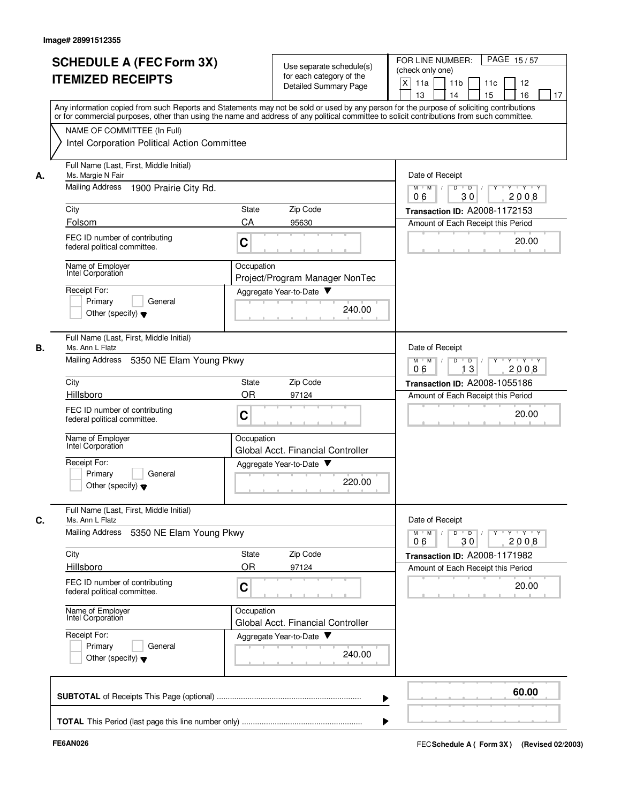|    | <b>SCHEDULE A (FEC Form 3X)</b><br><b>ITEMIZED RECEIPTS</b>                 | Use separate schedule(s)<br>for each category of the<br>Detailed Summary Page                                                                                                                                                                                                           | FOR LINE NUMBER:<br>PAGE 15/57<br>(check only one)<br>X<br>11a<br>11 <sub>b</sub><br>11c<br>12<br>13<br>14<br>15<br>16<br>17 |
|----|-----------------------------------------------------------------------------|-----------------------------------------------------------------------------------------------------------------------------------------------------------------------------------------------------------------------------------------------------------------------------------------|------------------------------------------------------------------------------------------------------------------------------|
|    |                                                                             | Any information copied from such Reports and Statements may not be sold or used by any person for the purpose of soliciting contributions<br>or for commercial purposes, other than using the name and address of any political committee to solicit contributions from such committee. |                                                                                                                              |
|    | NAME OF COMMITTEE (In Full)<br>Intel Corporation Political Action Committee |                                                                                                                                                                                                                                                                                         |                                                                                                                              |
| А. | Full Name (Last, First, Middle Initial)<br>Ms. Margie N Fair                |                                                                                                                                                                                                                                                                                         | Date of Receipt                                                                                                              |
|    | Mailing Address<br>1900 Prairie City Rd.                                    |                                                                                                                                                                                                                                                                                         | Y Y Y Y<br>D<br>$\overline{D}$ /<br>$M$ $M$ /<br>$Y^+$<br>30<br>06<br>2008                                                   |
|    | City                                                                        | Zip Code<br>State                                                                                                                                                                                                                                                                       | <b>Transaction ID: A2008-1172153</b>                                                                                         |
|    | Folsom                                                                      | CA<br>95630                                                                                                                                                                                                                                                                             | Amount of Each Receipt this Period                                                                                           |
|    | FEC ID number of contributing<br>federal political committee.               | C                                                                                                                                                                                                                                                                                       | 20.00                                                                                                                        |
|    | Name of Employer<br>Intel Corporation                                       | Occupation<br>Project/Program Manager NonTec                                                                                                                                                                                                                                            |                                                                                                                              |
|    | Receipt For:                                                                | Aggregate Year-to-Date                                                                                                                                                                                                                                                                  |                                                                                                                              |
|    | Primary<br>General<br>Other (specify) $\blacktriangledown$                  | 240.00                                                                                                                                                                                                                                                                                  |                                                                                                                              |
| В. | Full Name (Last, First, Middle Initial)<br>Ms. Ann L Flatz                  |                                                                                                                                                                                                                                                                                         | Date of Receipt                                                                                                              |
|    | <b>Mailing Address</b><br>5350 NE Elam Young Pkwy                           |                                                                                                                                                                                                                                                                                         | $M^+$ M<br>D<br>$Y - Y - Y$<br>$\sqrt{ }$<br>$\overline{D}$<br>Y<br>$\top$<br>06<br>13<br>2008                               |
|    | City                                                                        | Zip Code<br>State                                                                                                                                                                                                                                                                       | Transaction ID: A2008-1055186                                                                                                |
|    | Hillsboro                                                                   | OR<br>97124                                                                                                                                                                                                                                                                             | Amount of Each Receipt this Period                                                                                           |
|    | FEC ID number of contributing<br>federal political committee.               | C                                                                                                                                                                                                                                                                                       | 20.00                                                                                                                        |
|    | Name of Employer<br>Intel Corporation                                       | Occupation<br>Global Acct. Financial Controller                                                                                                                                                                                                                                         |                                                                                                                              |
|    | Receipt For:                                                                | Aggregate Year-to-Date                                                                                                                                                                                                                                                                  |                                                                                                                              |
|    | Primary<br>General<br>Other (specify) $\blacktriangledown$                  | 220.00                                                                                                                                                                                                                                                                                  |                                                                                                                              |
| С. | Full Name (Last, First, Middle Initial)<br>Ms. Ann L Flatz                  |                                                                                                                                                                                                                                                                                         | Date of Receipt                                                                                                              |
|    | Mailing Address<br>5350 NE Elam Young Pkwy                                  |                                                                                                                                                                                                                                                                                         | $Y$ $Y$ $Y$ $Y$<br>$M$ <sup><math>+</math></sup><br>M<br>D<br>$\overline{D}$<br>30<br>2008<br>06                             |
|    | City                                                                        | Zip Code<br>State                                                                                                                                                                                                                                                                       | Transaction ID: A2008-1171982                                                                                                |
|    | Hillsboro                                                                   | <b>OR</b><br>97124                                                                                                                                                                                                                                                                      | Amount of Each Receipt this Period                                                                                           |
|    | FEC ID number of contributing<br>federal political committee.               | C                                                                                                                                                                                                                                                                                       | 20.00                                                                                                                        |
|    | Name of Employer<br>Intel Corporation                                       | Occupation<br>Global Acct. Financial Controller                                                                                                                                                                                                                                         |                                                                                                                              |
|    | Receipt For:                                                                | Aggregate Year-to-Date ▼                                                                                                                                                                                                                                                                |                                                                                                                              |
|    | Primary<br>General<br>Other (specify) $\blacktriangledown$                  | 240.00                                                                                                                                                                                                                                                                                  |                                                                                                                              |
|    |                                                                             |                                                                                                                                                                                                                                                                                         | 60.00                                                                                                                        |
|    |                                                                             |                                                                                                                                                                                                                                                                                         |                                                                                                                              |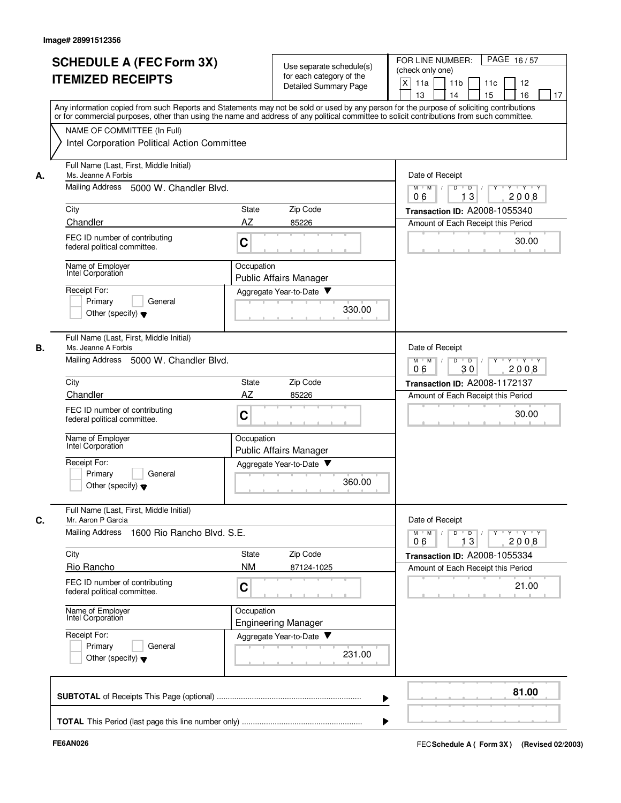|    | <b>SCHEDULE A (FEC Form 3X)</b><br><b>ITEMIZED RECEIPTS</b>                                                 | Use separate schedule(s)<br>for each category of the<br>Detailed Summary Page                                                                                                                                                                                                           | FOR LINE NUMBER:<br>PAGE 16/57<br>(check only one)<br>X<br>11a<br>11 <sub>b</sub><br>11c<br>12<br>13<br>14<br>15<br>16<br>17 |
|----|-------------------------------------------------------------------------------------------------------------|-----------------------------------------------------------------------------------------------------------------------------------------------------------------------------------------------------------------------------------------------------------------------------------------|------------------------------------------------------------------------------------------------------------------------------|
|    |                                                                                                             | Any information copied from such Reports and Statements may not be sold or used by any person for the purpose of soliciting contributions<br>or for commercial purposes, other than using the name and address of any political committee to solicit contributions from such committee. |                                                                                                                              |
|    | NAME OF COMMITTEE (In Full)<br>Intel Corporation Political Action Committee                                 |                                                                                                                                                                                                                                                                                         |                                                                                                                              |
| А. | Full Name (Last, First, Middle Initial)<br>Ms. Jeanne A Forbis                                              |                                                                                                                                                                                                                                                                                         | Date of Receipt                                                                                                              |
|    | Mailing Address 5000 W. Chandler Blvd.                                                                      |                                                                                                                                                                                                                                                                                         | Y Y Y Y<br>$M$ $M$ /<br>D<br>$\overline{D}$ /<br>$Y$ <sup>-1</sup><br>13<br>06<br>2008                                       |
|    | City                                                                                                        | Zip Code<br>State                                                                                                                                                                                                                                                                       | Transaction ID: A2008-1055340                                                                                                |
|    | Chandler<br>FEC ID number of contributing<br>federal political committee.                                   | AZ<br>85226<br>C                                                                                                                                                                                                                                                                        | Amount of Each Receipt this Period<br>30.00                                                                                  |
|    | Name of Employer<br>Intel Corporation                                                                       | Occupation<br><b>Public Affairs Manager</b>                                                                                                                                                                                                                                             |                                                                                                                              |
|    | Receipt For:<br>Primary<br>General<br>Other (specify) $\blacktriangledown$                                  | Aggregate Year-to-Date<br>330.00                                                                                                                                                                                                                                                        |                                                                                                                              |
| В. | Full Name (Last, First, Middle Initial)<br>Ms. Jeanne A Forbis<br>Mailing Address<br>5000 W. Chandler Blvd. |                                                                                                                                                                                                                                                                                         | Date of Receipt<br>$M$ M<br>D<br>$Y - Y - Y$<br>$\sqrt{ }$<br>$\overline{D}$                                                 |
|    |                                                                                                             | 2008<br>06<br>30                                                                                                                                                                                                                                                                        |                                                                                                                              |
|    | City<br>Chandler                                                                                            | Zip Code<br>State<br>AZ<br>85226                                                                                                                                                                                                                                                        | Transaction ID: A2008-1172137<br>Amount of Each Receipt this Period                                                          |
|    | FEC ID number of contributing<br>federal political committee.                                               | C                                                                                                                                                                                                                                                                                       | 30.00                                                                                                                        |
|    | Name of Employer<br>Intel Corporation                                                                       | Occupation<br><b>Public Affairs Manager</b>                                                                                                                                                                                                                                             |                                                                                                                              |
|    | Receipt For:<br>Primary<br>General<br>Other (specify) $\blacktriangledown$                                  | Aggregate Year-to-Date<br>360.00                                                                                                                                                                                                                                                        |                                                                                                                              |
| С. | Full Name (Last, First, Middle Initial)<br>Mr. Aaron P Garcia                                               |                                                                                                                                                                                                                                                                                         | Date of Receipt                                                                                                              |
|    | Mailing Address<br>1600 Rio Rancho Blvd. S.E.                                                               |                                                                                                                                                                                                                                                                                         | $Y$ $Y$ $Y$ $Y$<br>$M$ $M$<br>D<br>D<br>13<br>2008<br>06                                                                     |
|    | City                                                                                                        | Zip Code<br>State                                                                                                                                                                                                                                                                       | Transaction ID: A2008-1055334                                                                                                |
|    | Rio Rancho<br>FEC ID number of contributing<br>federal political committee.                                 | <b>NM</b><br>87124-1025<br>C                                                                                                                                                                                                                                                            | Amount of Each Receipt this Period<br>21.00                                                                                  |
|    | Name of Employer<br>Intel Corporation                                                                       | Occupation<br><b>Engineering Manager</b>                                                                                                                                                                                                                                                |                                                                                                                              |
|    | Receipt For:<br>Primary<br>General<br>Other (specify) $\blacktriangledown$                                  | Aggregate Year-to-Date<br>231.00                                                                                                                                                                                                                                                        |                                                                                                                              |
|    |                                                                                                             |                                                                                                                                                                                                                                                                                         | 81.00                                                                                                                        |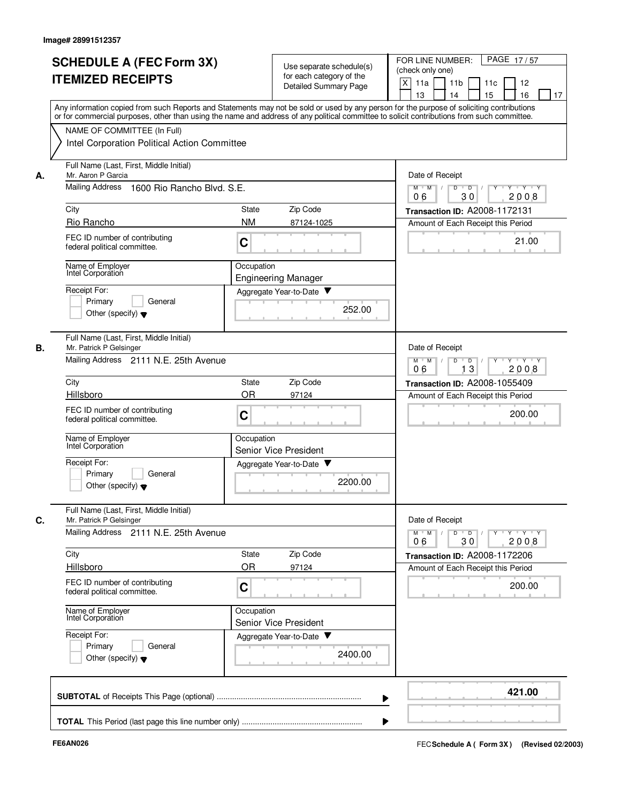|    | <b>SCHEDULE A (FEC Form 3X)</b><br><b>ITEMIZED RECEIPTS</b>                                                                                                                                                                                                                                                            |                                                                 | Use separate schedule(s)<br>for each category of the<br>Detailed Summary Page | PAGE 17/57<br>FOR LINE NUMBER:<br>(check only one)<br>X<br>11a<br>11 <sub>b</sub><br>11c<br>12<br>15<br>13<br>14<br>16<br>17 |
|----|------------------------------------------------------------------------------------------------------------------------------------------------------------------------------------------------------------------------------------------------------------------------------------------------------------------------|-----------------------------------------------------------------|-------------------------------------------------------------------------------|------------------------------------------------------------------------------------------------------------------------------|
|    | Any information copied from such Reports and Statements may not be sold or used by any person for the purpose of soliciting contributions<br>or for commercial purposes, other than using the name and address of any political committee to solicit contributions from such committee.<br>NAME OF COMMITTEE (In Full) |                                                                 |                                                                               |                                                                                                                              |
|    | Intel Corporation Political Action Committee                                                                                                                                                                                                                                                                           |                                                                 |                                                                               |                                                                                                                              |
| А. | Full Name (Last, First, Middle Initial)<br>Mr. Aaron P Garcia                                                                                                                                                                                                                                                          |                                                                 |                                                                               | Date of Receipt                                                                                                              |
|    | Mailing Address<br>1600 Rio Rancho Blvd, S.E.                                                                                                                                                                                                                                                                          | $M$ $M$ /<br>D<br>$\overline{D}$<br>Y 'Y 'Y<br>2008<br>06<br>30 |                                                                               |                                                                                                                              |
|    | City                                                                                                                                                                                                                                                                                                                   | State                                                           | Zip Code                                                                      | Transaction ID: A2008-1172131                                                                                                |
|    | Rio Rancho<br>FEC ID number of contributing<br>federal political committee.                                                                                                                                                                                                                                            | <b>NM</b><br>C                                                  | 87124-1025                                                                    | Amount of Each Receipt this Period<br>21.00                                                                                  |
|    | Name of Employer<br>Intel Corporation                                                                                                                                                                                                                                                                                  | Occupation                                                      | <b>Engineering Manager</b>                                                    |                                                                                                                              |
|    | Receipt For:<br>Primary<br>General<br>Other (specify) $\blacktriangledown$                                                                                                                                                                                                                                             |                                                                 | Aggregate Year-to-Date<br>252.00                                              |                                                                                                                              |
| В. | Full Name (Last, First, Middle Initial)<br>Mr. Patrick P Gelsinger<br>Mailing Address 2111 N.E. 25th Avenue                                                                                                                                                                                                            |                                                                 |                                                                               | Date of Receipt<br>Y Y Y Y<br>$M$ $M$<br>D<br>$\overline{D}$<br>Y                                                            |
|    |                                                                                                                                                                                                                                                                                                                        | 13<br>2008<br>06                                                |                                                                               |                                                                                                                              |
|    | City<br>Hillsboro                                                                                                                                                                                                                                                                                                      | State<br><b>OR</b>                                              | Zip Code<br>97124                                                             | <b>Transaction ID: A2008-1055409</b><br>Amount of Each Receipt this Period                                                   |
|    | FEC ID number of contributing<br>federal political committee.                                                                                                                                                                                                                                                          | C                                                               |                                                                               | 200.00                                                                                                                       |
|    | Name of Employer<br>Intel Corporation                                                                                                                                                                                                                                                                                  | Occupation                                                      | <b>Senior Vice President</b>                                                  |                                                                                                                              |
|    | Receipt For:<br>Primary<br>General<br>Other (specify) $\blacktriangledown$                                                                                                                                                                                                                                             |                                                                 | Aggregate Year-to-Date<br>2200.00                                             |                                                                                                                              |
| C. | Full Name (Last, First, Middle Initial)<br>Mr. Patrick P Gelsinger                                                                                                                                                                                                                                                     |                                                                 |                                                                               | Date of Receipt                                                                                                              |
|    | Mailing Address 2111 N.E. 25th Avenue                                                                                                                                                                                                                                                                                  |                                                                 |                                                                               | Y 'Y 'Y<br>$M$ $M$ /<br>$Y$ <sup>-1</sup><br>D<br>$\overline{D}$<br>30<br>2008<br>06                                         |
|    | City<br>Hillsboro                                                                                                                                                                                                                                                                                                      | State<br><b>OR</b>                                              | Zip Code<br>97124                                                             | Transaction ID: A2008-1172206<br>Amount of Each Receipt this Period                                                          |
|    | FEC ID number of contributing<br>federal political committee.                                                                                                                                                                                                                                                          | C                                                               |                                                                               | 200.00                                                                                                                       |
|    | Name of Employer<br>Intel Corporation                                                                                                                                                                                                                                                                                  | Occupation                                                      | Senior Vice President                                                         |                                                                                                                              |
|    | Receipt For:<br>Primary<br>General<br>Other (specify) $\blacktriangledown$                                                                                                                                                                                                                                             |                                                                 | Aggregate Year-to-Date<br>2400.00                                             |                                                                                                                              |
|    |                                                                                                                                                                                                                                                                                                                        |                                                                 |                                                                               | 421.00                                                                                                                       |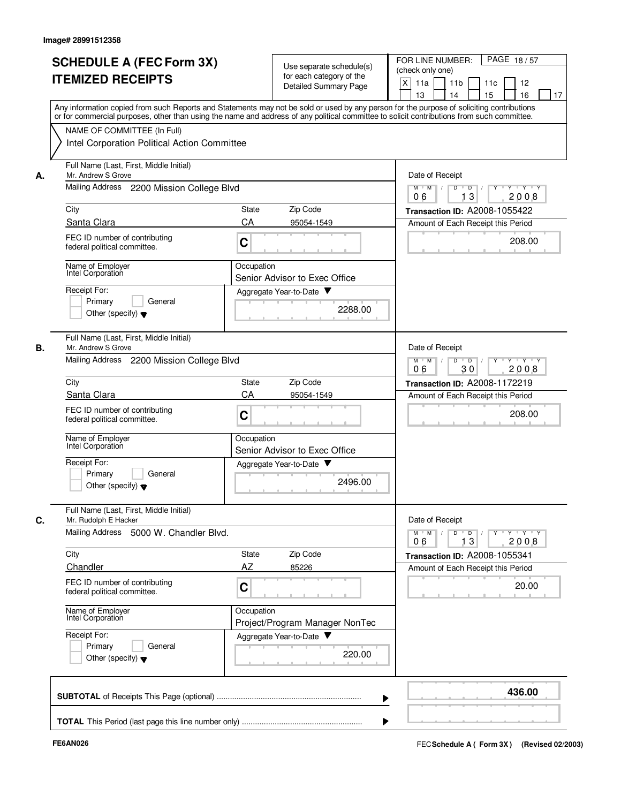|    | <b>SCHEDULE A (FEC Form 3X)</b>                                                                                                                                                                                                                                                         |                                                                                        | Use separate schedule(s)                          | PAGE 18/57<br>FOR LINE NUMBER:<br>(check only one)                                                                      |
|----|-----------------------------------------------------------------------------------------------------------------------------------------------------------------------------------------------------------------------------------------------------------------------------------------|----------------------------------------------------------------------------------------|---------------------------------------------------|-------------------------------------------------------------------------------------------------------------------------|
|    | <b>ITEMIZED RECEIPTS</b>                                                                                                                                                                                                                                                                |                                                                                        | for each category of the<br>Detailed Summary Page | X<br>11a<br>11 <sub>b</sub><br>11c<br>12<br>15<br>13<br>14<br>16<br>17                                                  |
|    | Any information copied from such Reports and Statements may not be sold or used by any person for the purpose of soliciting contributions<br>or for commercial purposes, other than using the name and address of any political committee to solicit contributions from such committee. |                                                                                        |                                                   |                                                                                                                         |
|    | NAME OF COMMITTEE (In Full)<br>Intel Corporation Political Action Committee                                                                                                                                                                                                             |                                                                                        |                                                   |                                                                                                                         |
| А. | Full Name (Last, First, Middle Initial)<br>Mr. Andrew S Grove                                                                                                                                                                                                                           |                                                                                        |                                                   | Date of Receipt                                                                                                         |
|    | Mailing Address 2200 Mission College Blvd                                                                                                                                                                                                                                               | $M$ $M$ /<br>D<br>$\overline{\mathsf{D}}$<br>$Y - Y - Y$<br>$\Box$<br>13<br>2008<br>06 |                                                   |                                                                                                                         |
|    | City                                                                                                                                                                                                                                                                                    | State                                                                                  | Zip Code                                          | Transaction ID: A2008-1055422                                                                                           |
|    | Santa Clara                                                                                                                                                                                                                                                                             | CA                                                                                     | 95054-1549                                        | Amount of Each Receipt this Period                                                                                      |
|    | FEC ID number of contributing<br>federal political committee.                                                                                                                                                                                                                           | C                                                                                      |                                                   | 208.00                                                                                                                  |
|    | Name of Employer<br>Intel Corporation                                                                                                                                                                                                                                                   | Occupation                                                                             | Senior Advisor to Exec Office                     |                                                                                                                         |
|    | Receipt For:                                                                                                                                                                                                                                                                            |                                                                                        | Aggregate Year-to-Date                            |                                                                                                                         |
|    | Primary<br>General<br>Other (specify) $\blacktriangledown$                                                                                                                                                                                                                              |                                                                                        | 2288.00                                           |                                                                                                                         |
| В. | Full Name (Last, First, Middle Initial)<br>Mr. Andrew S Grove                                                                                                                                                                                                                           |                                                                                        |                                                   | Date of Receipt                                                                                                         |
|    | Mailing Address 2200 Mission College Blvd                                                                                                                                                                                                                                               | $Y$ $Y$ $Y$<br>$M$ M<br>D<br>$\overline{D}$<br>Y<br>30<br>06<br>2008                   |                                                   |                                                                                                                         |
|    | City                                                                                                                                                                                                                                                                                    | <b>State</b>                                                                           | Zip Code                                          | <b>Transaction ID: A2008-1172219</b>                                                                                    |
|    | Santa Clara                                                                                                                                                                                                                                                                             | CA                                                                                     | 95054-1549                                        | Amount of Each Receipt this Period                                                                                      |
|    | FEC ID number of contributing<br>federal political committee.                                                                                                                                                                                                                           | C                                                                                      |                                                   | 208.00                                                                                                                  |
|    | Name of Employer<br>Intel Corporation                                                                                                                                                                                                                                                   | Occupation                                                                             | Senior Advisor to Exec Office                     |                                                                                                                         |
|    | Receipt For:<br>Primarv<br>General                                                                                                                                                                                                                                                      |                                                                                        | Aggregate Year-to-Date                            |                                                                                                                         |
|    | Other (specify) $\blacktriangledown$                                                                                                                                                                                                                                                    |                                                                                        | 2496.00                                           |                                                                                                                         |
| C. | Full Name (Last, First, Middle Initial)<br>Mr. Rudolph E Hacker                                                                                                                                                                                                                         |                                                                                        |                                                   | Date of Receipt                                                                                                         |
|    | Mailing Address<br>5000 W. Chandler Blvd.                                                                                                                                                                                                                                               |                                                                                        |                                                   | $\mathsf{Y} \dashv \mathsf{Y} \dashv \mathsf{Y}$<br>$M$ $M$ /<br>D<br>$\overline{\phantom{a}}$<br>Y<br>13<br>2008<br>06 |
|    | City                                                                                                                                                                                                                                                                                    | State                                                                                  | Zip Code                                          | Transaction ID: A2008-1055341                                                                                           |
|    | Chandler                                                                                                                                                                                                                                                                                | AZ                                                                                     | 85226                                             | Amount of Each Receipt this Period                                                                                      |
|    | FEC ID number of contributing<br>federal political committee.                                                                                                                                                                                                                           | C                                                                                      |                                                   | 20.00                                                                                                                   |
|    | Name of Employer<br>Intel Corporation                                                                                                                                                                                                                                                   | Occupation                                                                             | Project/Program Manager NonTec                    |                                                                                                                         |
|    | Receipt For:                                                                                                                                                                                                                                                                            |                                                                                        | Aggregate Year-to-Date                            |                                                                                                                         |
|    | Primary<br>General<br>Other (specify) $\blacktriangledown$                                                                                                                                                                                                                              |                                                                                        | 220.00                                            |                                                                                                                         |
|    |                                                                                                                                                                                                                                                                                         |                                                                                        |                                                   | 436.00                                                                                                                  |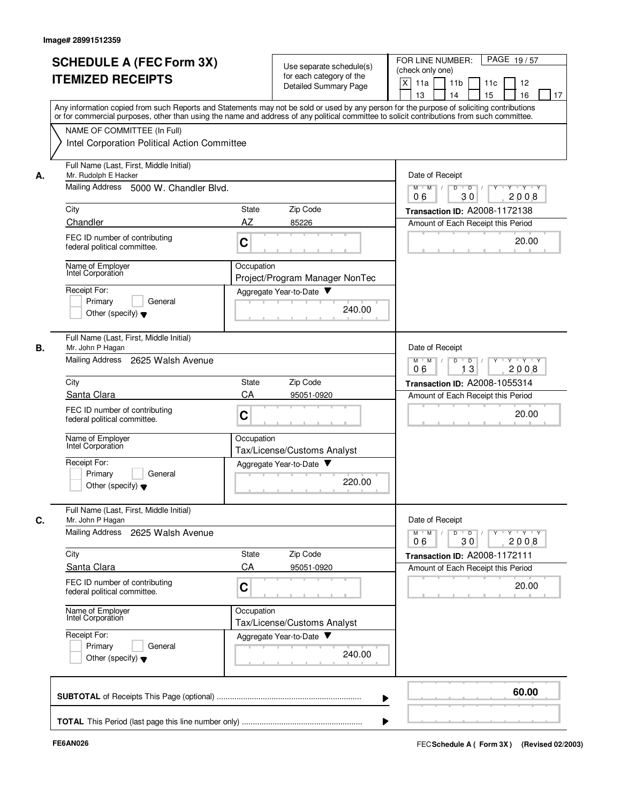|    | <b>SCHEDULE A (FEC Form 3X)</b><br><b>ITEMIZED RECEIPTS</b>                                                                                                                                                                                                                                                            | Use separate schedule(s)<br>for each category of the<br>Detailed Summary Page                | PAGE 19/57<br>FOR LINE NUMBER:<br>(check only one)<br>X<br>11 <sub>b</sub><br>11a<br>11c<br>12<br>13<br>14<br>15<br>16<br>17 |
|----|------------------------------------------------------------------------------------------------------------------------------------------------------------------------------------------------------------------------------------------------------------------------------------------------------------------------|----------------------------------------------------------------------------------------------|------------------------------------------------------------------------------------------------------------------------------|
|    | Any information copied from such Reports and Statements may not be sold or used by any person for the purpose of soliciting contributions<br>or for commercial purposes, other than using the name and address of any political committee to solicit contributions from such committee.<br>NAME OF COMMITTEE (In Full) |                                                                                              |                                                                                                                              |
|    | Intel Corporation Political Action Committee                                                                                                                                                                                                                                                                           |                                                                                              |                                                                                                                              |
| А. | Full Name (Last, First, Middle Initial)<br>Mr. Rudolph E Hacker                                                                                                                                                                                                                                                        |                                                                                              | Date of Receipt                                                                                                              |
|    | Mailing Address<br>5000 W. Chandler Blvd.                                                                                                                                                                                                                                                                              | <b>Y TY TY</b><br>$M$ $M$ /<br>D<br>$\overline{D}$ /<br>$Y$ <sup>U</sup><br>30<br>06<br>2008 |                                                                                                                              |
|    | City                                                                                                                                                                                                                                                                                                                   | Zip Code<br>State                                                                            | Transaction ID: A2008-1172138                                                                                                |
|    | Chandler<br>FEC ID number of contributing<br>federal political committee.                                                                                                                                                                                                                                              | AZ<br>85226<br>C                                                                             | Amount of Each Receipt this Period<br>20.00                                                                                  |
|    | Name of Employer<br>Intel Corporation                                                                                                                                                                                                                                                                                  | Occupation<br>Project/Program Manager NonTec                                                 |                                                                                                                              |
|    | Receipt For:<br>Primary<br>General<br>Other (specify) $\blacktriangledown$                                                                                                                                                                                                                                             | Aggregate Year-to-Date<br>240.00                                                             |                                                                                                                              |
| В. | Full Name (Last, First, Middle Initial)<br>Mr. John P Hagan<br>Mailing Address<br>2625 Walsh Avenue                                                                                                                                                                                                                    |                                                                                              | Date of Receipt<br>$Y - Y - Y$<br>$M$ M<br>D<br>D                                                                            |
|    | City                                                                                                                                                                                                                                                                                                                   | 2008<br>13<br>06<br>Transaction ID: A2008-1055314                                            |                                                                                                                              |
|    | Santa Clara                                                                                                                                                                                                                                                                                                            | Zip Code<br>State<br>CA<br>95051-0920                                                        | Amount of Each Receipt this Period                                                                                           |
|    | FEC ID number of contributing<br>federal political committee.                                                                                                                                                                                                                                                          | C                                                                                            | 20.00                                                                                                                        |
|    | Name of Employer<br>Intel Corporation                                                                                                                                                                                                                                                                                  | Occupation<br>Tax/License/Customs Analyst                                                    |                                                                                                                              |
|    | Receipt For:<br>Primary<br>General<br>Other (specify) $\blacktriangledown$                                                                                                                                                                                                                                             | Aggregate Year-to-Date<br>220.00                                                             |                                                                                                                              |
| C. | Full Name (Last, First, Middle Initial)<br>Mr. John P Hagan<br>Mailing Address 2625 Walsh Avenue                                                                                                                                                                                                                       |                                                                                              | Date of Receipt<br>$Y$ $Y$ $Y$<br>$M$ M<br>D<br>$\overline{D}$<br>Y                                                          |
|    | City                                                                                                                                                                                                                                                                                                                   | Zip Code<br>State                                                                            | 2008<br>06<br>30<br>Transaction ID: A2008-1172111                                                                            |
|    | Santa Clara                                                                                                                                                                                                                                                                                                            | CA<br>95051-0920                                                                             | Amount of Each Receipt this Period                                                                                           |
|    | FEC ID number of contributing<br>federal political committee.                                                                                                                                                                                                                                                          | C                                                                                            | 20.00                                                                                                                        |
|    | Name of Employer<br>Intel Corporation                                                                                                                                                                                                                                                                                  | Occupation<br>Tax/License/Customs Analyst                                                    |                                                                                                                              |
|    | Receipt For:<br>Primary<br>General<br>Other (specify) $\blacktriangledown$                                                                                                                                                                                                                                             | Aggregate Year-to-Date<br>240.00                                                             |                                                                                                                              |
|    |                                                                                                                                                                                                                                                                                                                        |                                                                                              | 60.00                                                                                                                        |
|    |                                                                                                                                                                                                                                                                                                                        |                                                                                              |                                                                                                                              |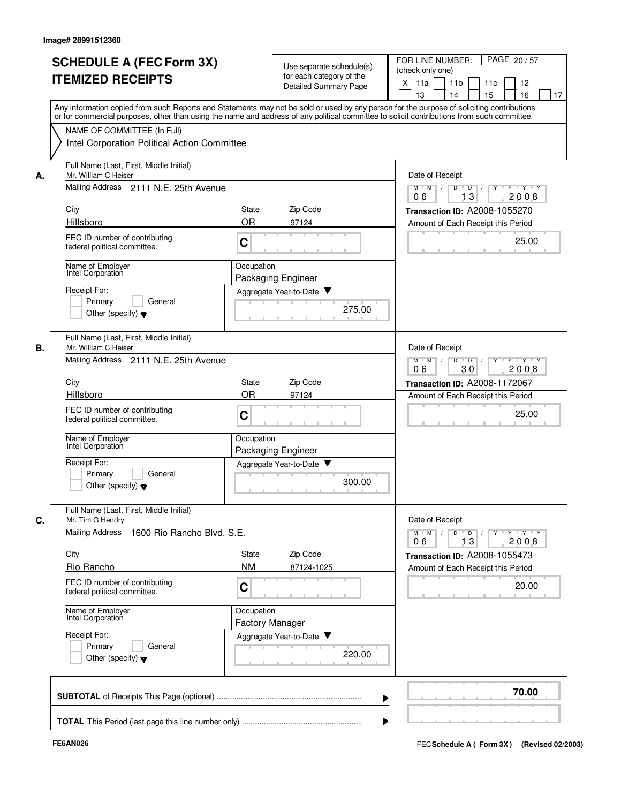|    | <b>SCHEDULE A (FEC Form 3X)</b><br><b>ITEMIZED RECEIPTS</b><br>Any information copied from such Reports and Statements may not be sold or used by any person for the purpose of soliciting contributions<br>or for commercial purposes, other than using the name and address of any political committee to solicit contributions from such committee.<br>NAME OF COMMITTEE (In Full) |                                                                           | Use separate schedule(s)<br>for each category of the<br><b>Detailed Summary Page</b> | FOR LINE NUMBER:<br>PAGE 20/57<br>(check only one)<br>X<br>11a<br>12<br>11 <sub>b</sub><br>11c<br>13<br>14<br>15<br>16<br>17 |
|----|---------------------------------------------------------------------------------------------------------------------------------------------------------------------------------------------------------------------------------------------------------------------------------------------------------------------------------------------------------------------------------------|---------------------------------------------------------------------------|--------------------------------------------------------------------------------------|------------------------------------------------------------------------------------------------------------------------------|
|    | Intel Corporation Political Action Committee                                                                                                                                                                                                                                                                                                                                          |                                                                           |                                                                                      |                                                                                                                              |
| А. | Full Name (Last, First, Middle Initial)<br>Mr. William C Heiser                                                                                                                                                                                                                                                                                                                       | Date of Receipt                                                           |                                                                                      |                                                                                                                              |
|    | Mailing Address 2111 N.E. 25th Avenue                                                                                                                                                                                                                                                                                                                                                 | $Y - Y - Y$<br>$M$ $M$ /<br>D<br>$\overline{D}$ /<br>3<br>2008<br>06<br>1 |                                                                                      |                                                                                                                              |
|    | City<br>Hillsboro                                                                                                                                                                                                                                                                                                                                                                     | <b>State</b><br><b>OR</b>                                                 | Zip Code<br>97124                                                                    | <b>Transaction ID: A2008-1055270</b><br>Amount of Each Receipt this Period                                                   |
|    | FEC ID number of contributing<br>federal political committee.                                                                                                                                                                                                                                                                                                                         | C                                                                         |                                                                                      | 25.00                                                                                                                        |
|    | Name of Employer<br>Intel Corporation                                                                                                                                                                                                                                                                                                                                                 | Occupation<br>Packaging Engineer                                          |                                                                                      |                                                                                                                              |
|    | Receipt For:<br>General<br>Primary<br>Other (specify) $\blacktriangledown$                                                                                                                                                                                                                                                                                                            |                                                                           | Aggregate Year-to-Date<br>275.00                                                     |                                                                                                                              |
| В. | Full Name (Last, First, Middle Initial)<br>Mr. William C Heiser<br>Mailing Address 2111 N.E. 25th Avenue                                                                                                                                                                                                                                                                              |                                                                           |                                                                                      | Date of Receipt<br>D<br>$Y \vdash Y \vdash Y$<br>$M$ $M$<br>$\mathbb{L}$<br>$\overline{D}$                                   |
|    | City                                                                                                                                                                                                                                                                                                                                                                                  | <b>State</b>                                                              | Zip Code                                                                             | 06<br>30<br>2008<br>Transaction ID: A2008-1172067                                                                            |
|    | Hillsboro                                                                                                                                                                                                                                                                                                                                                                             | <b>OR</b>                                                                 | 97124                                                                                | Amount of Each Receipt this Period                                                                                           |
|    | FEC ID number of contributing<br>federal political committee.                                                                                                                                                                                                                                                                                                                         | C                                                                         |                                                                                      | 25.00                                                                                                                        |
|    | Name of Employer<br>Intel Corporation                                                                                                                                                                                                                                                                                                                                                 | Occupation<br>Packaging Engineer                                          |                                                                                      |                                                                                                                              |
|    | Receipt For:<br>Primary<br>General<br>Other (specify) $\blacktriangledown$                                                                                                                                                                                                                                                                                                            |                                                                           | Aggregate Year-to-Date<br>300.00                                                     |                                                                                                                              |
| C. | Full Name (Last, First, Middle Initial)<br>Mr. Tim G Hendry                                                                                                                                                                                                                                                                                                                           |                                                                           |                                                                                      | Date of Receipt                                                                                                              |
|    | Mailing Address 1600 Rio Rancho Blvd. S.E.                                                                                                                                                                                                                                                                                                                                            |                                                                           |                                                                                      | $\mathsf{Y} \dashv \mathsf{Y} \dashv \mathsf{Y}$<br>$M$ $M$ /<br>$D$ $D$ $I$<br>$Y$ <sup>U</sup><br>13<br>2008<br>06         |
|    | City                                                                                                                                                                                                                                                                                                                                                                                  | State                                                                     | Zip Code                                                                             | Transaction ID: A2008-1055473                                                                                                |
|    | Rio Rancho<br>FEC ID number of contributing<br>federal political committee.                                                                                                                                                                                                                                                                                                           | <b>NM</b><br>C                                                            | 87124-1025                                                                           | Amount of Each Receipt this Period<br>20.00                                                                                  |
|    | Name of Employer<br>Intel Corporation                                                                                                                                                                                                                                                                                                                                                 | Occupation<br>Factory Manager                                             |                                                                                      |                                                                                                                              |
|    | Receipt For:<br>Primary<br>General<br>Other (specify) $\blacktriangledown$                                                                                                                                                                                                                                                                                                            |                                                                           | Aggregate Year-to-Date<br>220.00                                                     |                                                                                                                              |
|    |                                                                                                                                                                                                                                                                                                                                                                                       |                                                                           |                                                                                      | 70.00                                                                                                                        |
|    |                                                                                                                                                                                                                                                                                                                                                                                       |                                                                           |                                                                                      |                                                                                                                              |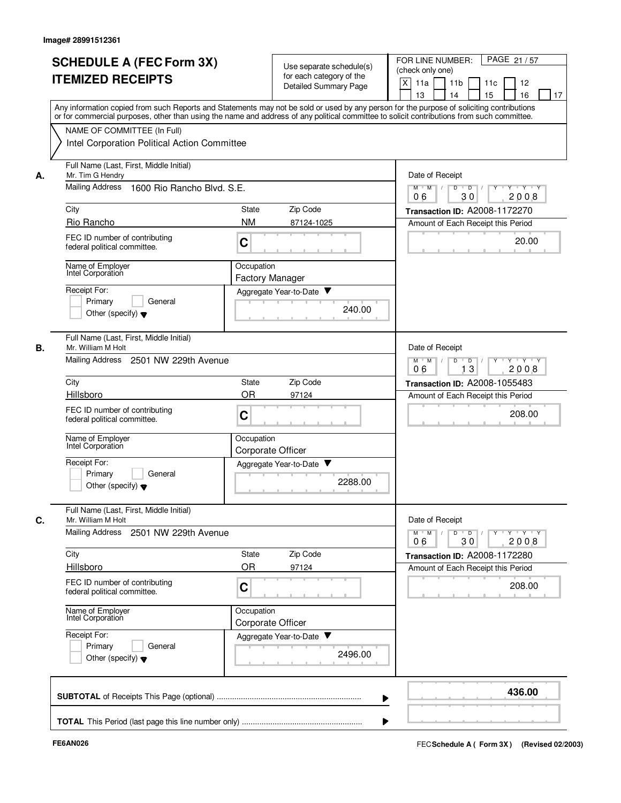|    | <b>SCHEDULE A (FEC Form 3X)</b><br><b>ITEMIZED RECEIPTS</b>   | Use separate schedule(s)<br>for each category of the<br>Detailed Summary Page                                                                                                                                                                                                           | PAGE 21/57<br>FOR LINE NUMBER:<br>(check only one)<br>X<br>11 <sub>b</sub><br>11a<br>11c<br>12<br>13<br>14<br>15<br>16<br>17 |
|----|---------------------------------------------------------------|-----------------------------------------------------------------------------------------------------------------------------------------------------------------------------------------------------------------------------------------------------------------------------------------|------------------------------------------------------------------------------------------------------------------------------|
|    | NAME OF COMMITTEE (In Full)                                   | Any information copied from such Reports and Statements may not be sold or used by any person for the purpose of soliciting contributions<br>or for commercial purposes, other than using the name and address of any political committee to solicit contributions from such committee. |                                                                                                                              |
|    | Intel Corporation Political Action Committee                  |                                                                                                                                                                                                                                                                                         |                                                                                                                              |
| А. | Full Name (Last, First, Middle Initial)<br>Mr. Tim G Hendry   |                                                                                                                                                                                                                                                                                         | Date of Receipt                                                                                                              |
|    | <b>Mailing Address</b><br>1600 Rio Rancho Blvd, S.E.          | y y y y y y<br>$M$ $M$ /<br>D<br>$\overline{D}$ /<br>30<br>06<br>2008                                                                                                                                                                                                                   |                                                                                                                              |
|    | City                                                          | Zip Code<br>State                                                                                                                                                                                                                                                                       | Transaction ID: A2008-1172270                                                                                                |
|    | Rio Rancho                                                    | <b>NM</b><br>87124-1025                                                                                                                                                                                                                                                                 | Amount of Each Receipt this Period                                                                                           |
|    | FEC ID number of contributing<br>federal political committee. | C                                                                                                                                                                                                                                                                                       | 20.00                                                                                                                        |
|    | Name of Employer<br>Intel Corporation                         | Occupation<br><b>Factory Manager</b>                                                                                                                                                                                                                                                    |                                                                                                                              |
|    | Receipt For:                                                  | Aggregate Year-to-Date                                                                                                                                                                                                                                                                  |                                                                                                                              |
|    | Primary<br>General<br>Other (specify) $\blacktriangledown$    | 240.00                                                                                                                                                                                                                                                                                  |                                                                                                                              |
| В. | Full Name (Last, First, Middle Initial)<br>Mr. William M Holt |                                                                                                                                                                                                                                                                                         | Date of Receipt                                                                                                              |
|    | Mailing Address<br>2501 NW 229th Avenue                       | $Y + Y + Y$<br>$M$ M<br>D<br>D<br>2008<br>13<br>06                                                                                                                                                                                                                                      |                                                                                                                              |
|    | City                                                          | Zip Code<br>State                                                                                                                                                                                                                                                                       | Transaction ID: A2008-1055483                                                                                                |
|    | Hillsboro                                                     | <b>OR</b><br>97124                                                                                                                                                                                                                                                                      | Amount of Each Receipt this Period                                                                                           |
|    | FEC ID number of contributing<br>federal political committee. | C                                                                                                                                                                                                                                                                                       | 208.00                                                                                                                       |
|    | Name of Employer<br>Intel Corporation                         | Occupation<br>Corporate Officer                                                                                                                                                                                                                                                         |                                                                                                                              |
|    | Receipt For:                                                  | Aggregate Year-to-Date<br>▼                                                                                                                                                                                                                                                             |                                                                                                                              |
|    | Primary<br>General<br>Other (specify) $\blacktriangledown$    | 2288.00                                                                                                                                                                                                                                                                                 |                                                                                                                              |
| C. | Full Name (Last, First, Middle Initial)<br>Mr. William M Holt |                                                                                                                                                                                                                                                                                         | Date of Receipt                                                                                                              |
|    | Mailing Address 2501 NW 229th Avenue                          |                                                                                                                                                                                                                                                                                         | $Y$ $Y$ $Y$<br>$M$ $M$<br>D<br>$\overline{D}$<br>Y<br>2008<br>06<br>30                                                       |
|    | City                                                          | State<br>Zip Code                                                                                                                                                                                                                                                                       | Transaction ID: A2008-1172280                                                                                                |
|    | Hillsboro                                                     | OR<br>97124                                                                                                                                                                                                                                                                             | Amount of Each Receipt this Period                                                                                           |
|    | FEC ID number of contributing<br>federal political committee. | C                                                                                                                                                                                                                                                                                       | 208.00                                                                                                                       |
|    | Name of Employer<br>Intel Corporation                         | Occupation<br>Corporate Officer                                                                                                                                                                                                                                                         |                                                                                                                              |
|    | Receipt For:                                                  | Aggregate Year-to-Date                                                                                                                                                                                                                                                                  |                                                                                                                              |
|    | Primary<br>General<br>Other (specify) $\blacktriangledown$    | 2496.00                                                                                                                                                                                                                                                                                 |                                                                                                                              |
|    |                                                               |                                                                                                                                                                                                                                                                                         | 436.00                                                                                                                       |
|    |                                                               |                                                                                                                                                                                                                                                                                         |                                                                                                                              |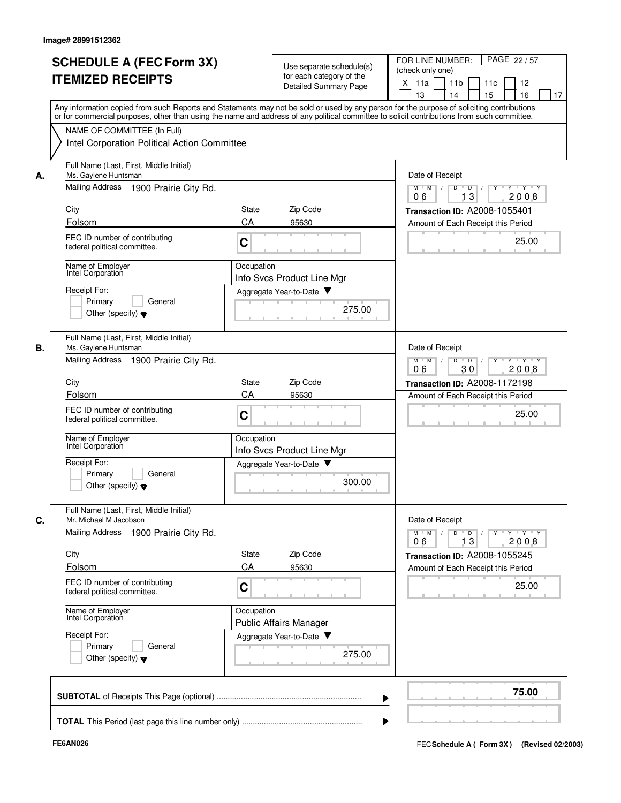|    | <b>SCHEDULE A (FEC Form 3X)</b><br><b>ITEMIZED RECEIPTS</b>                                                 | Use separate schedule(s)<br>for each category of the<br>Detailed Summary Page                                                                                                                                                                                                           | FOR LINE NUMBER:<br>PAGE 22/57<br>(check only one)<br>X<br>11a<br>11 <sub>b</sub><br>11c<br>12<br>13<br>14<br>15<br>16<br>17 |
|----|-------------------------------------------------------------------------------------------------------------|-----------------------------------------------------------------------------------------------------------------------------------------------------------------------------------------------------------------------------------------------------------------------------------------|------------------------------------------------------------------------------------------------------------------------------|
|    | NAME OF COMMITTEE (In Full)                                                                                 | Any information copied from such Reports and Statements may not be sold or used by any person for the purpose of soliciting contributions<br>or for commercial purposes, other than using the name and address of any political committee to solicit contributions from such committee. |                                                                                                                              |
|    | Intel Corporation Political Action Committee                                                                |                                                                                                                                                                                                                                                                                         |                                                                                                                              |
| А. | Full Name (Last, First, Middle Initial)<br>Ms. Gaylene Huntsman<br>Mailing Address<br>1900 Prairie City Rd. | Date of Receipt<br>Y Y Y Y<br>$M$ $M$ /<br>D<br>$\blacksquare$ D $\blacksquare$ /<br>$Y$ <sup>-1</sup>                                                                                                                                                                                  |                                                                                                                              |
|    | City                                                                                                        | Zip Code<br>State                                                                                                                                                                                                                                                                       | 13<br>06<br>2008<br>Transaction ID: A2008-1055401                                                                            |
|    | Folsom                                                                                                      | CA<br>95630                                                                                                                                                                                                                                                                             | Amount of Each Receipt this Period                                                                                           |
|    | FEC ID number of contributing<br>federal political committee.                                               | C                                                                                                                                                                                                                                                                                       | 25.00                                                                                                                        |
|    | Name of Employer<br>Intel Corporation                                                                       | Occupation<br>Info Svcs Product Line Mgr                                                                                                                                                                                                                                                |                                                                                                                              |
|    | Receipt For:<br>Primary<br>General<br>Other (specify) $\blacktriangledown$                                  | Aggregate Year-to-Date<br>275.00                                                                                                                                                                                                                                                        |                                                                                                                              |
| В. | Full Name (Last, First, Middle Initial)<br>Ms. Gaylene Huntsman                                             |                                                                                                                                                                                                                                                                                         | Date of Receipt                                                                                                              |
|    | Mailing Address 1900 Prairie City Rd.                                                                       | $M$ M<br>D<br>$Y - Y - Y$<br>$\sqrt{ }$<br>$\overline{D}$<br>2008<br>06<br>30                                                                                                                                                                                                           |                                                                                                                              |
|    | City                                                                                                        | Zip Code<br>State                                                                                                                                                                                                                                                                       | Transaction ID: A2008-1172198                                                                                                |
|    | Folsom<br>FEC ID number of contributing<br>federal political committee.                                     | CA<br>95630<br>C                                                                                                                                                                                                                                                                        | Amount of Each Receipt this Period<br>25.00                                                                                  |
|    | Name of Employer<br>Intel Corporation                                                                       | Occupation<br>Info Svcs Product Line Mgr                                                                                                                                                                                                                                                |                                                                                                                              |
|    | Receipt For:<br>Primary<br>General<br>Other (specify) $\blacktriangledown$                                  | Aggregate Year-to-Date<br>300.00                                                                                                                                                                                                                                                        |                                                                                                                              |
| С. | Full Name (Last, First, Middle Initial)<br>Mr. Michael M Jacobson                                           |                                                                                                                                                                                                                                                                                         | Date of Receipt                                                                                                              |
|    | Mailing Address 1900 Prairie City Rd.                                                                       |                                                                                                                                                                                                                                                                                         | $Y$ $Y$ $Y$<br>$M$ $M$<br>D<br>$\Box$<br>13<br>2008<br>06                                                                    |
|    | City<br>Folsom                                                                                              | Zip Code<br>State<br>CA                                                                                                                                                                                                                                                                 | Transaction ID: A2008-1055245                                                                                                |
|    | FEC ID number of contributing<br>federal political committee.                                               | 95630<br>C                                                                                                                                                                                                                                                                              | Amount of Each Receipt this Period<br>25.00                                                                                  |
|    | Name of Employer<br>Intel Corporation                                                                       | Occupation<br>Public Affairs Manager                                                                                                                                                                                                                                                    |                                                                                                                              |
|    | Receipt For:<br>Primary<br>General<br>Other (specify) $\blacktriangledown$                                  | Aggregate Year-to-Date<br>275.00                                                                                                                                                                                                                                                        |                                                                                                                              |
|    |                                                                                                             |                                                                                                                                                                                                                                                                                         | 75.00                                                                                                                        |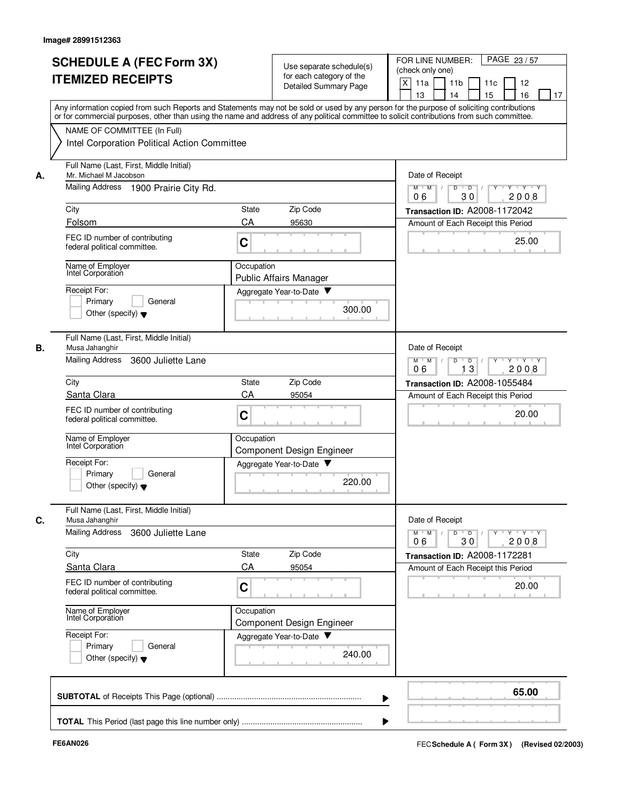|    | <b>SCHEDULE A (FEC Form 3X)</b><br><b>ITEMIZED RECEIPTS</b>                  | Use separate schedule(s)<br>for each category of the<br>Detailed Summary Page                                                                                                                                                                                                           | PAGE 23/57<br>FOR LINE NUMBER:<br>(check only one)<br>X<br>11 <sub>b</sub><br>11a<br>11c<br>12<br>13<br>14<br>15<br>16<br>17 |
|----|------------------------------------------------------------------------------|-----------------------------------------------------------------------------------------------------------------------------------------------------------------------------------------------------------------------------------------------------------------------------------------|------------------------------------------------------------------------------------------------------------------------------|
|    | NAME OF COMMITTEE (In Full)                                                  | Any information copied from such Reports and Statements may not be sold or used by any person for the purpose of soliciting contributions<br>or for commercial purposes, other than using the name and address of any political committee to solicit contributions from such committee. |                                                                                                                              |
|    | Intel Corporation Political Action Committee                                 |                                                                                                                                                                                                                                                                                         |                                                                                                                              |
| А. | Full Name (Last, First, Middle Initial)<br>Mr. Michael M Jacobson            | Date of Receipt                                                                                                                                                                                                                                                                         |                                                                                                                              |
|    | Mailing Address 1900 Prairie City Rd.                                        |                                                                                                                                                                                                                                                                                         | Y FY FY FY<br>$M$ $M$ /<br>D<br>$\overline{D}$ /<br>30<br>06<br>2008                                                         |
|    | City                                                                         | Zip Code<br>State                                                                                                                                                                                                                                                                       | Transaction ID: A2008-1172042                                                                                                |
|    | Folsom<br>FEC ID number of contributing<br>federal political committee.      | CA<br>95630<br>C                                                                                                                                                                                                                                                                        | Amount of Each Receipt this Period<br>25.00                                                                                  |
|    | Name of Employer<br>Intel Corporation                                        | Occupation<br><b>Public Affairs Manager</b>                                                                                                                                                                                                                                             |                                                                                                                              |
|    | Receipt For:<br>Primary<br>General<br>Other (specify) $\blacktriangledown$   | Aggregate Year-to-Date<br>300.00                                                                                                                                                                                                                                                        |                                                                                                                              |
| В. | Full Name (Last, First, Middle Initial)<br>Musa Jahanghir                    |                                                                                                                                                                                                                                                                                         | Date of Receipt                                                                                                              |
|    | <b>Mailing Address</b><br>3600 Juliette Lane                                 | $Y - Y - Y$<br>$M$ M<br>D<br>D<br>2008<br>13<br>06                                                                                                                                                                                                                                      |                                                                                                                              |
|    | City                                                                         | Zip Code<br>State                                                                                                                                                                                                                                                                       | Transaction ID: A2008-1055484                                                                                                |
|    | Santa Clara<br>FEC ID number of contributing<br>federal political committee. | CA<br>95054<br>C                                                                                                                                                                                                                                                                        | Amount of Each Receipt this Period<br>20.00                                                                                  |
|    | Name of Employer<br>Intel Corporation                                        | Occupation<br>Component Design Engineer                                                                                                                                                                                                                                                 |                                                                                                                              |
|    | Receipt For:<br>Primary<br>General<br>Other (specify) $\blacktriangledown$   | Aggregate Year-to-Date<br>220.00                                                                                                                                                                                                                                                        |                                                                                                                              |
| C. | Full Name (Last, First, Middle Initial)<br>Musa Jahanghir                    |                                                                                                                                                                                                                                                                                         | Date of Receipt                                                                                                              |
|    | Mailing Address<br>3600 Juliette Lane                                        |                                                                                                                                                                                                                                                                                         | $Y$ $Y$ $Y$<br>$M$ $M$<br>D<br>$\overline{D}$<br>Y<br>2008<br>06<br>30                                                       |
|    | City                                                                         | Zip Code<br>State                                                                                                                                                                                                                                                                       | Transaction ID: A2008-1172281                                                                                                |
|    | Santa Clara                                                                  | CA<br>95054                                                                                                                                                                                                                                                                             | Amount of Each Receipt this Period                                                                                           |
|    | FEC ID number of contributing<br>federal political committee.                | C                                                                                                                                                                                                                                                                                       | 20.00                                                                                                                        |
|    | Name of Employer<br>Intel Corporation                                        | Occupation<br>Component Design Engineer                                                                                                                                                                                                                                                 |                                                                                                                              |
|    | Receipt For:<br>Primary<br>General<br>Other (specify) $\blacktriangledown$   | Aggregate Year-to-Date<br>240.00                                                                                                                                                                                                                                                        |                                                                                                                              |
|    |                                                                              |                                                                                                                                                                                                                                                                                         | 65.00                                                                                                                        |
|    |                                                                              |                                                                                                                                                                                                                                                                                         |                                                                                                                              |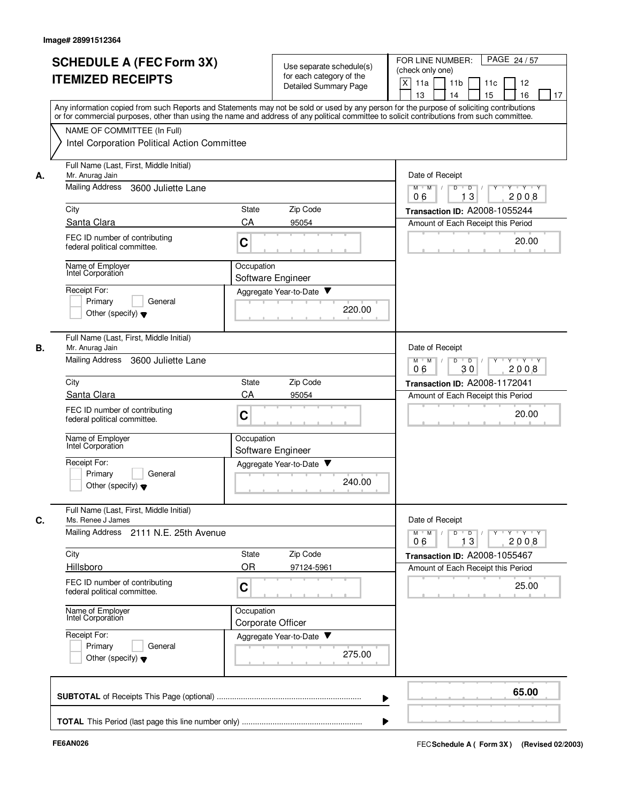|    | <b>SCHEDULE A (FEC Form 3X)</b><br><b>ITEMIZED RECEIPTS</b><br>Any information copied from such Reports and Statements may not be sold or used by any person for the purpose of soliciting contributions<br>or for commercial purposes, other than using the name and address of any political committee to solicit contributions from such committee. |                                 | Use separate schedule(s)<br>for each category of the<br><b>Detailed Summary Page</b> | FOR LINE NUMBER:<br>PAGE 24/57<br>(check only one)<br>$\times$<br>11a<br>11 <sub>b</sub><br>11c<br>12<br>13<br>14<br>15<br>16<br>17 |
|----|--------------------------------------------------------------------------------------------------------------------------------------------------------------------------------------------------------------------------------------------------------------------------------------------------------------------------------------------------------|---------------------------------|--------------------------------------------------------------------------------------|-------------------------------------------------------------------------------------------------------------------------------------|
|    | NAME OF COMMITTEE (In Full)<br>Intel Corporation Political Action Committee                                                                                                                                                                                                                                                                            |                                 |                                                                                      |                                                                                                                                     |
| А. | Full Name (Last, First, Middle Initial)<br>Mr. Anurag Jain                                                                                                                                                                                                                                                                                             |                                 |                                                                                      | Date of Receipt                                                                                                                     |
|    | <b>Mailing Address</b><br>3600 Juliette Lane                                                                                                                                                                                                                                                                                                           |                                 |                                                                                      | $M$ $M$ /<br>$Y \vdash Y \vdash Y$<br>D<br>$\overline{\phantom{0}}$ D<br>13<br>2008<br>06                                           |
|    | City                                                                                                                                                                                                                                                                                                                                                   | State                           | Zip Code                                                                             | Transaction ID: A2008-1055244                                                                                                       |
|    | Santa Clara                                                                                                                                                                                                                                                                                                                                            | CA                              | 95054                                                                                | Amount of Each Receipt this Period                                                                                                  |
|    | FEC ID number of contributing<br>federal political committee.                                                                                                                                                                                                                                                                                          | C                               |                                                                                      | 20.00                                                                                                                               |
|    | Name of Employer<br>Intel Corporation                                                                                                                                                                                                                                                                                                                  | Occupation                      | Software Engineer                                                                    |                                                                                                                                     |
|    | Receipt For:                                                                                                                                                                                                                                                                                                                                           |                                 | Aggregate Year-to-Date                                                               |                                                                                                                                     |
|    | General<br>Primary<br>Other (specify) $\blacktriangledown$                                                                                                                                                                                                                                                                                             |                                 | 220.00                                                                               |                                                                                                                                     |
| В. | Full Name (Last, First, Middle Initial)<br>Mr. Anurag Jain                                                                                                                                                                                                                                                                                             |                                 |                                                                                      | Date of Receipt                                                                                                                     |
|    | <b>Mailing Address</b><br>3600 Juliette Lane                                                                                                                                                                                                                                                                                                           |                                 |                                                                                      | D<br>$Y - Y - Y$<br>$M$ M<br>$\sqrt{ }$<br>$\overline{D}$<br>2008<br>06<br>30                                                       |
|    | City                                                                                                                                                                                                                                                                                                                                                   | <b>State</b>                    | Zip Code                                                                             | Transaction ID: A2008-1172041                                                                                                       |
|    | Santa Clara                                                                                                                                                                                                                                                                                                                                            | CA                              | 95054                                                                                | Amount of Each Receipt this Period                                                                                                  |
|    | FEC ID number of contributing<br>federal political committee.                                                                                                                                                                                                                                                                                          | C                               |                                                                                      | 20.00                                                                                                                               |
|    | Name of Employer<br>Intel Corporation                                                                                                                                                                                                                                                                                                                  | Occupation                      | Software Engineer                                                                    |                                                                                                                                     |
|    | Receipt For:                                                                                                                                                                                                                                                                                                                                           |                                 | Aggregate Year-to-Date                                                               |                                                                                                                                     |
|    | Primary<br>General<br>Other (specify) $\blacktriangledown$                                                                                                                                                                                                                                                                                             |                                 | 240.00                                                                               |                                                                                                                                     |
| C. | Full Name (Last, First, Middle Initial)<br>Ms. Renee J James                                                                                                                                                                                                                                                                                           |                                 |                                                                                      | Date of Receipt                                                                                                                     |
|    | Mailing Address 2111 N.E. 25th Avenue                                                                                                                                                                                                                                                                                                                  |                                 |                                                                                      | $Y \dashv Y \dashv Y$<br>$M$ $M$ /<br>$D$ $D$ $I$<br>$\Gamma Y$<br>13<br>2008<br>06                                                 |
|    | City                                                                                                                                                                                                                                                                                                                                                   | State                           | Zip Code                                                                             | Transaction ID: A2008-1055467                                                                                                       |
|    | Hillsboro                                                                                                                                                                                                                                                                                                                                              | OR                              | 97124-5961                                                                           | Amount of Each Receipt this Period                                                                                                  |
|    | FEC ID number of contributing<br>federal political committee.                                                                                                                                                                                                                                                                                          | C                               |                                                                                      | 25.00                                                                                                                               |
|    | Name of Employer<br>Intel Corporation                                                                                                                                                                                                                                                                                                                  | Occupation<br>Corporate Officer |                                                                                      |                                                                                                                                     |
|    | Receipt For:                                                                                                                                                                                                                                                                                                                                           |                                 | Aggregate Year-to-Date                                                               |                                                                                                                                     |
|    | Primary<br>General<br>Other (specify) $\blacktriangledown$                                                                                                                                                                                                                                                                                             |                                 | 275.00                                                                               |                                                                                                                                     |
|    |                                                                                                                                                                                                                                                                                                                                                        |                                 |                                                                                      | 65.00                                                                                                                               |
|    |                                                                                                                                                                                                                                                                                                                                                        |                                 |                                                                                      |                                                                                                                                     |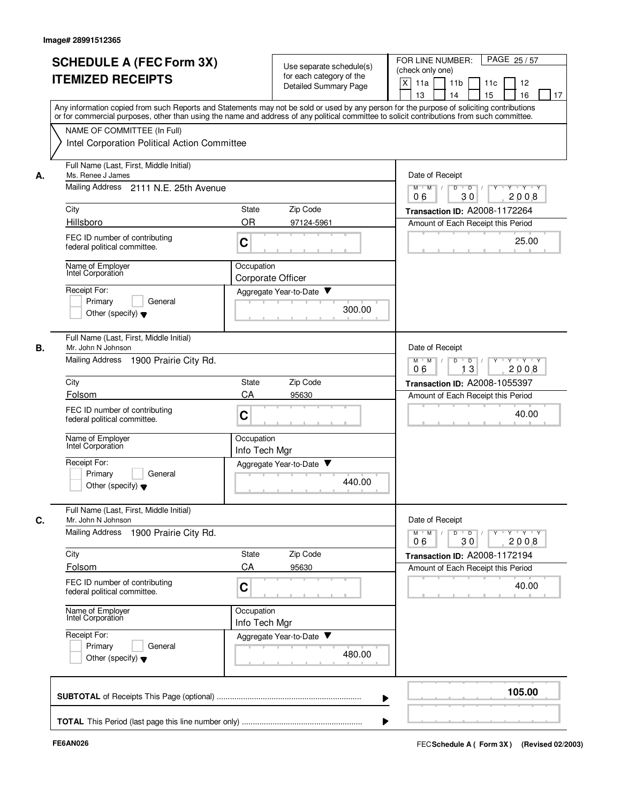|    | <b>SCHEDULE A (FEC Form 3X)</b><br><b>ITEMIZED RECEIPTS</b>                                                                                                                                                                                                                                                                                                            |                                 | Use separate schedule(s)<br>for each category of the<br>Detailed Summary Page | FOR LINE NUMBER:<br>PAGE 25/57<br>(check only one)<br>X<br>11a<br>11 <sub>b</sub><br>11c<br>12<br>15<br>16<br>13<br>14<br>17 |
|----|------------------------------------------------------------------------------------------------------------------------------------------------------------------------------------------------------------------------------------------------------------------------------------------------------------------------------------------------------------------------|---------------------------------|-------------------------------------------------------------------------------|------------------------------------------------------------------------------------------------------------------------------|
|    | Any information copied from such Reports and Statements may not be sold or used by any person for the purpose of soliciting contributions<br>or for commercial purposes, other than using the name and address of any political committee to solicit contributions from such committee.<br>NAME OF COMMITTEE (In Full)<br>Intel Corporation Political Action Committee |                                 |                                                                               |                                                                                                                              |
|    | Full Name (Last, First, Middle Initial)                                                                                                                                                                                                                                                                                                                                |                                 |                                                                               |                                                                                                                              |
| А. | Ms. Renee J James                                                                                                                                                                                                                                                                                                                                                      | Date of Receipt                 |                                                                               |                                                                                                                              |
|    | Mailing Address 2111 N.E. 25th Avenue                                                                                                                                                                                                                                                                                                                                  |                                 |                                                                               | $M$ $M$ $/$<br>$Y \vdash Y \vdash Y$<br>D<br>$\overline{D}$<br>30<br>2008<br>06                                              |
|    | City                                                                                                                                                                                                                                                                                                                                                                   | State                           | Zip Code                                                                      | Transaction ID: A2008-1172264                                                                                                |
|    | Hillsboro<br>FEC ID number of contributing<br>federal political committee.                                                                                                                                                                                                                                                                                             | <b>OR</b><br>$\mathbf C$        | 97124-5961                                                                    | Amount of Each Receipt this Period<br>25.00                                                                                  |
|    | Name of Employer<br>Intel Corporation                                                                                                                                                                                                                                                                                                                                  | Occupation<br>Corporate Officer |                                                                               |                                                                                                                              |
|    | Receipt For:<br>Primary<br>General<br>Other (specify) $\blacktriangledown$                                                                                                                                                                                                                                                                                             |                                 | Aggregate Year-to-Date<br>300.00                                              |                                                                                                                              |
| В. | Full Name (Last, First, Middle Initial)<br>Mr. John N Johnson<br>Mailing Address<br>1900 Prairie City Rd.                                                                                                                                                                                                                                                              |                                 |                                                                               | Date of Receipt<br>$M^+$ M<br>$Y - Y - Y$<br>$\frac{1}{2}$<br>D<br>$\overline{D}$                                            |
|    |                                                                                                                                                                                                                                                                                                                                                                        |                                 |                                                                               | 13<br>2008<br>06                                                                                                             |
|    | City<br>Folsom                                                                                                                                                                                                                                                                                                                                                         | State<br>CA                     | Zip Code<br>95630                                                             | Transaction ID: A2008-1055397<br>Amount of Each Receipt this Period                                                          |
|    | FEC ID number of contributing<br>federal political committee.                                                                                                                                                                                                                                                                                                          | C                               |                                                                               | 40.00                                                                                                                        |
|    | Name of Employer<br>Intel Corporation                                                                                                                                                                                                                                                                                                                                  | Occupation<br>Info Tech Mgr     |                                                                               |                                                                                                                              |
|    | Receipt For:<br>Primary<br>General<br>Other (specify) $\blacktriangledown$                                                                                                                                                                                                                                                                                             |                                 | Aggregate Year-to-Date<br>440.00                                              |                                                                                                                              |
| С. | Full Name (Last, First, Middle Initial)<br>Mr. John N Johnson                                                                                                                                                                                                                                                                                                          |                                 |                                                                               | Date of Receipt                                                                                                              |
|    | Mailing Address<br>1900 Prairie City Rd.                                                                                                                                                                                                                                                                                                                               |                                 |                                                                               | $Y$ $Y$ $Y$ $Y$<br>M<br>M<br>$\overline{D}$<br>Ÿ<br>D<br>2008<br>06<br>30                                                    |
|    | City                                                                                                                                                                                                                                                                                                                                                                   | State                           | Zip Code                                                                      | Transaction ID: A2008-1172194                                                                                                |
|    | Folsom<br>FEC ID number of contributing<br>federal political committee.                                                                                                                                                                                                                                                                                                | CA<br>C                         | 95630                                                                         | Amount of Each Receipt this Period<br>40.00                                                                                  |
|    | Name of Employer<br>Intel Corporation                                                                                                                                                                                                                                                                                                                                  | Occupation<br>Info Tech Mgr     |                                                                               |                                                                                                                              |
|    | Receipt For:<br>Primary<br>General<br>Other (specify) $\blacktriangledown$                                                                                                                                                                                                                                                                                             |                                 | Aggregate Year-to-Date<br>480.00                                              |                                                                                                                              |
|    |                                                                                                                                                                                                                                                                                                                                                                        |                                 |                                                                               | 105.00                                                                                                                       |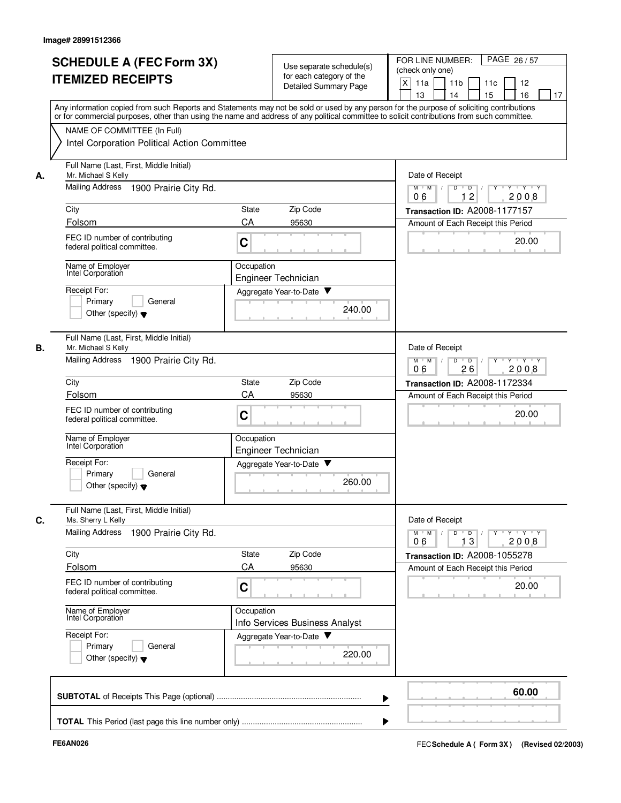|    | <b>SCHEDULE A (FEC Form 3X)</b><br><b>ITEMIZED RECEIPTS</b>                                                                                                                                                                                                                                                            | Use separate schedule(s)<br>for each category of the<br>Detailed Summary Page | FOR LINE NUMBER:<br>PAGE 26/57<br>(check only one)<br>X<br>11a<br>11 <sub>b</sub><br>11c<br>12<br>13<br>14<br>15<br>16<br>17 |
|----|------------------------------------------------------------------------------------------------------------------------------------------------------------------------------------------------------------------------------------------------------------------------------------------------------------------------|-------------------------------------------------------------------------------|------------------------------------------------------------------------------------------------------------------------------|
|    | Any information copied from such Reports and Statements may not be sold or used by any person for the purpose of soliciting contributions<br>or for commercial purposes, other than using the name and address of any political committee to solicit contributions from such committee.<br>NAME OF COMMITTEE (In Full) |                                                                               |                                                                                                                              |
|    | Intel Corporation Political Action Committee                                                                                                                                                                                                                                                                           |                                                                               |                                                                                                                              |
| А. | Full Name (Last, First, Middle Initial)<br>Mr. Michael S Kelly                                                                                                                                                                                                                                                         |                                                                               | Date of Receipt                                                                                                              |
|    | <b>Mailing Address</b><br>1900 Prairie City Rd.                                                                                                                                                                                                                                                                        |                                                                               | Y 'Y 'Y<br>$M$ $M$ /<br>D<br>$\Box$<br>$\overline{c}$<br>06<br>2008                                                          |
|    | City                                                                                                                                                                                                                                                                                                                   | Zip Code<br>State                                                             | Transaction ID: A2008-1177157                                                                                                |
|    | Folsom<br>FEC ID number of contributing<br>federal political committee.                                                                                                                                                                                                                                                | CA<br>95630<br>C                                                              | Amount of Each Receipt this Period<br>20.00                                                                                  |
|    | Name of Employer<br>Intel Corporation                                                                                                                                                                                                                                                                                  | Occupation<br>Engineer Technician                                             |                                                                                                                              |
|    | Receipt For:<br>Primary<br>General<br>Other (specify) $\blacktriangledown$                                                                                                                                                                                                                                             | Aggregate Year-to-Date<br>240.00                                              |                                                                                                                              |
| В. | Full Name (Last, First, Middle Initial)<br>Mr. Michael S Kelly<br><b>Mailing Address</b><br>1900 Prairie City Rd.                                                                                                                                                                                                      |                                                                               | Date of Receipt<br>$Y - Y - Y$<br>$M$ M<br>$\overline{D}$<br>D                                                               |
|    | City                                                                                                                                                                                                                                                                                                                   | Zip Code<br>State                                                             | 2008<br>06<br>26<br>Transaction ID: A2008-1172334                                                                            |
|    | Folsom                                                                                                                                                                                                                                                                                                                 | CA<br>95630                                                                   | Amount of Each Receipt this Period                                                                                           |
|    | FEC ID number of contributing<br>federal political committee.                                                                                                                                                                                                                                                          | $\mathbf C$                                                                   | 20.00                                                                                                                        |
|    | Name of Employer<br>Intel Corporation                                                                                                                                                                                                                                                                                  | Occupation<br>Engineer Technician                                             |                                                                                                                              |
|    | Receipt For:<br>Primary<br>General<br>Other (specify) $\blacktriangledown$                                                                                                                                                                                                                                             | Aggregate Year-to-Date<br>260.00                                              |                                                                                                                              |
| С. | Full Name (Last, First, Middle Initial)<br>Ms. Sherry L Kelly                                                                                                                                                                                                                                                          |                                                                               | Date of Receipt                                                                                                              |
|    | Mailing Address<br>1900 Prairie City Rd.                                                                                                                                                                                                                                                                               |                                                                               | $\mathsf{Y} \dashv \mathsf{Y} \dashv \mathsf{Y}$<br>$M$ $M$<br>$\overline{D}$<br>Y<br>D<br>13<br>2008<br>06                  |
|    | City                                                                                                                                                                                                                                                                                                                   | Zip Code<br>State                                                             | Transaction ID: A2008-1055278                                                                                                |
|    | Folsom<br>FEC ID number of contributing<br>federal political committee.                                                                                                                                                                                                                                                | CA<br>95630<br>C                                                              | Amount of Each Receipt this Period<br>20.00                                                                                  |
|    | Name of Employer<br>Intel Corporation                                                                                                                                                                                                                                                                                  | Occupation<br>Info Services Business Analyst                                  |                                                                                                                              |
|    | Receipt For:<br>Primary<br>General<br>Other (specify) $\blacktriangledown$                                                                                                                                                                                                                                             | Aggregate Year-to-Date<br>220.00                                              |                                                                                                                              |
|    |                                                                                                                                                                                                                                                                                                                        |                                                                               | 60.00                                                                                                                        |
|    |                                                                                                                                                                                                                                                                                                                        |                                                                               |                                                                                                                              |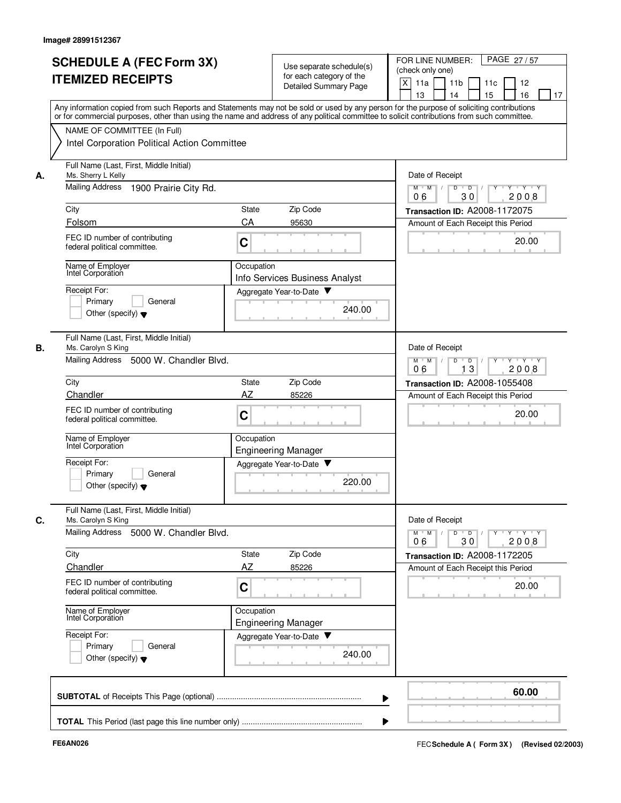| Any information copied from such Reports and Statements may not be sold or used by any person for the purpose of soliciting contributions<br>or for commercial purposes, other than using the name and address of any political committee to solicit contributions from such committee.<br>NAME OF COMMITTEE (In Full)<br>Intel Corporation Political Action Committee<br>Full Name (Last, First, Middle Initial)<br>Ms. Sherry L Kelly<br>Date of Receipt<br>А.<br><b>Mailing Address</b><br>1900 Prairie City Rd.<br>Y Y Y Y<br>D<br>$\overline{D}$ /<br>$M$ $M$ /<br>30<br>06<br>2008<br>City<br>Zip Code<br>State<br>Transaction ID: A2008-1172075<br>Folsom<br>CA<br>95630<br>Amount of Each Receipt this Period<br>FEC ID number of contributing<br>20.00<br>C<br>federal political committee.<br>Name of Employer<br>Occupation<br>Intel Corporation<br>Info Services Business Analyst<br>Receipt For:<br>Aggregate Year-to-Date<br>Primary<br>General<br>240.00<br>Other (specify) $\blacktriangledown$<br>Full Name (Last, First, Middle Initial)<br>В.<br>Date of Receipt<br>Ms. Carolyn S King<br>Mailing Address<br>5000 W. Chandler Blvd.<br>$M^+$ M<br>D<br>$Y \vdash Y \vdash Y$<br>$\sqrt{ }$<br>$\overline{D}$<br>Y<br>$\top$<br>2008<br>06<br>13<br>Zip Code<br>City<br>State<br>Transaction ID: A2008-1055408<br>AZ<br>Chandler<br>85226<br>Amount of Each Receipt this Period<br>FEC ID number of contributing<br>C<br>20.00<br>federal political committee.<br>Name of Employer<br>Occupation<br>Intel Corporation<br><b>Engineering Manager</b><br>Receipt For:<br>Aggregate Year-to-Date<br>Primary<br>General<br>220.00<br>Other (specify) $\blacktriangledown$<br>Full Name (Last, First, Middle Initial)<br>Date of Receipt<br>С.<br>Ms. Carolyn S King<br>Mailing Address 5000 W. Chandler Blvd.<br>$Y$ $Y$ $Y$ $Y$<br>M<br>M<br>D<br>$\overline{D}$<br>30<br>2008<br>06<br>Zip Code<br>City<br>State<br>Transaction ID: A2008-1172205<br>AZ<br>Chandler<br>85226<br>Amount of Each Receipt this Period<br>FEC ID number of contributing<br>20.00<br>C<br>federal political committee.<br>Name of Employer<br>Occupation<br>Intel Corporation<br><b>Engineering Manager</b><br>Receipt For:<br>Aggregate Year-to-Date<br>Primary<br>General<br>240.00<br>Other (specify) $\blacktriangledown$<br>60.00 | <b>SCHEDULE A (FEC Form 3X)</b><br><b>ITEMIZED RECEIPTS</b> | Use separate schedule(s)<br>for each category of the<br>Detailed Summary Page | FOR LINE NUMBER:<br>PAGE 27/57<br>(check only one)<br>X<br>11a<br>11 <sub>b</sub><br>11c<br>12<br>13<br>14<br>15<br>16<br>17 |
|-----------------------------------------------------------------------------------------------------------------------------------------------------------------------------------------------------------------------------------------------------------------------------------------------------------------------------------------------------------------------------------------------------------------------------------------------------------------------------------------------------------------------------------------------------------------------------------------------------------------------------------------------------------------------------------------------------------------------------------------------------------------------------------------------------------------------------------------------------------------------------------------------------------------------------------------------------------------------------------------------------------------------------------------------------------------------------------------------------------------------------------------------------------------------------------------------------------------------------------------------------------------------------------------------------------------------------------------------------------------------------------------------------------------------------------------------------------------------------------------------------------------------------------------------------------------------------------------------------------------------------------------------------------------------------------------------------------------------------------------------------------------------------------------------------------------------------------------------------------------------------------------------------------------------------------------------------------------------------------------------------------------------------------------------------------------------------------------------------------------------------------------------------------------------------------------------------------------------------------------------------------------------------------------------------------------------------------|-------------------------------------------------------------|-------------------------------------------------------------------------------|------------------------------------------------------------------------------------------------------------------------------|
|                                                                                                                                                                                                                                                                                                                                                                                                                                                                                                                                                                                                                                                                                                                                                                                                                                                                                                                                                                                                                                                                                                                                                                                                                                                                                                                                                                                                                                                                                                                                                                                                                                                                                                                                                                                                                                                                                                                                                                                                                                                                                                                                                                                                                                                                                                                                   |                                                             |                                                                               |                                                                                                                              |
|                                                                                                                                                                                                                                                                                                                                                                                                                                                                                                                                                                                                                                                                                                                                                                                                                                                                                                                                                                                                                                                                                                                                                                                                                                                                                                                                                                                                                                                                                                                                                                                                                                                                                                                                                                                                                                                                                                                                                                                                                                                                                                                                                                                                                                                                                                                                   |                                                             |                                                                               |                                                                                                                              |
|                                                                                                                                                                                                                                                                                                                                                                                                                                                                                                                                                                                                                                                                                                                                                                                                                                                                                                                                                                                                                                                                                                                                                                                                                                                                                                                                                                                                                                                                                                                                                                                                                                                                                                                                                                                                                                                                                                                                                                                                                                                                                                                                                                                                                                                                                                                                   |                                                             |                                                                               |                                                                                                                              |
|                                                                                                                                                                                                                                                                                                                                                                                                                                                                                                                                                                                                                                                                                                                                                                                                                                                                                                                                                                                                                                                                                                                                                                                                                                                                                                                                                                                                                                                                                                                                                                                                                                                                                                                                                                                                                                                                                                                                                                                                                                                                                                                                                                                                                                                                                                                                   |                                                             |                                                                               |                                                                                                                              |
|                                                                                                                                                                                                                                                                                                                                                                                                                                                                                                                                                                                                                                                                                                                                                                                                                                                                                                                                                                                                                                                                                                                                                                                                                                                                                                                                                                                                                                                                                                                                                                                                                                                                                                                                                                                                                                                                                                                                                                                                                                                                                                                                                                                                                                                                                                                                   |                                                             |                                                                               |                                                                                                                              |
|                                                                                                                                                                                                                                                                                                                                                                                                                                                                                                                                                                                                                                                                                                                                                                                                                                                                                                                                                                                                                                                                                                                                                                                                                                                                                                                                                                                                                                                                                                                                                                                                                                                                                                                                                                                                                                                                                                                                                                                                                                                                                                                                                                                                                                                                                                                                   |                                                             |                                                                               |                                                                                                                              |
|                                                                                                                                                                                                                                                                                                                                                                                                                                                                                                                                                                                                                                                                                                                                                                                                                                                                                                                                                                                                                                                                                                                                                                                                                                                                                                                                                                                                                                                                                                                                                                                                                                                                                                                                                                                                                                                                                                                                                                                                                                                                                                                                                                                                                                                                                                                                   |                                                             |                                                                               |                                                                                                                              |
|                                                                                                                                                                                                                                                                                                                                                                                                                                                                                                                                                                                                                                                                                                                                                                                                                                                                                                                                                                                                                                                                                                                                                                                                                                                                                                                                                                                                                                                                                                                                                                                                                                                                                                                                                                                                                                                                                                                                                                                                                                                                                                                                                                                                                                                                                                                                   |                                                             |                                                                               |                                                                                                                              |
|                                                                                                                                                                                                                                                                                                                                                                                                                                                                                                                                                                                                                                                                                                                                                                                                                                                                                                                                                                                                                                                                                                                                                                                                                                                                                                                                                                                                                                                                                                                                                                                                                                                                                                                                                                                                                                                                                                                                                                                                                                                                                                                                                                                                                                                                                                                                   |                                                             |                                                                               |                                                                                                                              |
|                                                                                                                                                                                                                                                                                                                                                                                                                                                                                                                                                                                                                                                                                                                                                                                                                                                                                                                                                                                                                                                                                                                                                                                                                                                                                                                                                                                                                                                                                                                                                                                                                                                                                                                                                                                                                                                                                                                                                                                                                                                                                                                                                                                                                                                                                                                                   |                                                             |                                                                               |                                                                                                                              |
|                                                                                                                                                                                                                                                                                                                                                                                                                                                                                                                                                                                                                                                                                                                                                                                                                                                                                                                                                                                                                                                                                                                                                                                                                                                                                                                                                                                                                                                                                                                                                                                                                                                                                                                                                                                                                                                                                                                                                                                                                                                                                                                                                                                                                                                                                                                                   |                                                             |                                                                               |                                                                                                                              |
|                                                                                                                                                                                                                                                                                                                                                                                                                                                                                                                                                                                                                                                                                                                                                                                                                                                                                                                                                                                                                                                                                                                                                                                                                                                                                                                                                                                                                                                                                                                                                                                                                                                                                                                                                                                                                                                                                                                                                                                                                                                                                                                                                                                                                                                                                                                                   |                                                             |                                                                               |                                                                                                                              |
|                                                                                                                                                                                                                                                                                                                                                                                                                                                                                                                                                                                                                                                                                                                                                                                                                                                                                                                                                                                                                                                                                                                                                                                                                                                                                                                                                                                                                                                                                                                                                                                                                                                                                                                                                                                                                                                                                                                                                                                                                                                                                                                                                                                                                                                                                                                                   |                                                             |                                                                               |                                                                                                                              |
|                                                                                                                                                                                                                                                                                                                                                                                                                                                                                                                                                                                                                                                                                                                                                                                                                                                                                                                                                                                                                                                                                                                                                                                                                                                                                                                                                                                                                                                                                                                                                                                                                                                                                                                                                                                                                                                                                                                                                                                                                                                                                                                                                                                                                                                                                                                                   |                                                             |                                                                               |                                                                                                                              |
|                                                                                                                                                                                                                                                                                                                                                                                                                                                                                                                                                                                                                                                                                                                                                                                                                                                                                                                                                                                                                                                                                                                                                                                                                                                                                                                                                                                                                                                                                                                                                                                                                                                                                                                                                                                                                                                                                                                                                                                                                                                                                                                                                                                                                                                                                                                                   |                                                             |                                                                               |                                                                                                                              |
|                                                                                                                                                                                                                                                                                                                                                                                                                                                                                                                                                                                                                                                                                                                                                                                                                                                                                                                                                                                                                                                                                                                                                                                                                                                                                                                                                                                                                                                                                                                                                                                                                                                                                                                                                                                                                                                                                                                                                                                                                                                                                                                                                                                                                                                                                                                                   |                                                             |                                                                               |                                                                                                                              |
|                                                                                                                                                                                                                                                                                                                                                                                                                                                                                                                                                                                                                                                                                                                                                                                                                                                                                                                                                                                                                                                                                                                                                                                                                                                                                                                                                                                                                                                                                                                                                                                                                                                                                                                                                                                                                                                                                                                                                                                                                                                                                                                                                                                                                                                                                                                                   |                                                             |                                                                               |                                                                                                                              |
|                                                                                                                                                                                                                                                                                                                                                                                                                                                                                                                                                                                                                                                                                                                                                                                                                                                                                                                                                                                                                                                                                                                                                                                                                                                                                                                                                                                                                                                                                                                                                                                                                                                                                                                                                                                                                                                                                                                                                                                                                                                                                                                                                                                                                                                                                                                                   |                                                             |                                                                               |                                                                                                                              |
|                                                                                                                                                                                                                                                                                                                                                                                                                                                                                                                                                                                                                                                                                                                                                                                                                                                                                                                                                                                                                                                                                                                                                                                                                                                                                                                                                                                                                                                                                                                                                                                                                                                                                                                                                                                                                                                                                                                                                                                                                                                                                                                                                                                                                                                                                                                                   |                                                             |                                                                               |                                                                                                                              |
|                                                                                                                                                                                                                                                                                                                                                                                                                                                                                                                                                                                                                                                                                                                                                                                                                                                                                                                                                                                                                                                                                                                                                                                                                                                                                                                                                                                                                                                                                                                                                                                                                                                                                                                                                                                                                                                                                                                                                                                                                                                                                                                                                                                                                                                                                                                                   |                                                             |                                                                               |                                                                                                                              |
|                                                                                                                                                                                                                                                                                                                                                                                                                                                                                                                                                                                                                                                                                                                                                                                                                                                                                                                                                                                                                                                                                                                                                                                                                                                                                                                                                                                                                                                                                                                                                                                                                                                                                                                                                                                                                                                                                                                                                                                                                                                                                                                                                                                                                                                                                                                                   |                                                             |                                                                               |                                                                                                                              |
|                                                                                                                                                                                                                                                                                                                                                                                                                                                                                                                                                                                                                                                                                                                                                                                                                                                                                                                                                                                                                                                                                                                                                                                                                                                                                                                                                                                                                                                                                                                                                                                                                                                                                                                                                                                                                                                                                                                                                                                                                                                                                                                                                                                                                                                                                                                                   |                                                             |                                                                               |                                                                                                                              |
|                                                                                                                                                                                                                                                                                                                                                                                                                                                                                                                                                                                                                                                                                                                                                                                                                                                                                                                                                                                                                                                                                                                                                                                                                                                                                                                                                                                                                                                                                                                                                                                                                                                                                                                                                                                                                                                                                                                                                                                                                                                                                                                                                                                                                                                                                                                                   |                                                             |                                                                               |                                                                                                                              |
|                                                                                                                                                                                                                                                                                                                                                                                                                                                                                                                                                                                                                                                                                                                                                                                                                                                                                                                                                                                                                                                                                                                                                                                                                                                                                                                                                                                                                                                                                                                                                                                                                                                                                                                                                                                                                                                                                                                                                                                                                                                                                                                                                                                                                                                                                                                                   |                                                             |                                                                               |                                                                                                                              |
|                                                                                                                                                                                                                                                                                                                                                                                                                                                                                                                                                                                                                                                                                                                                                                                                                                                                                                                                                                                                                                                                                                                                                                                                                                                                                                                                                                                                                                                                                                                                                                                                                                                                                                                                                                                                                                                                                                                                                                                                                                                                                                                                                                                                                                                                                                                                   |                                                             |                                                                               |                                                                                                                              |
|                                                                                                                                                                                                                                                                                                                                                                                                                                                                                                                                                                                                                                                                                                                                                                                                                                                                                                                                                                                                                                                                                                                                                                                                                                                                                                                                                                                                                                                                                                                                                                                                                                                                                                                                                                                                                                                                                                                                                                                                                                                                                                                                                                                                                                                                                                                                   |                                                             |                                                                               |                                                                                                                              |
|                                                                                                                                                                                                                                                                                                                                                                                                                                                                                                                                                                                                                                                                                                                                                                                                                                                                                                                                                                                                                                                                                                                                                                                                                                                                                                                                                                                                                                                                                                                                                                                                                                                                                                                                                                                                                                                                                                                                                                                                                                                                                                                                                                                                                                                                                                                                   |                                                             |                                                                               |                                                                                                                              |
|                                                                                                                                                                                                                                                                                                                                                                                                                                                                                                                                                                                                                                                                                                                                                                                                                                                                                                                                                                                                                                                                                                                                                                                                                                                                                                                                                                                                                                                                                                                                                                                                                                                                                                                                                                                                                                                                                                                                                                                                                                                                                                                                                                                                                                                                                                                                   |                                                             |                                                                               |                                                                                                                              |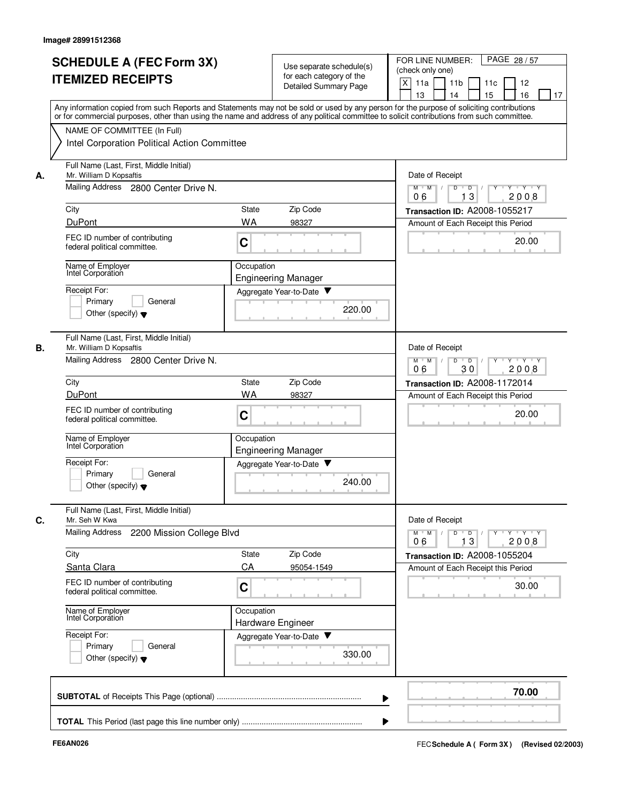| А. | NAME OF COMMITTEE (In Full)<br>Intel Corporation Political Action Committee<br>Full Name (Last, First, Middle Initial)<br>Mr. William D Kopsaftis<br>Mailing Address 2800 Center Drive N. |                                          | 13<br>14<br>15<br>16<br>17<br>Any information copied from such Reports and Statements may not be sold or used by any person for the purpose of soliciting contributions<br>or for commercial purposes, other than using the name and address of any political committee to solicit contributions from such committee. |  |  |  |  |
|----|-------------------------------------------------------------------------------------------------------------------------------------------------------------------------------------------|------------------------------------------|-----------------------------------------------------------------------------------------------------------------------------------------------------------------------------------------------------------------------------------------------------------------------------------------------------------------------|--|--|--|--|
|    |                                                                                                                                                                                           |                                          |                                                                                                                                                                                                                                                                                                                       |  |  |  |  |
|    |                                                                                                                                                                                           |                                          |                                                                                                                                                                                                                                                                                                                       |  |  |  |  |
|    |                                                                                                                                                                                           |                                          | Date of Receipt<br>$\overline{D}$ /<br>Y 'Y 'Y<br>$M$ $M$ /<br>D<br>$Y$ <sup>U</sup>                                                                                                                                                                                                                                  |  |  |  |  |
|    |                                                                                                                                                                                           |                                          |                                                                                                                                                                                                                                                                                                                       |  |  |  |  |
|    | City                                                                                                                                                                                      | Zip Code<br>State                        | Transaction ID: A2008-1055217                                                                                                                                                                                                                                                                                         |  |  |  |  |
|    | <b>DuPont</b><br>FEC ID number of contributing<br>federal political committee.                                                                                                            | <b>WA</b><br>98327<br>C                  | Amount of Each Receipt this Period<br>20.00                                                                                                                                                                                                                                                                           |  |  |  |  |
|    | Name of Employer<br>Intel Corporation                                                                                                                                                     | Occupation<br><b>Engineering Manager</b> |                                                                                                                                                                                                                                                                                                                       |  |  |  |  |
|    | Receipt For:<br>Primary<br>General<br>Other (specify) $\blacktriangledown$                                                                                                                | Aggregate Year-to-Date<br>220.00         |                                                                                                                                                                                                                                                                                                                       |  |  |  |  |
| В. | Full Name (Last, First, Middle Initial)<br>Mr. William D Kopsaftis<br>Mailing Address 2800 Center Drive N.                                                                                |                                          | Date of Receipt<br>$Y - Y - Y$<br>$M$ M<br>$\overline{D}$<br>D                                                                                                                                                                                                                                                        |  |  |  |  |
|    |                                                                                                                                                                                           | 30<br>2008<br>06                         |                                                                                                                                                                                                                                                                                                                       |  |  |  |  |
|    | City<br>DuPont                                                                                                                                                                            | Zip Code<br>State<br><b>WA</b><br>98327  | Transaction ID: A2008-1172014<br>Amount of Each Receipt this Period                                                                                                                                                                                                                                                   |  |  |  |  |
|    | FEC ID number of contributing<br>federal political committee.                                                                                                                             | $\mathbf C$                              | 20.00                                                                                                                                                                                                                                                                                                                 |  |  |  |  |
|    | Name of Employer<br>Intel Corporation                                                                                                                                                     | Occupation<br><b>Engineering Manager</b> |                                                                                                                                                                                                                                                                                                                       |  |  |  |  |
|    | Receipt For:<br>Primary<br>General<br>Other (specify) $\blacktriangledown$                                                                                                                | Aggregate Year-to-Date<br>240.00         |                                                                                                                                                                                                                                                                                                                       |  |  |  |  |
| С. | Full Name (Last, First, Middle Initial)<br>Mr. Seh W Kwa                                                                                                                                  |                                          | Date of Receipt                                                                                                                                                                                                                                                                                                       |  |  |  |  |
|    | Mailing Address<br>2200 Mission College Blvd                                                                                                                                              |                                          | $\mathsf{Y} \dashv \mathsf{Y} \dashv \mathsf{Y}$<br>$M^+M^-$<br>$\overline{D}$<br>Y<br>D<br>13<br>2008<br>06                                                                                                                                                                                                          |  |  |  |  |
|    | City                                                                                                                                                                                      | Zip Code<br>State                        | Transaction ID: A2008-1055204                                                                                                                                                                                                                                                                                         |  |  |  |  |
|    | Santa Clara<br>FEC ID number of contributing<br>federal political committee.                                                                                                              | CA<br>95054-1549<br>C                    | Amount of Each Receipt this Period<br>30.00                                                                                                                                                                                                                                                                           |  |  |  |  |
|    | Name of Employer<br>Intel Corporation                                                                                                                                                     | Occupation<br>Hardware Engineer          |                                                                                                                                                                                                                                                                                                                       |  |  |  |  |
|    | Receipt For:<br>Primary<br>General<br>Other (specify) $\blacktriangledown$                                                                                                                | Aggregate Year-to-Date<br>330.00         |                                                                                                                                                                                                                                                                                                                       |  |  |  |  |
|    |                                                                                                                                                                                           |                                          | 70.00                                                                                                                                                                                                                                                                                                                 |  |  |  |  |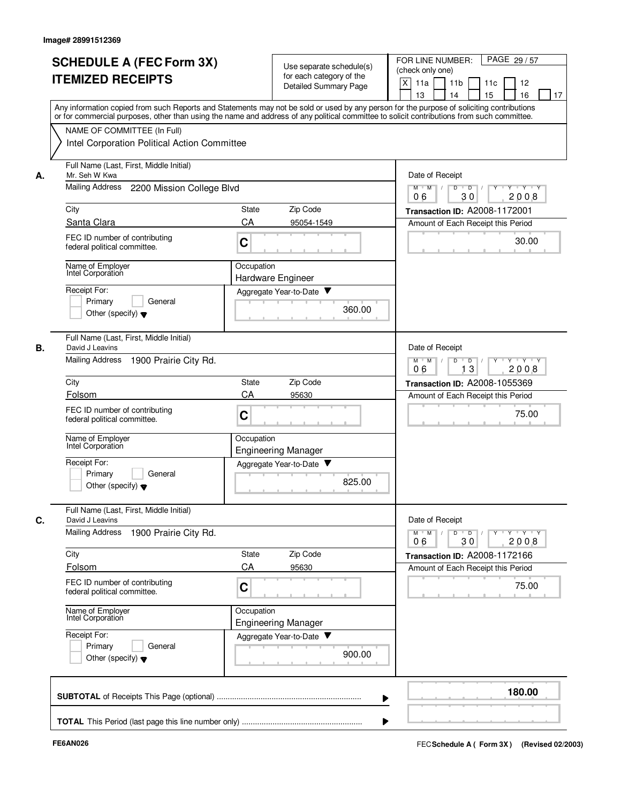|    | <b>SCHEDULE A (FEC Form 3X)</b><br><b>ITEMIZED RECEIPTS</b>   | Use separate schedule(s)<br>for each category of the<br>Detailed Summary Page | PAGE 29 / 57<br>FOR LINE NUMBER:<br>(check only one)<br>X<br>11 <sub>b</sub><br>11a<br>11c<br>12<br>13<br>14<br>15<br>16<br>17                                                                                                                                                          |
|----|---------------------------------------------------------------|-------------------------------------------------------------------------------|-----------------------------------------------------------------------------------------------------------------------------------------------------------------------------------------------------------------------------------------------------------------------------------------|
|    | NAME OF COMMITTEE (In Full)                                   |                                                                               | Any information copied from such Reports and Statements may not be sold or used by any person for the purpose of soliciting contributions<br>or for commercial purposes, other than using the name and address of any political committee to solicit contributions from such committee. |
|    | Intel Corporation Political Action Committee                  |                                                                               |                                                                                                                                                                                                                                                                                         |
| А. | Full Name (Last, First, Middle Initial)<br>Mr. Seh W Kwa      |                                                                               | Date of Receipt                                                                                                                                                                                                                                                                         |
|    | Mailing Address<br>2200 Mission College Blvd                  |                                                                               | Y 'Y 'Y<br>$M$ $M$ /<br>D<br>$\blacksquare$ D $\blacksquare$ /<br>$Y$ <sup>U</sup><br>30<br>06<br>2008                                                                                                                                                                                  |
|    | City                                                          | Zip Code<br>State                                                             | Transaction ID: A2008-1172001                                                                                                                                                                                                                                                           |
|    | Santa Clara                                                   | CA<br>95054-1549                                                              | Amount of Each Receipt this Period                                                                                                                                                                                                                                                      |
|    | FEC ID number of contributing<br>federal political committee. | C                                                                             | 30.00                                                                                                                                                                                                                                                                                   |
|    | Name of Employer<br>Intel Corporation                         | Occupation<br>Hardware Engineer                                               |                                                                                                                                                                                                                                                                                         |
|    | Receipt For:                                                  | Aggregate Year-to-Date                                                        |                                                                                                                                                                                                                                                                                         |
|    | Primary<br>General<br>Other (specify) $\blacktriangledown$    | 360.00                                                                        |                                                                                                                                                                                                                                                                                         |
| В. | Full Name (Last, First, Middle Initial)<br>David J Leavins    |                                                                               | Date of Receipt                                                                                                                                                                                                                                                                         |
|    | <b>Mailing Address</b><br>1900 Prairie City Rd.               |                                                                               | $Y - Y - Y$<br>$M$ M<br>D<br>D<br>2008<br>13<br>06                                                                                                                                                                                                                                      |
|    | City                                                          | Zip Code<br>State                                                             | Transaction ID: A2008-1055369                                                                                                                                                                                                                                                           |
|    | Folsom                                                        | CA<br>95630                                                                   | Amount of Each Receipt this Period                                                                                                                                                                                                                                                      |
|    | FEC ID number of contributing<br>federal political committee. | C                                                                             | 75.00                                                                                                                                                                                                                                                                                   |
|    | Name of Employer<br>Intel Corporation                         | Occupation<br><b>Engineering Manager</b>                                      |                                                                                                                                                                                                                                                                                         |
|    | Receipt For:                                                  | Aggregate Year-to-Date<br>v                                                   |                                                                                                                                                                                                                                                                                         |
|    | Primary<br>General<br>Other (specify) $\blacktriangledown$    | 825.00                                                                        |                                                                                                                                                                                                                                                                                         |
| C. | Full Name (Last, First, Middle Initial)<br>David J Leavins    |                                                                               | Date of Receipt                                                                                                                                                                                                                                                                         |
|    | Mailing Address<br>1900 Prairie City Rd.                      |                                                                               | $Y$ $Y$ $Y$<br>$M$ M<br>$\overline{D}$<br>Y<br>D<br>2008<br>06<br>30                                                                                                                                                                                                                    |
|    | City                                                          | Zip Code<br>State                                                             | Transaction ID: A2008-1172166                                                                                                                                                                                                                                                           |
|    | Folsom                                                        | CA<br>95630                                                                   | Amount of Each Receipt this Period                                                                                                                                                                                                                                                      |
|    | FEC ID number of contributing<br>federal political committee. | C                                                                             | 75.00                                                                                                                                                                                                                                                                                   |
|    | Name of Employer<br>Intel Corporation                         | Occupation<br><b>Engineering Manager</b>                                      |                                                                                                                                                                                                                                                                                         |
|    | Receipt For:<br>Primary<br>General                            | Aggregate Year-to-Date                                                        |                                                                                                                                                                                                                                                                                         |
|    | Other (specify) $\blacktriangledown$                          | 900.00                                                                        |                                                                                                                                                                                                                                                                                         |
|    |                                                               |                                                                               | 180.00                                                                                                                                                                                                                                                                                  |
|    |                                                               |                                                                               |                                                                                                                                                                                                                                                                                         |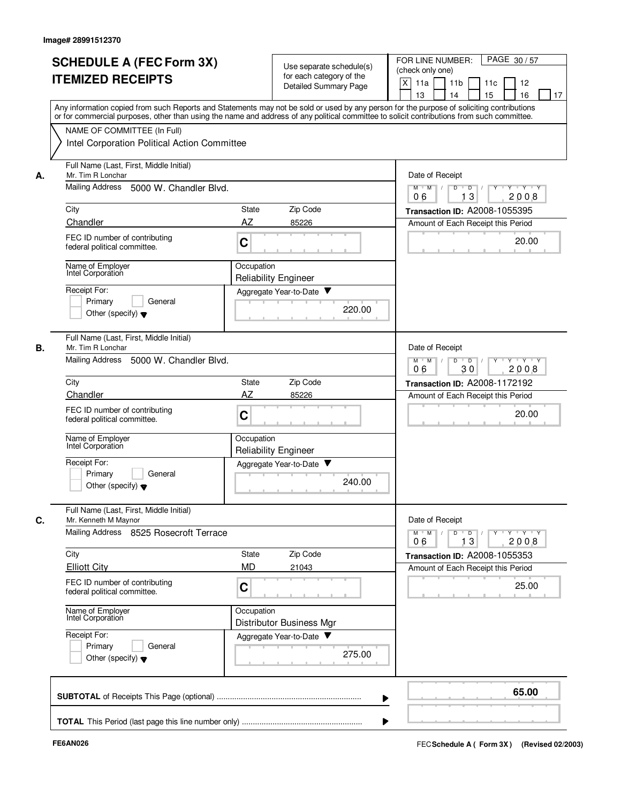|    | <b>SCHEDULE A (FEC Form 3X)</b><br><b>ITEMIZED RECEIPTS</b>                                                                                                               |                                                                               | Use separate schedule(s)<br>for each category of the<br>Detailed Summary Page | FOR LINE NUMBER:<br>PAGE 30/57<br>(check only one)<br>X<br>11a<br>11 <sub>b</sub><br>11c<br>12<br>13<br>14<br>15<br>16<br>17              |
|----|---------------------------------------------------------------------------------------------------------------------------------------------------------------------------|-------------------------------------------------------------------------------|-------------------------------------------------------------------------------|-------------------------------------------------------------------------------------------------------------------------------------------|
|    | or for commercial purposes, other than using the name and address of any political committee to solicit contributions from such committee.<br>NAME OF COMMITTEE (In Full) |                                                                               |                                                                               | Any information copied from such Reports and Statements may not be sold or used by any person for the purpose of soliciting contributions |
|    | Intel Corporation Political Action Committee                                                                                                                              |                                                                               |                                                                               |                                                                                                                                           |
| А. | Full Name (Last, First, Middle Initial)<br>Mr. Tim R Lonchar                                                                                                              |                                                                               |                                                                               | Date of Receipt                                                                                                                           |
|    | Mailing Address<br>5000 W. Chandler Blvd.                                                                                                                                 |                                                                               |                                                                               | $M$ $M$ /<br>Y 'Y 'Y<br>D<br>D<br>13<br>2008<br>06                                                                                        |
|    | City                                                                                                                                                                      | <b>State</b>                                                                  | Zip Code                                                                      | Transaction ID: A2008-1055395                                                                                                             |
|    | Chandler                                                                                                                                                                  | AZ                                                                            | 85226                                                                         | Amount of Each Receipt this Period                                                                                                        |
|    | FEC ID number of contributing<br>federal political committee.                                                                                                             | C                                                                             |                                                                               | 20.00                                                                                                                                     |
|    | Name of Employer<br>Intel Corporation                                                                                                                                     | Occupation<br><b>Reliability Engineer</b>                                     |                                                                               |                                                                                                                                           |
|    | Receipt For:                                                                                                                                                              |                                                                               | Aggregate Year-to-Date                                                        |                                                                                                                                           |
|    | Primary<br>General<br>Other (specify) $\blacktriangledown$                                                                                                                |                                                                               | 220.00                                                                        |                                                                                                                                           |
| В. | Full Name (Last, First, Middle Initial)<br>Mr. Tim R Lonchar                                                                                                              |                                                                               |                                                                               | Date of Receipt                                                                                                                           |
|    | <b>Mailing Address</b><br>5000 W. Chandler Blvd.                                                                                                                          | D<br>$Y - Y - Y$<br>$M$ M<br>$\sqrt{ }$<br>$\overline{D}$<br>06<br>30<br>2008 |                                                                               |                                                                                                                                           |
|    | City                                                                                                                                                                      | State                                                                         | Zip Code                                                                      | Transaction ID: A2008-1172192                                                                                                             |
|    | Chandler                                                                                                                                                                  | AZ                                                                            | 85226                                                                         | Amount of Each Receipt this Period                                                                                                        |
|    | FEC ID number of contributing<br>federal political committee.                                                                                                             | C                                                                             |                                                                               | 20.00                                                                                                                                     |
|    | Name of Employer<br>Intel Corporation                                                                                                                                     | Occupation<br><b>Reliability Engineer</b>                                     |                                                                               |                                                                                                                                           |
|    | Receipt For:<br>Primary<br>General<br>Other (specify) $\blacktriangledown$                                                                                                |                                                                               | Aggregate Year-to-Date<br>240.00                                              |                                                                                                                                           |
| C. | Full Name (Last, First, Middle Initial)<br>Mr. Kenneth M Maynor<br>Mailing Address 8525 Rosecroft Terrace                                                                 |                                                                               |                                                                               | Date of Receipt<br>$Y \dashv Y \dashv Y$<br>$M$ $M$ /<br>$D$ $D$ $I$<br>$Y^+$                                                             |
|    |                                                                                                                                                                           |                                                                               |                                                                               | 13<br>2008<br>06                                                                                                                          |
|    | City<br><b>Elliott City</b>                                                                                                                                               | State<br><b>MD</b>                                                            | Zip Code<br>21043                                                             | Transaction ID: A2008-1055353<br>Amount of Each Receipt this Period                                                                       |
|    | FEC ID number of contributing<br>federal political committee.                                                                                                             | C                                                                             |                                                                               | 25.00                                                                                                                                     |
|    | Name of Employer<br>Intel Corporation                                                                                                                                     | Occupation                                                                    | <b>Distributor Business Mgr</b>                                               |                                                                                                                                           |
|    | Receipt For:<br>Primary<br>General<br>Other (specify) $\blacktriangledown$                                                                                                |                                                                               | Aggregate Year-to-Date<br>275.00                                              |                                                                                                                                           |
|    |                                                                                                                                                                           |                                                                               |                                                                               |                                                                                                                                           |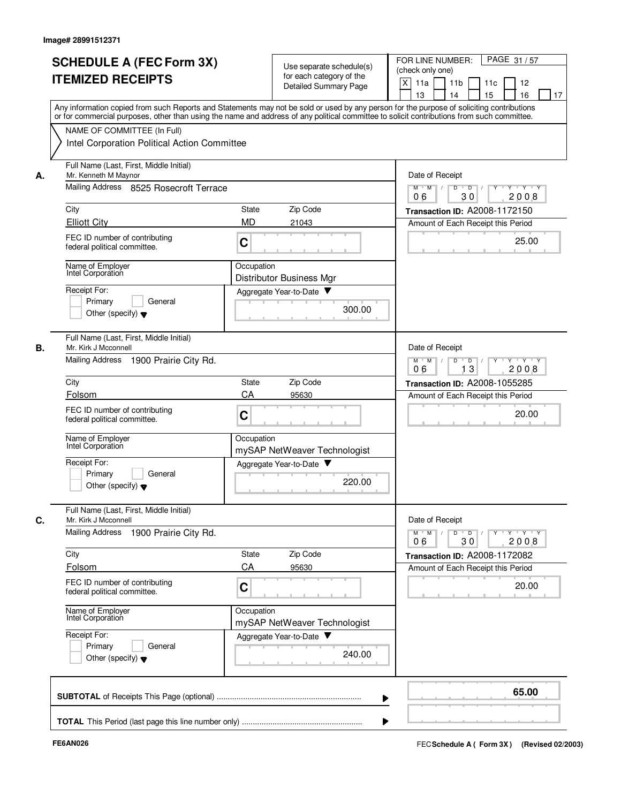|    | <b>SCHEDULE A (FEC Form 3X)</b><br><b>ITEMIZED RECEIPTS</b><br>Any information copied from such Reports and Statements may not be sold or used by any person for the purpose of soliciting contributions<br>or for commercial purposes, other than using the name and address of any political committee to solicit contributions from such committee. |                    | Use separate schedule(s)<br>for each category of the<br>Detailed Summary Page | FOR LINE NUMBER:<br>PAGE 31/57<br>(check only one)<br>X<br>11a<br>11 <sub>b</sub><br>11c<br>12<br>13<br>14<br>15<br>16<br>17 |
|----|--------------------------------------------------------------------------------------------------------------------------------------------------------------------------------------------------------------------------------------------------------------------------------------------------------------------------------------------------------|--------------------|-------------------------------------------------------------------------------|------------------------------------------------------------------------------------------------------------------------------|
|    | NAME OF COMMITTEE (In Full)<br>Intel Corporation Political Action Committee                                                                                                                                                                                                                                                                            |                    |                                                                               |                                                                                                                              |
| А. | Full Name (Last, First, Middle Initial)<br>Mr. Kenneth M Maynor<br>Mailing Address 8525 Rosecroft Terrace                                                                                                                                                                                                                                              |                    |                                                                               | Date of Receipt<br>$M$ $M$ /<br>$Y - Y - Y$<br>D<br>$\overline{D}$                                                           |
|    |                                                                                                                                                                                                                                                                                                                                                        |                    |                                                                               | 30<br>2008<br>06                                                                                                             |
|    | City<br><b>Elliott City</b>                                                                                                                                                                                                                                                                                                                            | State<br><b>MD</b> | Zip Code<br>21043                                                             | Transaction ID: A2008-1172150<br>Amount of Each Receipt this Period                                                          |
|    | FEC ID number of contributing<br>federal political committee.                                                                                                                                                                                                                                                                                          | C                  |                                                                               | 25.00                                                                                                                        |
|    | Name of Employer<br>Intel Corporation                                                                                                                                                                                                                                                                                                                  | Occupation         | Distributor Business Mgr                                                      |                                                                                                                              |
|    | Receipt For:<br>Primary<br>General<br>Other (specify) $\blacktriangledown$                                                                                                                                                                                                                                                                             |                    | Aggregate Year-to-Date<br>300.00                                              |                                                                                                                              |
| В. | Full Name (Last, First, Middle Initial)<br>Mr. Kirk J Mcconnell<br><b>Mailing Address</b><br>1900 Prairie City Rd.                                                                                                                                                                                                                                     |                    |                                                                               | Date of Receipt<br>D<br>$Y \vdash Y \vdash Y$<br>$M$ $M$<br>$\sqrt{ }$<br>$\overline{D}$ /                                   |
|    |                                                                                                                                                                                                                                                                                                                                                        |                    |                                                                               | 13<br>06<br>2008                                                                                                             |
|    | City<br>Folsom                                                                                                                                                                                                                                                                                                                                         | State<br>CA        | Zip Code<br>95630                                                             | Transaction ID: A2008-1055285                                                                                                |
|    | FEC ID number of contributing<br>federal political committee.                                                                                                                                                                                                                                                                                          | C                  |                                                                               | Amount of Each Receipt this Period<br>20.00                                                                                  |
|    | Name of Employer<br>Intel Corporation                                                                                                                                                                                                                                                                                                                  | Occupation         | mySAP NetWeaver Technologist                                                  |                                                                                                                              |
|    | Receipt For:<br>Primary<br>General<br>Other (specify) $\blacktriangledown$                                                                                                                                                                                                                                                                             |                    | Aggregate Year-to-Date<br>220.00                                              |                                                                                                                              |
| С. | Full Name (Last, First, Middle Initial)<br>Mr. Kirk J Mcconnell                                                                                                                                                                                                                                                                                        |                    |                                                                               | Date of Receipt                                                                                                              |
|    | Mailing Address<br>1900 Prairie City Rd.                                                                                                                                                                                                                                                                                                               |                    |                                                                               | $Y$ $Y$ $Y$<br>$D$ $D$<br>$Y$ <sup>U</sup><br>$M$ $M$ /<br>30<br>2008<br>06                                                  |
|    | City                                                                                                                                                                                                                                                                                                                                                   | State              | Zip Code                                                                      | Transaction ID: A2008-1172082                                                                                                |
|    | Folsom                                                                                                                                                                                                                                                                                                                                                 | CA                 | 95630                                                                         | Amount of Each Receipt this Period                                                                                           |
|    | FEC ID number of contributing<br>federal political committee.                                                                                                                                                                                                                                                                                          | C                  |                                                                               | 20.00                                                                                                                        |
|    | Name of Employer<br>Intel Corporation                                                                                                                                                                                                                                                                                                                  | Occupation         | mySAP NetWeaver Technologist                                                  |                                                                                                                              |
|    | Receipt For:<br>Primary<br>General<br>Other (specify) $\blacktriangledown$                                                                                                                                                                                                                                                                             |                    | Aggregate Year-to-Date<br>240.00                                              |                                                                                                                              |
|    |                                                                                                                                                                                                                                                                                                                                                        |                    |                                                                               | 65.00                                                                                                                        |
|    |                                                                                                                                                                                                                                                                                                                                                        |                    |                                                                               |                                                                                                                              |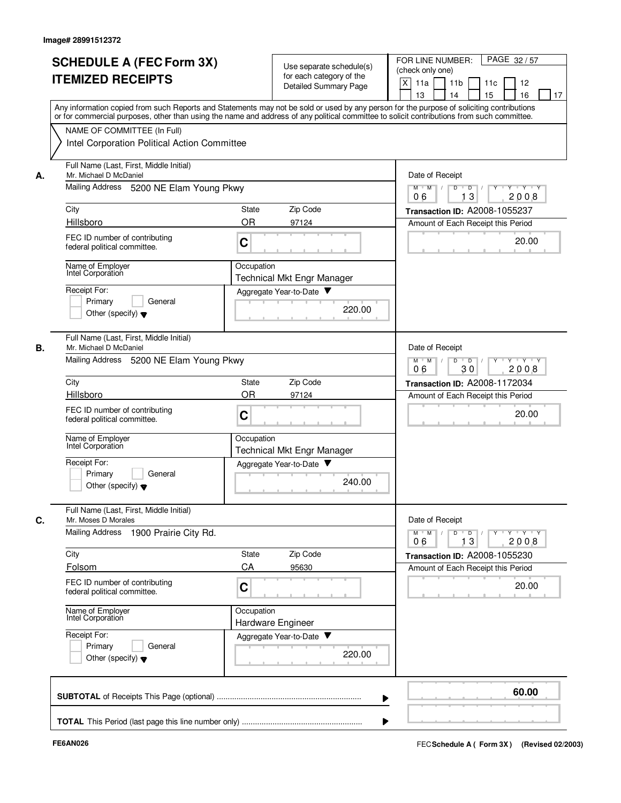|    | <b>SCHEDULE A (FEC Form 3X)</b><br><b>ITEMIZED RECEIPTS</b>                                                                                                                                                                                                                             |                                                                                 | Use separate schedule(s)<br>for each category of the<br>Detailed Summary Page | FOR LINE NUMBER:<br>PAGE 32/57<br>(check only one)<br>X<br>11a<br>11 <sub>b</sub><br>11c<br>12<br>13<br>14<br>15<br>16<br>17 |
|----|-----------------------------------------------------------------------------------------------------------------------------------------------------------------------------------------------------------------------------------------------------------------------------------------|---------------------------------------------------------------------------------|-------------------------------------------------------------------------------|------------------------------------------------------------------------------------------------------------------------------|
|    | Any information copied from such Reports and Statements may not be sold or used by any person for the purpose of soliciting contributions<br>or for commercial purposes, other than using the name and address of any political committee to solicit contributions from such committee. |                                                                                 |                                                                               |                                                                                                                              |
|    | NAME OF COMMITTEE (In Full)<br>Intel Corporation Political Action Committee                                                                                                                                                                                                             |                                                                                 |                                                                               |                                                                                                                              |
| А. | Full Name (Last, First, Middle Initial)<br>Mr. Michael D McDaniel                                                                                                                                                                                                                       | Date of Receipt                                                                 |                                                                               |                                                                                                                              |
|    | Mailing Address 5200 NE Elam Young Pkwy                                                                                                                                                                                                                                                 |                                                                                 |                                                                               | Y Y Y Y<br>$M$ $M$ /<br>D<br>$\overline{D}$ /<br>$Y$ <sup>-1</sup><br>06<br>13<br>2008                                       |
|    | City                                                                                                                                                                                                                                                                                    | State                                                                           | Zip Code                                                                      | Transaction ID: A2008-1055237                                                                                                |
|    | Hillsboro                                                                                                                                                                                                                                                                               | <b>OR</b>                                                                       | 97124                                                                         | Amount of Each Receipt this Period                                                                                           |
|    | FEC ID number of contributing<br>federal political committee.                                                                                                                                                                                                                           | C                                                                               |                                                                               | 20.00                                                                                                                        |
|    | Name of Employer<br>Intel Corporation                                                                                                                                                                                                                                                   | Occupation                                                                      | <b>Technical Mkt Engr Manager</b>                                             |                                                                                                                              |
|    | Receipt For:                                                                                                                                                                                                                                                                            | Aggregate Year-to-Date                                                          |                                                                               |                                                                                                                              |
|    | Primary<br>General<br>Other (specify) $\blacktriangledown$                                                                                                                                                                                                                              |                                                                                 | 220.00                                                                        |                                                                                                                              |
| В. | Full Name (Last, First, Middle Initial)<br>Mr. Michael D McDaniel                                                                                                                                                                                                                       |                                                                                 |                                                                               | Date of Receipt                                                                                                              |
|    | Mailing Address 5200 NE Elam Young Pkwy                                                                                                                                                                                                                                                 | $M^+$ M<br>D<br>$Y - Y - Y$<br>$\sqrt{ }$<br>$\overline{D}$<br>2008<br>06<br>30 |                                                                               |                                                                                                                              |
|    | City                                                                                                                                                                                                                                                                                    | State                                                                           | Zip Code                                                                      | Transaction ID: A2008-1172034                                                                                                |
|    | Hillsboro                                                                                                                                                                                                                                                                               | OR                                                                              | 97124                                                                         | Amount of Each Receipt this Period                                                                                           |
|    | FEC ID number of contributing<br>federal political committee.                                                                                                                                                                                                                           | C                                                                               |                                                                               | 20.00                                                                                                                        |
|    | Name of Employer<br>Intel Corporation                                                                                                                                                                                                                                                   | Occupation                                                                      | <b>Technical Mkt Engr Manager</b>                                             |                                                                                                                              |
|    | Receipt For:                                                                                                                                                                                                                                                                            | Aggregate Year-to-Date                                                          |                                                                               |                                                                                                                              |
|    | Primary<br>General<br>Other (specify) $\blacktriangledown$                                                                                                                                                                                                                              |                                                                                 | 240.00                                                                        |                                                                                                                              |
| С. | Full Name (Last, First, Middle Initial)<br>Mr. Moses D Morales                                                                                                                                                                                                                          |                                                                                 |                                                                               | Date of Receipt                                                                                                              |
|    | Mailing Address<br>1900 Prairie City Rd.                                                                                                                                                                                                                                                |                                                                                 |                                                                               | $Y$ $Y$ $Y$<br>$M$ $M$<br>D<br>$\overline{D}$<br>13<br>2008<br>06                                                            |
|    | City                                                                                                                                                                                                                                                                                    | State                                                                           | Zip Code                                                                      | Transaction ID: A2008-1055230                                                                                                |
|    | Folsom                                                                                                                                                                                                                                                                                  | CA                                                                              | 95630                                                                         | Amount of Each Receipt this Period                                                                                           |
|    | FEC ID number of contributing<br>federal political committee.                                                                                                                                                                                                                           | C                                                                               |                                                                               | 20.00                                                                                                                        |
|    | Name of Employer<br>Intel Corporation                                                                                                                                                                                                                                                   | Occupation<br>Hardware Engineer                                                 |                                                                               |                                                                                                                              |
|    | Receipt For:<br>Primary<br>General<br>Other (specify) $\blacktriangledown$                                                                                                                                                                                                              | Aggregate Year-to-Date                                                          | 220.00                                                                        |                                                                                                                              |
|    |                                                                                                                                                                                                                                                                                         |                                                                                 |                                                                               | 60.00                                                                                                                        |
|    |                                                                                                                                                                                                                                                                                         |                                                                                 |                                                                               |                                                                                                                              |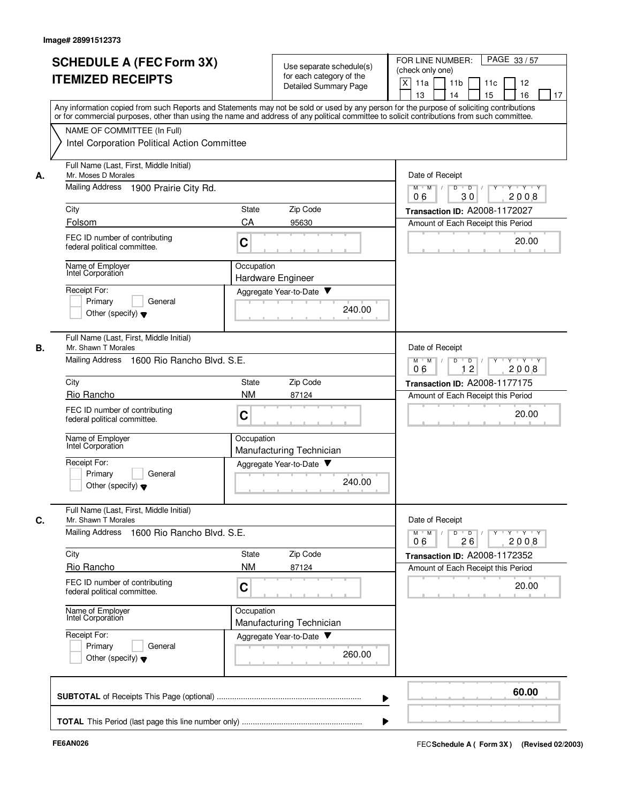|    | <b>SCHEDULE A (FEC Form 3X)</b><br><b>ITEMIZED RECEIPTS</b>                | Use separate schedule(s)<br>for each category of the<br>Detailed Summary Page                                                                                                                                                                                                           | FOR LINE NUMBER:<br>PAGE 33/57<br>(check only one)<br>X<br>11a<br>11 <sub>b</sub><br>11c<br>12<br>13<br>14<br>15<br>16<br>17 |
|----|----------------------------------------------------------------------------|-----------------------------------------------------------------------------------------------------------------------------------------------------------------------------------------------------------------------------------------------------------------------------------------|------------------------------------------------------------------------------------------------------------------------------|
|    | NAME OF COMMITTEE (In Full)                                                | Any information copied from such Reports and Statements may not be sold or used by any person for the purpose of soliciting contributions<br>or for commercial purposes, other than using the name and address of any political committee to solicit contributions from such committee. |                                                                                                                              |
|    | Intel Corporation Political Action Committee                               |                                                                                                                                                                                                                                                                                         |                                                                                                                              |
| А. | Full Name (Last, First, Middle Initial)<br>Mr. Moses D Morales             | Date of Receipt                                                                                                                                                                                                                                                                         |                                                                                                                              |
|    | Mailing Address<br>1900 Prairie City Rd.                                   | $Y - Y - Y$<br>$M$ $M$ /<br>D<br>$\overline{D}$<br>30<br>2008<br>06                                                                                                                                                                                                                     |                                                                                                                              |
|    | City                                                                       | Zip Code<br>State                                                                                                                                                                                                                                                                       | Transaction ID: A2008-1172027                                                                                                |
|    | Folsom                                                                     | CA<br>95630                                                                                                                                                                                                                                                                             | Amount of Each Receipt this Period                                                                                           |
|    | FEC ID number of contributing<br>federal political committee.              | C                                                                                                                                                                                                                                                                                       | 20.00                                                                                                                        |
|    | Name of Employer<br>Intel Corporation                                      | Occupation<br><b>Hardware Engineer</b>                                                                                                                                                                                                                                                  |                                                                                                                              |
|    | Receipt For:                                                               | Aggregate Year-to-Date                                                                                                                                                                                                                                                                  |                                                                                                                              |
|    | Primary<br>General<br>Other (specify) $\blacktriangledown$                 | 240.00                                                                                                                                                                                                                                                                                  |                                                                                                                              |
| В. | Full Name (Last, First, Middle Initial)<br>Mr. Shawn T Morales             |                                                                                                                                                                                                                                                                                         | Date of Receipt                                                                                                              |
|    | Mailing Address<br>1600 Rio Rancho Blvd, S.E.                              | $M$ M<br>D<br>$\overline{D}$<br>$Y + Y + Y$<br>$\sqrt{ }$<br>12<br>2008<br>06                                                                                                                                                                                                           |                                                                                                                              |
|    | City                                                                       | Zip Code<br>State                                                                                                                                                                                                                                                                       | Transaction ID: A2008-1177175                                                                                                |
|    | Rio Rancho                                                                 | <b>NM</b><br>87124                                                                                                                                                                                                                                                                      | Amount of Each Receipt this Period                                                                                           |
|    | FEC ID number of contributing<br>federal political committee.              | C                                                                                                                                                                                                                                                                                       | 20.00                                                                                                                        |
|    | Name of Employer<br>Intel Corporation                                      | Occupation<br>Manufacturing Technician                                                                                                                                                                                                                                                  |                                                                                                                              |
|    | Receipt For:<br>Primary<br>General<br>Other (specify) $\blacktriangledown$ | Aggregate Year-to-Date<br>240.00                                                                                                                                                                                                                                                        |                                                                                                                              |
| C. | Full Name (Last, First, Middle Initial)<br>Mr. Shawn T Morales             |                                                                                                                                                                                                                                                                                         | Date of Receipt                                                                                                              |
|    | Mailing Address 1600 Rio Rancho Blvd. S.E.                                 |                                                                                                                                                                                                                                                                                         | $Y$ $Y$ $Y$<br>$\overline{D}$<br>Y<br>$M$ $M$<br>D<br>26<br>2008<br>06                                                       |
|    | City                                                                       | Zip Code<br>State                                                                                                                                                                                                                                                                       | Transaction ID: A2008-1172352                                                                                                |
|    | Rio Rancho                                                                 | <b>NM</b><br>87124                                                                                                                                                                                                                                                                      | Amount of Each Receipt this Period                                                                                           |
|    | FEC ID number of contributing<br>federal political committee.              | C                                                                                                                                                                                                                                                                                       | 20.00                                                                                                                        |
|    | Name of Employer<br>Intel Corporation                                      | Occupation<br>Manufacturing Technician                                                                                                                                                                                                                                                  |                                                                                                                              |
|    | Receipt For:<br>Primary<br>General<br>Other (specify) $\blacktriangledown$ | Aggregate Year-to-Date<br>260.00                                                                                                                                                                                                                                                        |                                                                                                                              |
|    |                                                                            |                                                                                                                                                                                                                                                                                         | 60.00                                                                                                                        |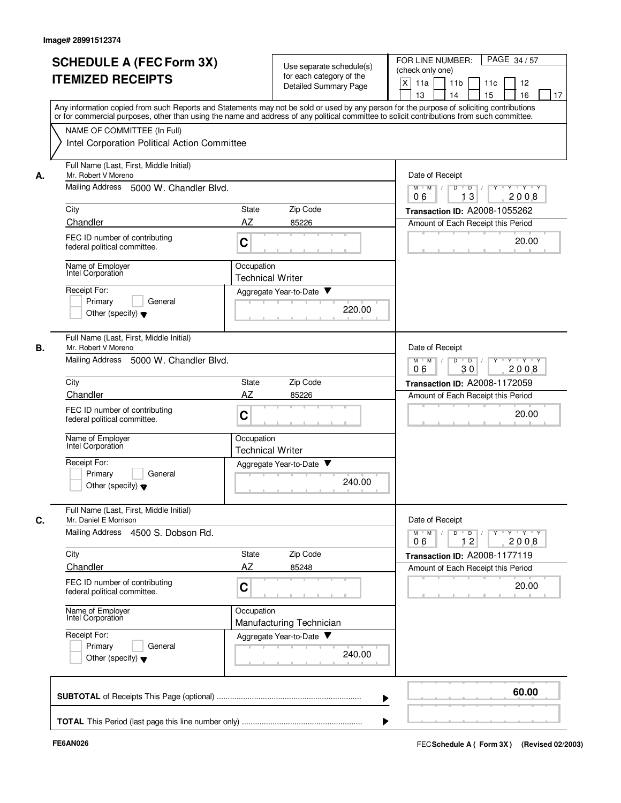|    | <b>SCHEDULE A (FEC Form 3X)</b><br><b>ITEMIZED RECEIPTS</b>                                                                                                                                                                                                                                                            |                                                                               | Use separate schedule(s)<br>for each category of the<br>Detailed Summary Page | FOR LINE NUMBER:<br>PAGE 34/57<br>(check only one)<br>X<br>11a<br>11 <sub>b</sub><br>12<br>11c<br>13<br>14<br>15<br>16<br>17 |
|----|------------------------------------------------------------------------------------------------------------------------------------------------------------------------------------------------------------------------------------------------------------------------------------------------------------------------|-------------------------------------------------------------------------------|-------------------------------------------------------------------------------|------------------------------------------------------------------------------------------------------------------------------|
|    | Any information copied from such Reports and Statements may not be sold or used by any person for the purpose of soliciting contributions<br>or for commercial purposes, other than using the name and address of any political committee to solicit contributions from such committee.<br>NAME OF COMMITTEE (In Full) |                                                                               |                                                                               |                                                                                                                              |
|    | Intel Corporation Political Action Committee                                                                                                                                                                                                                                                                           |                                                                               |                                                                               |                                                                                                                              |
| А. | Full Name (Last, First, Middle Initial)<br>Mr. Robert V Moreno                                                                                                                                                                                                                                                         |                                                                               |                                                                               | Date of Receipt                                                                                                              |
|    | Mailing Address 5000 W. Chandler Blvd.                                                                                                                                                                                                                                                                                 |                                                                               |                                                                               | $Y - Y - Y$<br>$M$ $M$ /<br>D<br>$\overline{D}$<br>3<br>2008<br>06<br>1                                                      |
|    | City                                                                                                                                                                                                                                                                                                                   | Zip Code<br>State                                                             |                                                                               | Transaction ID: A2008-1055262                                                                                                |
|    | Chandler<br>FEC ID number of contributing                                                                                                                                                                                                                                                                              | AZ<br>85226                                                                   |                                                                               | Amount of Each Receipt this Period                                                                                           |
|    | federal political committee.                                                                                                                                                                                                                                                                                           | C                                                                             |                                                                               | 20.00                                                                                                                        |
|    | Name of Employer<br>Intel Corporation                                                                                                                                                                                                                                                                                  | Occupation<br><b>Technical Writer</b>                                         |                                                                               |                                                                                                                              |
|    | Receipt For:                                                                                                                                                                                                                                                                                                           | Aggregate Year-to-Date                                                        |                                                                               |                                                                                                                              |
|    | Primary<br>General<br>Other (specify) $\blacktriangledown$                                                                                                                                                                                                                                                             |                                                                               | 220.00                                                                        |                                                                                                                              |
| В. | Full Name (Last, First, Middle Initial)<br>Mr. Robert V Moreno                                                                                                                                                                                                                                                         |                                                                               |                                                                               | Date of Receipt                                                                                                              |
|    | <b>Mailing Address</b><br>5000 W. Chandler Blvd.                                                                                                                                                                                                                                                                       | $M$ M<br>$\sqrt{ }$<br>D<br>$\overline{D}$<br>$Y + Y + Y$<br>2008<br>06<br>30 |                                                                               |                                                                                                                              |
|    | City                                                                                                                                                                                                                                                                                                                   | Zip Code<br>State                                                             |                                                                               | Transaction ID: A2008-1172059                                                                                                |
|    | Chandler                                                                                                                                                                                                                                                                                                               | AZ<br>85226                                                                   |                                                                               | Amount of Each Receipt this Period                                                                                           |
|    | FEC ID number of contributing<br>federal political committee.                                                                                                                                                                                                                                                          | C                                                                             |                                                                               | 20.00                                                                                                                        |
|    | Name of Employer<br>Intel Corporation                                                                                                                                                                                                                                                                                  | Occupation<br><b>Technical Writer</b>                                         |                                                                               |                                                                                                                              |
|    | Receipt For:<br>Primary<br>General<br>Other (specify) $\blacktriangledown$                                                                                                                                                                                                                                             | Aggregate Year-to-Date                                                        | 240.00                                                                        |                                                                                                                              |
| C. | Full Name (Last, First, Middle Initial)<br>Mr. Daniel E Morrison<br>Mailing Address 4500 S. Dobson Rd.                                                                                                                                                                                                                 |                                                                               |                                                                               | Date of Receipt<br>$\mathsf{Y} \dashv \mathsf{Y} \dashv \mathsf{Y}$<br>$D$ $D$ $I$<br>$Y$ <sup>U</sup><br>$M$ $M$            |
|    | City                                                                                                                                                                                                                                                                                                                   | State<br>Zip Code                                                             |                                                                               | 12<br>2008<br>06<br>Transaction ID: A2008-1177119                                                                            |
|    | Chandler                                                                                                                                                                                                                                                                                                               | AZ<br>85248                                                                   |                                                                               | Amount of Each Receipt this Period                                                                                           |
|    | FEC ID number of contributing<br>federal political committee.                                                                                                                                                                                                                                                          | C                                                                             |                                                                               | 20.00                                                                                                                        |
|    | Name of Employer<br>Intel Corporation                                                                                                                                                                                                                                                                                  | Occupation<br>Manufacturing Technician                                        |                                                                               |                                                                                                                              |
|    | Receipt For:<br>Primary<br>General<br>Other (specify) $\blacktriangledown$                                                                                                                                                                                                                                             | Aggregate Year-to-Date                                                        | 240.00                                                                        |                                                                                                                              |
|    |                                                                                                                                                                                                                                                                                                                        |                                                                               |                                                                               | 60.00                                                                                                                        |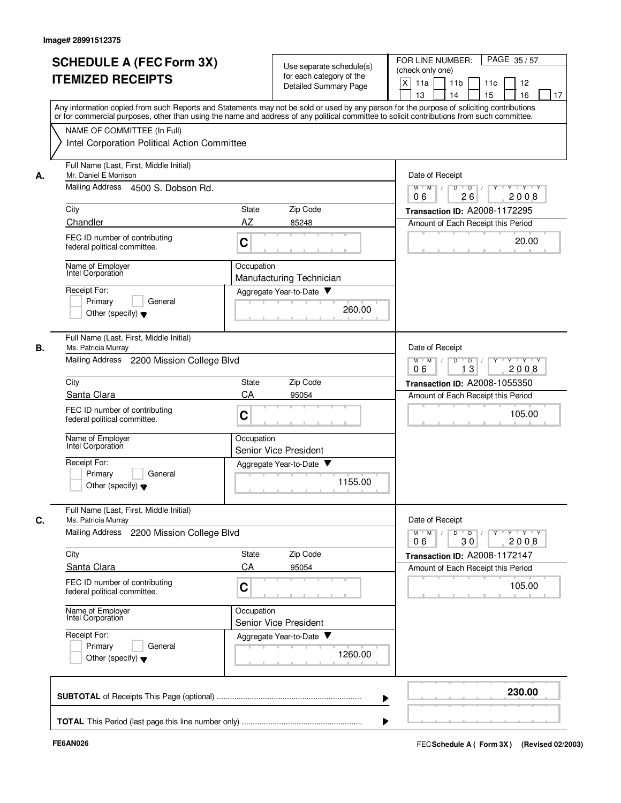|    | <b>SCHEDULE A (FEC Form 3X)</b><br><b>ITEMIZED RECEIPTS</b><br>Any information copied from such Reports and Statements may not be sold or used by any person for the purpose of soliciting contributions<br>or for commercial purposes, other than using the name and address of any political committee to solicit contributions from such committee. |                                            | Use separate schedule(s)<br>for each category of the<br>Detailed Summary Page | FOR LINE NUMBER:<br>PAGE 35/57<br>(check only one)<br>X<br>11a<br>11 <sub>b</sub><br>12<br>11c<br>13<br>14<br>15<br>16<br>17 |
|----|--------------------------------------------------------------------------------------------------------------------------------------------------------------------------------------------------------------------------------------------------------------------------------------------------------------------------------------------------------|--------------------------------------------|-------------------------------------------------------------------------------|------------------------------------------------------------------------------------------------------------------------------|
|    | NAME OF COMMITTEE (In Full)<br>Intel Corporation Political Action Committee                                                                                                                                                                                                                                                                            |                                            |                                                                               |                                                                                                                              |
| А. | Full Name (Last, First, Middle Initial)<br>Mr. Daniel E Morrison<br>Mailing Address 4500 S. Dobson Rd.                                                                                                                                                                                                                                                 |                                            |                                                                               | Date of Receipt<br>$Y - Y - Y$<br>$M$ $M$ /<br>D<br>$\overline{D}$<br>26<br>2008                                             |
|    | City                                                                                                                                                                                                                                                                                                                                                   | State                                      | Zip Code                                                                      | 06<br>Transaction ID: A2008-1172295                                                                                          |
|    | Chandler                                                                                                                                                                                                                                                                                                                                               | AZ                                         | 85248                                                                         | Amount of Each Receipt this Period                                                                                           |
|    | FEC ID number of contributing<br>federal political committee.                                                                                                                                                                                                                                                                                          | C                                          |                                                                               | 20.00                                                                                                                        |
|    | Name of Employer<br>Intel Corporation                                                                                                                                                                                                                                                                                                                  | Occupation<br>Manufacturing Technician     |                                                                               |                                                                                                                              |
|    | Receipt For:<br>Primary<br>General<br>Other (specify) $\blacktriangledown$                                                                                                                                                                                                                                                                             | Aggregate Year-to-Date                     | 260.00                                                                        |                                                                                                                              |
| В. | Full Name (Last, First, Middle Initial)<br>Ms. Patricia Murray<br>Mailing Address 2200 Mission College Blvd                                                                                                                                                                                                                                            |                                            |                                                                               | Date of Receipt<br>$M$ M<br>D<br>$\overline{D}$<br>$Y + Y + Y$<br>$\sqrt{ }$                                                 |
|    |                                                                                                                                                                                                                                                                                                                                                        |                                            |                                                                               | 13<br>2008<br>06                                                                                                             |
|    | City                                                                                                                                                                                                                                                                                                                                                   | State                                      | Zip Code                                                                      | Transaction ID: A2008-1055350                                                                                                |
|    | Santa Clara                                                                                                                                                                                                                                                                                                                                            | CA                                         | 95054                                                                         | Amount of Each Receipt this Period                                                                                           |
|    | FEC ID number of contributing<br>federal political committee.                                                                                                                                                                                                                                                                                          | C                                          |                                                                               | 105.00                                                                                                                       |
|    | Name of Employer<br>Intel Corporation                                                                                                                                                                                                                                                                                                                  | Occupation<br><b>Senior Vice President</b> |                                                                               |                                                                                                                              |
|    | Receipt For:<br>Primary<br>General<br>Other (specify) $\blacktriangledown$                                                                                                                                                                                                                                                                             | Aggregate Year-to-Date                     | 1155.00                                                                       |                                                                                                                              |
| C. | Full Name (Last, First, Middle Initial)<br>Ms. Patricia Murray                                                                                                                                                                                                                                                                                         |                                            |                                                                               | Date of Receipt                                                                                                              |
|    | Mailing Address 2200 Mission College Blvd                                                                                                                                                                                                                                                                                                              |                                            |                                                                               | $Y$ $Y$ $Y$<br>$\overline{D}$<br>Y<br>$M$ $M$<br>D<br>30<br>2008<br>06                                                       |
|    | City                                                                                                                                                                                                                                                                                                                                                   | State                                      | Zip Code                                                                      | Transaction ID: A2008-1172147                                                                                                |
|    | Santa Clara                                                                                                                                                                                                                                                                                                                                            | CA                                         | 95054                                                                         | Amount of Each Receipt this Period                                                                                           |
|    | FEC ID number of contributing<br>federal political committee.                                                                                                                                                                                                                                                                                          | C                                          |                                                                               | 105.00                                                                                                                       |
|    | Name of Employer<br>Intel Corporation                                                                                                                                                                                                                                                                                                                  | Occupation<br><b>Senior Vice President</b> |                                                                               |                                                                                                                              |
|    | Receipt For:<br>Primary<br>General<br>Other (specify) $\blacktriangledown$                                                                                                                                                                                                                                                                             | Aggregate Year-to-Date                     | 1260.00                                                                       |                                                                                                                              |
|    |                                                                                                                                                                                                                                                                                                                                                        |                                            |                                                                               | 230.00                                                                                                                       |
|    |                                                                                                                                                                                                                                                                                                                                                        |                                            |                                                                               |                                                                                                                              |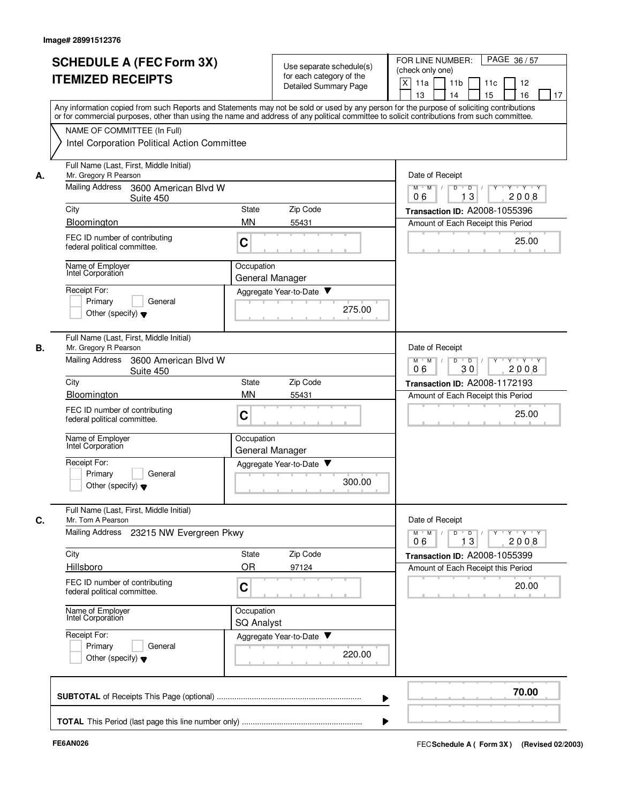|    | <b>SCHEDULE A (FEC Form 3X)</b><br><b>ITEMIZED RECEIPTS</b>                                                                                                                                                                                                                                                            | Use separate schedule(s)<br>for each category of the<br><b>Detailed Summary Page</b> | FOR LINE NUMBER:<br>PAGE 36/57<br>(check only one)<br>X<br>11a<br>11 <sub>b</sub><br>11c<br>12<br>15<br>16<br>13<br>14<br>17                                                                                                                                                                                                                                                                                                                           |
|----|------------------------------------------------------------------------------------------------------------------------------------------------------------------------------------------------------------------------------------------------------------------------------------------------------------------------|--------------------------------------------------------------------------------------|--------------------------------------------------------------------------------------------------------------------------------------------------------------------------------------------------------------------------------------------------------------------------------------------------------------------------------------------------------------------------------------------------------------------------------------------------------|
|    | Any information copied from such Reports and Statements may not be sold or used by any person for the purpose of soliciting contributions<br>or for commercial purposes, other than using the name and address of any political committee to solicit contributions from such committee.<br>NAME OF COMMITTEE (In Full) |                                                                                      |                                                                                                                                                                                                                                                                                                                                                                                                                                                        |
|    | Intel Corporation Political Action Committee                                                                                                                                                                                                                                                                           |                                                                                      |                                                                                                                                                                                                                                                                                                                                                                                                                                                        |
| А. | Full Name (Last, First, Middle Initial)<br>Mr. Gregory R Pearson<br>Mailing Address<br>3600 American Blvd W                                                                                                                                                                                                            |                                                                                      | Date of Receipt<br>$M$ $M$ $N$<br>Y Y Y Y<br>D<br>Y                                                                                                                                                                                                                                                                                                                                                                                                    |
|    | Suite 450                                                                                                                                                                                                                                                                                                              |                                                                                      | $\overline{D}$ /<br>13<br>2008<br>06                                                                                                                                                                                                                                                                                                                                                                                                                   |
|    | City                                                                                                                                                                                                                                                                                                                   | Zip Code<br><b>State</b>                                                             | Transaction ID: A2008-1055396                                                                                                                                                                                                                                                                                                                                                                                                                          |
|    | Bloomington<br>FEC ID number of contributing<br>federal political committee.                                                                                                                                                                                                                                           | <b>MN</b><br>55431<br>C                                                              | Amount of Each Receipt this Period<br>25.00                                                                                                                                                                                                                                                                                                                                                                                                            |
|    | Name of Employer<br>Intel Corporation                                                                                                                                                                                                                                                                                  | Occupation<br>General Manager                                                        |                                                                                                                                                                                                                                                                                                                                                                                                                                                        |
|    | Receipt For:<br>Primary<br>General<br>Other (specify) $\blacktriangledown$                                                                                                                                                                                                                                             | Aggregate Year-to-Date<br>275.00                                                     |                                                                                                                                                                                                                                                                                                                                                                                                                                                        |
| В. | Full Name (Last, First, Middle Initial)<br>Mr. Gregory R Pearson                                                                                                                                                                                                                                                       |                                                                                      | Date of Receipt                                                                                                                                                                                                                                                                                                                                                                                                                                        |
|    | <b>Mailing Address</b><br>3600 American Blvd W<br>Suite 450                                                                                                                                                                                                                                                            |                                                                                      | $M$ M<br>D<br>$\overline{D}$<br>Y 'Y 'Y<br>2008<br>06<br>30                                                                                                                                                                                                                                                                                                                                                                                            |
|    | City<br>Bloomington                                                                                                                                                                                                                                                                                                    | Zip Code<br><b>State</b><br><b>MN</b><br>55431                                       | Transaction ID: A2008-1172193<br>Amount of Each Receipt this Period                                                                                                                                                                                                                                                                                                                                                                                    |
|    | FEC ID number of contributing<br>federal political committee.                                                                                                                                                                                                                                                          | C                                                                                    | 25.00                                                                                                                                                                                                                                                                                                                                                                                                                                                  |
|    | Name of Employer<br>Intel Corporation                                                                                                                                                                                                                                                                                  | Occupation<br>General Manager                                                        |                                                                                                                                                                                                                                                                                                                                                                                                                                                        |
|    | Receipt For:<br>Primary<br>General<br>Other (specify) $\blacktriangledown$                                                                                                                                                                                                                                             | Aggregate Year-to-Date<br>300.00                                                     |                                                                                                                                                                                                                                                                                                                                                                                                                                                        |
| C. | Full Name (Last, First, Middle Initial)<br>Mr. Tom A Pearson                                                                                                                                                                                                                                                           |                                                                                      | Date of Receipt                                                                                                                                                                                                                                                                                                                                                                                                                                        |
|    | Mailing Address 23215 NW Evergreen Pkwy                                                                                                                                                                                                                                                                                |                                                                                      | $\begin{array}{c c c c c c c c} \hline \textbf{I} & \textbf{I} & \textbf{I} & \textbf{I} & \textbf{I} & \textbf{I} & \textbf{I} & \textbf{I} & \textbf{I} & \textbf{I} & \textbf{I} & \textbf{I} & \textbf{I} & \textbf{I} & \textbf{I} & \textbf{I} & \textbf{I} & \textbf{I} & \textbf{I} & \textbf{I} & \textbf{I} & \textbf{I} & \textbf{I} & \textbf{I} & \textbf{I} & \textbf{I} & \textbf{I} & \textbf{I} &$<br>$M$ $M$ $N$<br>13<br>2008<br>06 |
|    | City                                                                                                                                                                                                                                                                                                                   | State<br>Zip Code                                                                    | Transaction ID: A2008-1055399                                                                                                                                                                                                                                                                                                                                                                                                                          |
|    | Hillsboro<br>FEC ID number of contributing<br>federal political committee.                                                                                                                                                                                                                                             | OR<br>97124<br>C                                                                     | Amount of Each Receipt this Period<br>20.00                                                                                                                                                                                                                                                                                                                                                                                                            |
|    | Name of Employer<br>Intel Corporation                                                                                                                                                                                                                                                                                  | Occupation<br><b>SQ Analyst</b>                                                      |                                                                                                                                                                                                                                                                                                                                                                                                                                                        |
|    | Receipt For:<br>Primary<br>General<br>Other (specify) $\blacktriangledown$                                                                                                                                                                                                                                             | Aggregate Year-to-Date<br>220.00                                                     |                                                                                                                                                                                                                                                                                                                                                                                                                                                        |
|    |                                                                                                                                                                                                                                                                                                                        |                                                                                      | 70.00                                                                                                                                                                                                                                                                                                                                                                                                                                                  |
|    |                                                                                                                                                                                                                                                                                                                        |                                                                                      |                                                                                                                                                                                                                                                                                                                                                                                                                                                        |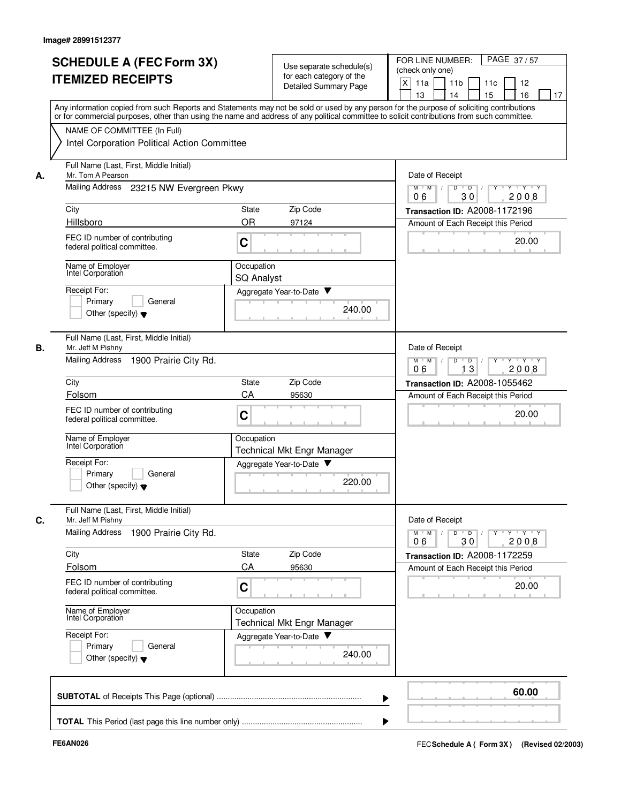|    | <b>SCHEDULE A (FEC Form 3X)</b><br><b>ITEMIZED RECEIPTS</b>   | Use separate schedule(s)<br>for each category of the<br>Detailed Summary Page                                                                                                                                                                                                           | FOR LINE NUMBER:<br>PAGE 37/57<br>(check only one)<br>X<br>11a<br>11 <sub>b</sub><br>11c<br>12<br>13<br>14<br>15<br>16<br>17 |  |  |  |
|----|---------------------------------------------------------------|-----------------------------------------------------------------------------------------------------------------------------------------------------------------------------------------------------------------------------------------------------------------------------------------|------------------------------------------------------------------------------------------------------------------------------|--|--|--|
|    | NAME OF COMMITTEE (In Full)                                   | Any information copied from such Reports and Statements may not be sold or used by any person for the purpose of soliciting contributions<br>or for commercial purposes, other than using the name and address of any political committee to solicit contributions from such committee. |                                                                                                                              |  |  |  |
|    | Intel Corporation Political Action Committee                  |                                                                                                                                                                                                                                                                                         |                                                                                                                              |  |  |  |
| А. | Full Name (Last, First, Middle Initial)<br>Mr. Tom A Pearson  |                                                                                                                                                                                                                                                                                         | Date of Receipt                                                                                                              |  |  |  |
|    | Mailing Address 23215 NW Evergreen Pkwy                       | Y Y Y Y<br>D<br>$\overline{D}$ /<br>$Y$ <sup>-1</sup><br>$M$ $M$ /<br>30<br>06<br>2008                                                                                                                                                                                                  |                                                                                                                              |  |  |  |
|    | City                                                          | Zip Code<br>State                                                                                                                                                                                                                                                                       | Transaction ID: A2008-1172196                                                                                                |  |  |  |
|    | Hillsboro                                                     | <b>OR</b><br>97124                                                                                                                                                                                                                                                                      | Amount of Each Receipt this Period                                                                                           |  |  |  |
|    | FEC ID number of contributing<br>federal political committee. | C                                                                                                                                                                                                                                                                                       | 20.00                                                                                                                        |  |  |  |
|    | Name of Employer<br>Intel Corporation                         | Occupation<br>SQ Analyst                                                                                                                                                                                                                                                                |                                                                                                                              |  |  |  |
|    | Receipt For:                                                  | Aggregate Year-to-Date                                                                                                                                                                                                                                                                  |                                                                                                                              |  |  |  |
|    | Primary<br>General<br>Other (specify) $\blacktriangledown$    | 240.00                                                                                                                                                                                                                                                                                  |                                                                                                                              |  |  |  |
| В. | Full Name (Last, First, Middle Initial)<br>Mr. Jeff M Pishny  |                                                                                                                                                                                                                                                                                         | Date of Receipt                                                                                                              |  |  |  |
|    | <b>Mailing Address</b><br>1900 Prairie City Rd.               |                                                                                                                                                                                                                                                                                         | $M^+$ M<br>D<br>$\overline{D}$<br>$Y \vdash Y \vdash Y$<br>$\sqrt{ }$<br>Y<br>$\top$<br>06<br>13<br>2008                     |  |  |  |
|    | City                                                          | Zip Code<br>State                                                                                                                                                                                                                                                                       | Transaction ID: A2008-1055462                                                                                                |  |  |  |
|    | Folsom                                                        | CA<br>95630                                                                                                                                                                                                                                                                             | Amount of Each Receipt this Period                                                                                           |  |  |  |
|    | FEC ID number of contributing<br>federal political committee. | C                                                                                                                                                                                                                                                                                       | 20.00                                                                                                                        |  |  |  |
|    | Name of Employer<br>Intel Corporation                         | Occupation<br><b>Technical Mkt Engr Manager</b>                                                                                                                                                                                                                                         |                                                                                                                              |  |  |  |
|    | Receipt For:                                                  | Aggregate Year-to-Date                                                                                                                                                                                                                                                                  |                                                                                                                              |  |  |  |
|    | Primary<br>General<br>Other (specify) $\blacktriangledown$    | 220.00                                                                                                                                                                                                                                                                                  |                                                                                                                              |  |  |  |
| С. | Full Name (Last, First, Middle Initial)<br>Mr. Jeff M Pishny  |                                                                                                                                                                                                                                                                                         | Date of Receipt                                                                                                              |  |  |  |
|    | Mailing Address<br>1900 Prairie City Rd.                      |                                                                                                                                                                                                                                                                                         | $Y$ $Y$ $Y$ $Y$<br>$M$ <sup>U</sup><br>M<br>D<br>$\overline{D}$<br>30<br>2008<br>06                                          |  |  |  |
|    | City                                                          | Zip Code<br>State                                                                                                                                                                                                                                                                       | Transaction ID: A2008-1172259                                                                                                |  |  |  |
|    | Folsom                                                        | CA<br>95630                                                                                                                                                                                                                                                                             | Amount of Each Receipt this Period                                                                                           |  |  |  |
|    | FEC ID number of contributing<br>federal political committee. | C                                                                                                                                                                                                                                                                                       | 20.00                                                                                                                        |  |  |  |
|    | Name of Employer<br>Intel Corporation                         | Occupation<br><b>Technical Mkt Engr Manager</b>                                                                                                                                                                                                                                         |                                                                                                                              |  |  |  |
|    | Receipt For:<br>Primary<br>General                            | Aggregate Year-to-Date                                                                                                                                                                                                                                                                  |                                                                                                                              |  |  |  |
|    | Other (specify) $\blacktriangledown$                          | 240.00                                                                                                                                                                                                                                                                                  |                                                                                                                              |  |  |  |
|    |                                                               |                                                                                                                                                                                                                                                                                         | 60.00                                                                                                                        |  |  |  |
|    |                                                               |                                                                                                                                                                                                                                                                                         |                                                                                                                              |  |  |  |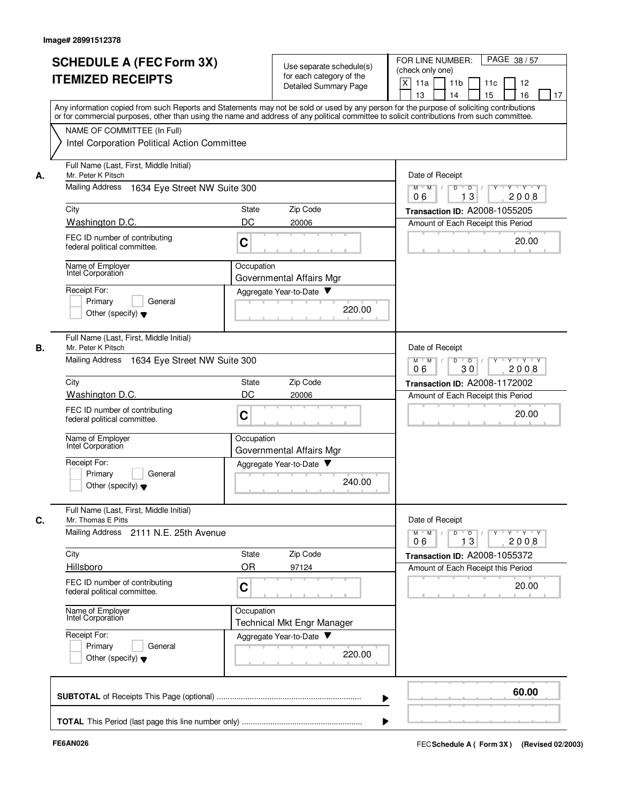|    | <b>SCHEDULE A (FEC Form 3X)</b><br><b>ITEMIZED RECEIPTS</b>                                                                                                                                                                                                                             |                                                                                                       | Use separate schedule(s)<br>for each category of the<br>Detailed Summary Page | PAGE 38 / 57<br>FOR LINE NUMBER:<br>(check only one)<br>X<br>11 <sub>b</sub><br>11a<br>11c<br>12<br>13<br>14<br>15<br>16<br>17 |
|----|-----------------------------------------------------------------------------------------------------------------------------------------------------------------------------------------------------------------------------------------------------------------------------------------|-------------------------------------------------------------------------------------------------------|-------------------------------------------------------------------------------|--------------------------------------------------------------------------------------------------------------------------------|
|    | Any information copied from such Reports and Statements may not be sold or used by any person for the purpose of soliciting contributions<br>or for commercial purposes, other than using the name and address of any political committee to solicit contributions from such committee. |                                                                                                       |                                                                               |                                                                                                                                |
|    | NAME OF COMMITTEE (In Full)<br>Intel Corporation Political Action Committee                                                                                                                                                                                                             |                                                                                                       |                                                                               |                                                                                                                                |
| А. | Full Name (Last, First, Middle Initial)<br>Mr. Peter K Pitsch                                                                                                                                                                                                                           | Date of Receipt                                                                                       |                                                                               |                                                                                                                                |
|    | <b>Mailing Address</b><br>1634 Eye Street NW Suite 300                                                                                                                                                                                                                                  | Y 'Y 'Y<br>$M$ $M$ /<br>D<br>$\overline{D}$ /<br>$Y$ <sup><math>\top</math></sup><br>13<br>06<br>2008 |                                                                               |                                                                                                                                |
|    | City                                                                                                                                                                                                                                                                                    | State                                                                                                 | Zip Code                                                                      | Transaction ID: A2008-1055205                                                                                                  |
|    | Washington D.C.<br>FEC ID number of contributing<br>federal political committee.                                                                                                                                                                                                        | DC<br>C                                                                                               | 20006                                                                         | Amount of Each Receipt this Period<br>20.00                                                                                    |
|    | Name of Employer<br>Intel Corporation                                                                                                                                                                                                                                                   | Occupation                                                                                            |                                                                               |                                                                                                                                |
|    | Receipt For:                                                                                                                                                                                                                                                                            |                                                                                                       | Governmental Affairs Mgr<br>Aggregate Year-to-Date                            |                                                                                                                                |
|    | Primary<br>General<br>Other (specify) $\blacktriangledown$                                                                                                                                                                                                                              |                                                                                                       | 220.00                                                                        |                                                                                                                                |
| В. | Full Name (Last, First, Middle Initial)<br>Mr. Peter K Pitsch                                                                                                                                                                                                                           |                                                                                                       |                                                                               | Date of Receipt                                                                                                                |
|    | Mailing Address<br>1634 Eye Street NW Suite 300                                                                                                                                                                                                                                         | $Y - Y - Y$<br>$M$ M<br>D<br>$\overline{D}$<br>30<br>2008<br>06                                       |                                                                               |                                                                                                                                |
|    | City<br>State                                                                                                                                                                                                                                                                           |                                                                                                       | Zip Code                                                                      | Transaction ID: A2008-1172002                                                                                                  |
|    | Washington D.C.<br>FEC ID number of contributing<br>federal political committee.                                                                                                                                                                                                        | DC<br>C                                                                                               | 20006                                                                         | Amount of Each Receipt this Period<br>20.00                                                                                    |
|    | Name of Employer<br>Intel Corporation                                                                                                                                                                                                                                                   | Occupation                                                                                            | Governmental Affairs Mgr                                                      |                                                                                                                                |
|    | Receipt For:<br>Primary<br>General<br>Other (specify) $\blacktriangledown$                                                                                                                                                                                                              |                                                                                                       | Aggregate Year-to-Date<br>240.00                                              |                                                                                                                                |
| C. | Full Name (Last, First, Middle Initial)<br>Mr. Thomas E Pitts                                                                                                                                                                                                                           |                                                                                                       |                                                                               | Date of Receipt                                                                                                                |
|    | Mailing Address 2111 N.E. 25th Avenue                                                                                                                                                                                                                                                   |                                                                                                       |                                                                               | $Y$ $Y$ $Y$<br>$M$ $M$<br>D<br>$\overline{D}$<br>Y<br>13<br>2008<br>06                                                         |
|    | City<br>Hillsboro                                                                                                                                                                                                                                                                       | State<br>OR                                                                                           | Zip Code<br>97124                                                             | Transaction ID: A2008-1055372<br>Amount of Each Receipt this Period                                                            |
|    | FEC ID number of contributing<br>federal political committee.                                                                                                                                                                                                                           | C                                                                                                     |                                                                               | 20.00                                                                                                                          |
|    | Name of Employer<br>Intel Corporation                                                                                                                                                                                                                                                   | Occupation                                                                                            | <b>Technical Mkt Engr Manager</b>                                             |                                                                                                                                |
|    | Receipt For:<br>Primary<br>General<br>Other (specify) $\blacktriangledown$                                                                                                                                                                                                              |                                                                                                       | Aggregate Year-to-Date ▼<br>220.00                                            |                                                                                                                                |
|    |                                                                                                                                                                                                                                                                                         |                                                                                                       |                                                                               | 60.00                                                                                                                          |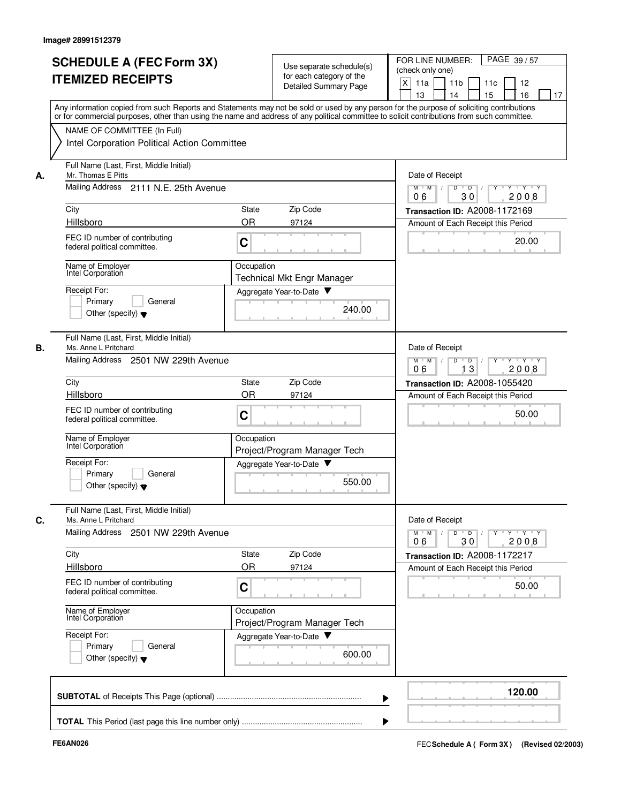|    | <b>SCHEDULE A (FEC Form 3X)</b><br><b>ITEMIZED RECEIPTS</b>                 | Use separate schedule(s)<br>for each category of the<br>Detailed Summary Page                                                                                                                                                                                                           | PAGE 39/57<br>FOR LINE NUMBER:<br>(check only one)<br>X<br>11 <sub>b</sub><br>11a<br>11 <sub>c</sub><br>12<br>13<br>15<br>16<br>14 |
|----|-----------------------------------------------------------------------------|-----------------------------------------------------------------------------------------------------------------------------------------------------------------------------------------------------------------------------------------------------------------------------------------|------------------------------------------------------------------------------------------------------------------------------------|
|    |                                                                             | Any information copied from such Reports and Statements may not be sold or used by any person for the purpose of soliciting contributions<br>or for commercial purposes, other than using the name and address of any political committee to solicit contributions from such committee. | 17                                                                                                                                 |
|    | NAME OF COMMITTEE (In Full)<br>Intel Corporation Political Action Committee |                                                                                                                                                                                                                                                                                         |                                                                                                                                    |
| А. | Full Name (Last, First, Middle Initial)<br>Mr. Thomas E Pitts               |                                                                                                                                                                                                                                                                                         | Date of Receipt                                                                                                                    |
|    | Mailing Address 2111 N.E. 25th Avenue                                       | Y 'Y 'Y<br>$M$ $M$ $/$<br>$\mathsf D$<br>$\overline{D}$ /<br>Y<br>30<br>2008<br>06                                                                                                                                                                                                      |                                                                                                                                    |
|    | City                                                                        | Zip Code<br>State                                                                                                                                                                                                                                                                       | Transaction ID: A2008-1172169                                                                                                      |
|    | Hillsboro                                                                   | <b>OR</b><br>97124                                                                                                                                                                                                                                                                      | Amount of Each Receipt this Period                                                                                                 |
|    | FEC ID number of contributing<br>federal political committee.               | C                                                                                                                                                                                                                                                                                       | 20.00                                                                                                                              |
|    | Name of Employer<br>Intel Corporation                                       | Occupation<br><b>Technical Mkt Engr Manager</b>                                                                                                                                                                                                                                         |                                                                                                                                    |
|    | Receipt For:                                                                | Aggregate Year-to-Date                                                                                                                                                                                                                                                                  |                                                                                                                                    |
|    | Primary<br>General<br>Other (specify) $\blacktriangledown$                  | 240.00                                                                                                                                                                                                                                                                                  |                                                                                                                                    |
| В. | Full Name (Last, First, Middle Initial)<br>Ms. Anne L Pritchard             |                                                                                                                                                                                                                                                                                         | Date of Receipt                                                                                                                    |
|    | Mailing Address<br>2501 NW 229th Avenue                                     | $Y - Y - Y$<br>$M$ M<br>D<br>D<br>13<br>2008<br>06                                                                                                                                                                                                                                      |                                                                                                                                    |
|    | City                                                                        | Zip Code<br>State                                                                                                                                                                                                                                                                       | Transaction ID: A2008-1055420                                                                                                      |
|    | Hillsboro                                                                   | <b>OR</b><br>97124                                                                                                                                                                                                                                                                      | Amount of Each Receipt this Period                                                                                                 |
|    | FEC ID number of contributing<br>federal political committee.               | C                                                                                                                                                                                                                                                                                       | 50.00                                                                                                                              |
|    | Name of Employer<br>Intel Corporation                                       | Occupation<br>Project/Program Manager Tech                                                                                                                                                                                                                                              |                                                                                                                                    |
|    | Receipt For:<br>General                                                     | Aggregate Year-to-Date                                                                                                                                                                                                                                                                  |                                                                                                                                    |
|    | Primary<br>Other (specify) $\blacktriangledown$                             | 550.00                                                                                                                                                                                                                                                                                  |                                                                                                                                    |
| C. | Full Name (Last, First, Middle Initial)<br>Ms. Anne L Pritchard             |                                                                                                                                                                                                                                                                                         | Date of Receipt                                                                                                                    |
|    | Mailing Address 2501 NW 229th Avenue                                        |                                                                                                                                                                                                                                                                                         | $Y + Y + Y$<br>$M$ M<br>$\overline{D}$<br>D<br>2008<br>06<br>30                                                                    |
|    | City                                                                        | Zip Code<br>State                                                                                                                                                                                                                                                                       | Transaction ID: A2008-1172217                                                                                                      |
|    | Hillsboro                                                                   | OR<br>97124                                                                                                                                                                                                                                                                             | Amount of Each Receipt this Period                                                                                                 |
|    | FEC ID number of contributing<br>federal political committee.               | C                                                                                                                                                                                                                                                                                       | 50.00                                                                                                                              |
|    | Name of Employer<br>Intel Corporation                                       | Occupation<br>Project/Program Manager Tech                                                                                                                                                                                                                                              |                                                                                                                                    |
|    | Receipt For:<br>Primary<br>General                                          | Aggregate Year-to-Date                                                                                                                                                                                                                                                                  |                                                                                                                                    |
|    | Other (specify) $\blacktriangledown$                                        | 600.00                                                                                                                                                                                                                                                                                  |                                                                                                                                    |
|    |                                                                             |                                                                                                                                                                                                                                                                                         | 120.00                                                                                                                             |
|    |                                                                             |                                                                                                                                                                                                                                                                                         |                                                                                                                                    |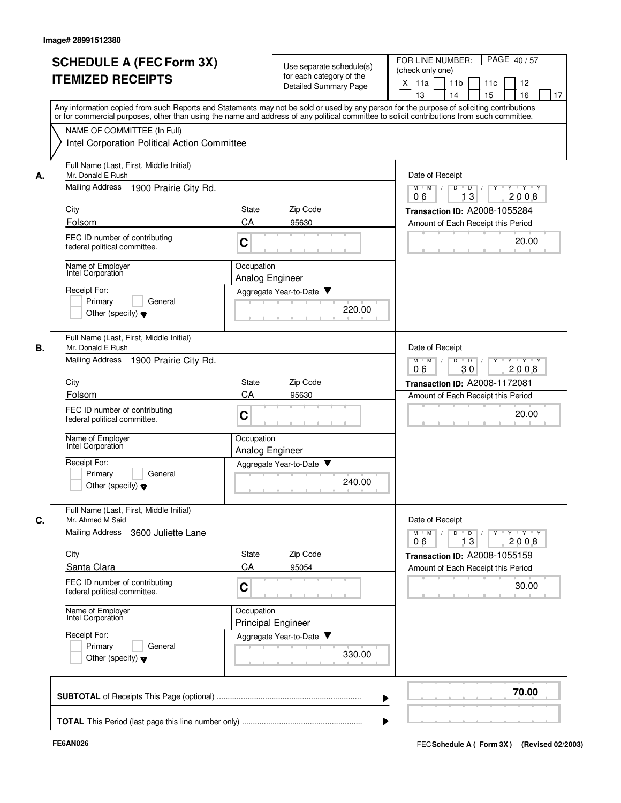|    | <b>SCHEDULE A (FEC Form 3X)</b><br><b>ITEMIZED RECEIPTS</b>                | Use separate schedule(s)<br>for each category of the<br>Detailed Summary Page                                                                                                                                                                                                           | PAGE 40/57<br>FOR LINE NUMBER:<br>(check only one)<br>X<br>11a<br>11 <sub>b</sub><br>11c<br>12<br>13<br>14<br>15<br>16<br>17 |
|----|----------------------------------------------------------------------------|-----------------------------------------------------------------------------------------------------------------------------------------------------------------------------------------------------------------------------------------------------------------------------------------|------------------------------------------------------------------------------------------------------------------------------|
|    | NAME OF COMMITTEE (In Full)                                                | Any information copied from such Reports and Statements may not be sold or used by any person for the purpose of soliciting contributions<br>or for commercial purposes, other than using the name and address of any political committee to solicit contributions from such committee. |                                                                                                                              |
|    | Intel Corporation Political Action Committee                               |                                                                                                                                                                                                                                                                                         |                                                                                                                              |
| А. | Full Name (Last, First, Middle Initial)<br>Mr. Donald E Rush               | Date of Receipt                                                                                                                                                                                                                                                                         |                                                                                                                              |
|    | Mailing Address<br>1900 Prairie City Rd.                                   | Y Y Y Y<br>$M$ $M$ /<br>D<br>$\Box$<br>$Y$ <sup>-1</sup><br>13<br>06<br>2008                                                                                                                                                                                                            |                                                                                                                              |
|    | City                                                                       | Zip Code<br>State                                                                                                                                                                                                                                                                       | Transaction ID: A2008-1055284                                                                                                |
|    | Folsom                                                                     | CA<br>95630                                                                                                                                                                                                                                                                             | Amount of Each Receipt this Period                                                                                           |
|    | FEC ID number of contributing<br>federal political committee.              | C                                                                                                                                                                                                                                                                                       | 20.00                                                                                                                        |
|    | Name of Employer<br>Intel Corporation                                      | Occupation<br>Analog Engineer                                                                                                                                                                                                                                                           |                                                                                                                              |
|    | Receipt For:                                                               | Aggregate Year-to-Date                                                                                                                                                                                                                                                                  |                                                                                                                              |
|    | Primary<br>General<br>Other (specify) $\blacktriangledown$                 | 220.00                                                                                                                                                                                                                                                                                  |                                                                                                                              |
| В. | Full Name (Last, First, Middle Initial)<br>Mr. Donald E Rush               |                                                                                                                                                                                                                                                                                         | Date of Receipt                                                                                                              |
|    | <b>Mailing Address</b><br>1900 Prairie City Rd.                            | $M$ M<br>D<br>$Y - Y - Y$<br>$\sqrt{ }$<br>$\overline{D}$<br>2008<br>06<br>30                                                                                                                                                                                                           |                                                                                                                              |
|    | City                                                                       | Zip Code<br>State                                                                                                                                                                                                                                                                       | Transaction ID: A2008-1172081                                                                                                |
|    | Folsom                                                                     | CA<br>95630                                                                                                                                                                                                                                                                             | Amount of Each Receipt this Period                                                                                           |
|    | FEC ID number of contributing<br>federal political committee.              | C                                                                                                                                                                                                                                                                                       | 20.00                                                                                                                        |
|    | Name of Employer<br>Intel Corporation                                      | Occupation<br>Analog Engineer                                                                                                                                                                                                                                                           |                                                                                                                              |
|    | Receipt For:<br>Primary<br>General<br>Other (specify) $\blacktriangledown$ | Aggregate Year-to-Date<br>240.00                                                                                                                                                                                                                                                        |                                                                                                                              |
| С. | Full Name (Last, First, Middle Initial)<br>Mr. Ahmed M Said                |                                                                                                                                                                                                                                                                                         | Date of Receipt                                                                                                              |
|    | Mailing Address<br>3600 Juliette Lane                                      |                                                                                                                                                                                                                                                                                         | $Y$ $Y$ $Y$<br>$M$ <sup>U</sup><br>M<br>D<br>D<br>13<br>2008<br>06                                                           |
|    | City                                                                       | Zip Code<br>State                                                                                                                                                                                                                                                                       | Transaction ID: A2008-1055159                                                                                                |
|    | Santa Clara                                                                | CA<br>95054                                                                                                                                                                                                                                                                             | Amount of Each Receipt this Period                                                                                           |
|    | FEC ID number of contributing<br>federal political committee.              | C                                                                                                                                                                                                                                                                                       | 30.00                                                                                                                        |
|    | Name of Employer<br>Intel Corporation                                      | Occupation<br><b>Principal Engineer</b>                                                                                                                                                                                                                                                 |                                                                                                                              |
|    | Receipt For:<br>Primary<br>General<br>Other (specify) $\blacktriangledown$ | Aggregate Year-to-Date<br>330.00                                                                                                                                                                                                                                                        |                                                                                                                              |
|    |                                                                            |                                                                                                                                                                                                                                                                                         | 70.00                                                                                                                        |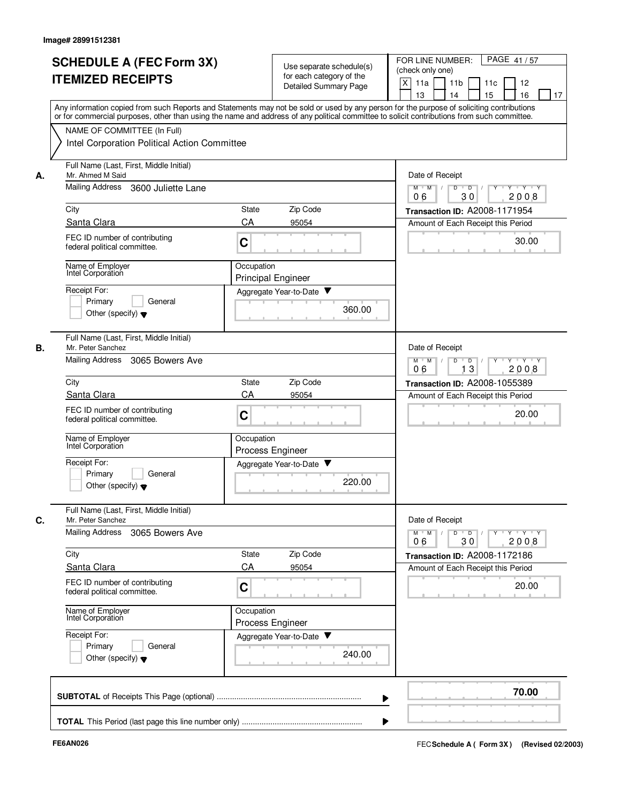|    | <b>SCHEDULE A (FEC Form 3X)</b><br><b>ITEMIZED RECEIPTS</b>                                     | Use separate schedule(s)<br>for each category of the<br>Detailed Summary Page | FOR LINE NUMBER:<br>PAGE 41/57<br>(check only one)<br>X<br>11a<br>11 <sub>b</sub><br>11c<br>12<br>13<br>14<br>15<br>16<br>17                                                                                                                                                            |
|----|-------------------------------------------------------------------------------------------------|-------------------------------------------------------------------------------|-----------------------------------------------------------------------------------------------------------------------------------------------------------------------------------------------------------------------------------------------------------------------------------------|
|    |                                                                                                 |                                                                               | Any information copied from such Reports and Statements may not be sold or used by any person for the purpose of soliciting contributions<br>or for commercial purposes, other than using the name and address of any political committee to solicit contributions from such committee. |
|    | NAME OF COMMITTEE (In Full)<br>Intel Corporation Political Action Committee                     |                                                                               |                                                                                                                                                                                                                                                                                         |
| А. | Full Name (Last, First, Middle Initial)<br>Mr. Ahmed M Said                                     |                                                                               | Date of Receipt                                                                                                                                                                                                                                                                         |
|    | <b>Mailing Address</b><br>3600 Juliette Lane                                                    | $M$ $M$ /<br>Y 'Y 'Y<br>D<br>$\overline{D}$<br>30<br>2008<br>06               |                                                                                                                                                                                                                                                                                         |
|    | City                                                                                            | Zip Code<br><b>State</b>                                                      | Transaction ID: A2008-1171954                                                                                                                                                                                                                                                           |
|    | Santa Clara<br>FEC ID number of contributing<br>federal political committee.                    | CA<br>95054<br>C                                                              | Amount of Each Receipt this Period<br>30.00                                                                                                                                                                                                                                             |
|    | Name of Employer<br>Intel Corporation                                                           | Occupation<br><b>Principal Engineer</b>                                       |                                                                                                                                                                                                                                                                                         |
|    | Receipt For:<br>Primary<br>General                                                              | Aggregate Year-to-Date<br>360.00                                              |                                                                                                                                                                                                                                                                                         |
|    | Other (specify) $\blacktriangledown$<br>Full Name (Last, First, Middle Initial)                 |                                                                               |                                                                                                                                                                                                                                                                                         |
| В. | Mr. Peter Sanchez<br><b>Mailing Address</b><br>3065 Bowers Ave                                  |                                                                               | Date of Receipt<br>D<br>$Y \vdash Y \vdash Y$<br>$M$ $M$<br>$\sqrt{ }$<br>$\overline{D}$ /<br>13<br>06<br>2008                                                                                                                                                                          |
|    | City                                                                                            | Zip Code<br>State                                                             | Transaction ID: A2008-1055389                                                                                                                                                                                                                                                           |
|    | Santa Clara<br>FEC ID number of contributing<br>federal political committee.                    | CA<br>95054<br>C                                                              | Amount of Each Receipt this Period<br>20.00                                                                                                                                                                                                                                             |
|    | Name of Employer<br>Intel Corporation                                                           | Occupation<br>Process Engineer                                                |                                                                                                                                                                                                                                                                                         |
|    | Receipt For:<br>Primary<br>General<br>Other (specify) $\blacktriangledown$                      | Aggregate Year-to-Date<br>220.00                                              |                                                                                                                                                                                                                                                                                         |
| C. | Full Name (Last, First, Middle Initial)<br>Mr. Peter Sanchez<br>Mailing Address 3065 Bowers Ave |                                                                               | Date of Receipt<br>$Y$ $Y$ $Y$ $Y$<br>$D$ $D$ $I$<br>$Y$ <sup>U</sup><br>$M$ $M$ /                                                                                                                                                                                                      |
|    | City                                                                                            | State<br>Zip Code                                                             | 30<br>2008<br>06<br>Transaction ID: A2008-1172186                                                                                                                                                                                                                                       |
|    | Santa Clara                                                                                     | CA<br>95054                                                                   | Amount of Each Receipt this Period                                                                                                                                                                                                                                                      |
|    | FEC ID number of contributing<br>federal political committee.                                   | C                                                                             | 20.00                                                                                                                                                                                                                                                                                   |
|    | Name of Employer<br>Intel Corporation                                                           | Occupation<br>Process Engineer                                                |                                                                                                                                                                                                                                                                                         |
|    | Receipt For:<br>Primary<br>General<br>Other (specify) $\blacktriangledown$                      | Aggregate Year-to-Date<br>240.00                                              |                                                                                                                                                                                                                                                                                         |
|    |                                                                                                 |                                                                               | 70.00                                                                                                                                                                                                                                                                                   |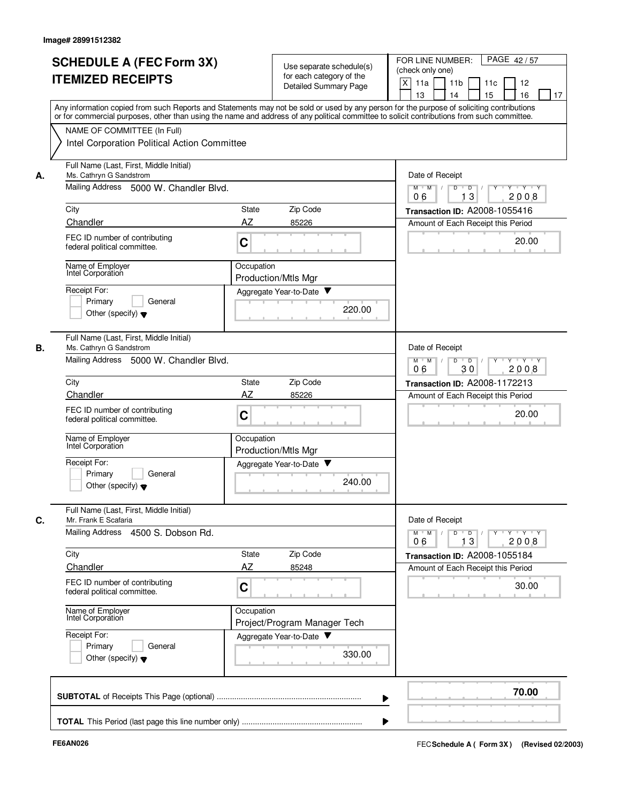|    | <b>SCHEDULE A (FEC Form 3X)</b><br><b>ITEMIZED RECEIPTS</b>                                                  | Use separate schedule(s)<br>for each category of the<br><b>Detailed Summary Page</b><br>Any information copied from such Reports and Statements may not be sold or used by any person for the purpose of soliciting contributions | FOR LINE NUMBER:<br>PAGE 42/57<br>(check only one)<br>X<br>11a<br>11 <sub>b</sub><br>11c<br>12<br>13<br>14<br>15<br>16<br>17 |
|----|--------------------------------------------------------------------------------------------------------------|-----------------------------------------------------------------------------------------------------------------------------------------------------------------------------------------------------------------------------------|------------------------------------------------------------------------------------------------------------------------------|
|    | NAME OF COMMITTEE (In Full)<br>Intel Corporation Political Action Committee                                  | or for commercial purposes, other than using the name and address of any political committee to solicit contributions from such committee.                                                                                        |                                                                                                                              |
| А. | Full Name (Last, First, Middle Initial)<br>Ms. Cathryn G Sandstrom<br>Mailing Address 5000 W. Chandler Blvd. |                                                                                                                                                                                                                                   | Date of Receipt<br>Y 'Y 'Y                                                                                                   |
|    |                                                                                                              |                                                                                                                                                                                                                                   | $M$ $M$ /<br>D<br>$\overline{D}$ /<br>13<br>06<br>2008                                                                       |
|    | City                                                                                                         | Zip Code<br><b>State</b>                                                                                                                                                                                                          | <b>Transaction ID: A2008-1055416</b>                                                                                         |
|    | Chandler<br>FEC ID number of contributing<br>federal political committee.                                    | AZ<br>85226<br>C                                                                                                                                                                                                                  | Amount of Each Receipt this Period<br>20.00                                                                                  |
|    | Name of Employer<br>Intel Corporation                                                                        | Occupation<br>Production/Mtls Mgr                                                                                                                                                                                                 |                                                                                                                              |
|    | Receipt For:<br>General<br>Primary<br>Other (specify) $\blacktriangledown$                                   | Aggregate Year-to-Date<br>220.00                                                                                                                                                                                                  |                                                                                                                              |
| В. | Full Name (Last, First, Middle Initial)<br>Ms. Cathryn G Sandstrom<br>Mailing Address 5000 W. Chandler Blvd. |                                                                                                                                                                                                                                   | Date of Receipt<br>$Y - Y - Y$<br>$M$ M<br>D<br>$\overline{D}$<br>$\sqrt{ }$<br>2008<br>06<br>30                             |
|    | City                                                                                                         | Zip Code<br>State                                                                                                                                                                                                                 | Transaction ID: A2008-1172213                                                                                                |
|    | Chandler                                                                                                     | AZ<br>85226                                                                                                                                                                                                                       | Amount of Each Receipt this Period                                                                                           |
|    | FEC ID number of contributing<br>federal political committee.                                                | C                                                                                                                                                                                                                                 | 20.00                                                                                                                        |
|    | Name of Employer<br>Intel Corporation                                                                        | Occupation<br><b>Production/Mtls Mgr</b>                                                                                                                                                                                          |                                                                                                                              |
|    | Receipt For:<br>Primary<br>General<br>Other (specify) $\blacktriangledown$                                   | Aggregate Year-to-Date<br>240.00                                                                                                                                                                                                  |                                                                                                                              |
| C. | Full Name (Last, First, Middle Initial)<br>Mr. Frank E Scafaria                                              |                                                                                                                                                                                                                                   | Date of Receipt                                                                                                              |
|    | Mailing Address 4500 S. Dobson Rd.                                                                           |                                                                                                                                                                                                                                   | $Y$ $Y$ $Y$<br>Y<br>$M$ $M$<br>D<br>$\overline{D}$<br>13<br>2008<br>06                                                       |
|    | City                                                                                                         | Zip Code<br>State                                                                                                                                                                                                                 | Transaction ID: A2008-1055184                                                                                                |
|    | Chandler                                                                                                     | AZ<br>85248                                                                                                                                                                                                                       | Amount of Each Receipt this Period                                                                                           |
|    | FEC ID number of contributing<br>federal political committee.                                                | C                                                                                                                                                                                                                                 | 30.00                                                                                                                        |
|    | Name of Employer<br>Intel Corporation<br>Receipt For:                                                        | Occupation<br>Project/Program Manager Tech                                                                                                                                                                                        |                                                                                                                              |
|    | Primary<br>General<br>Other (specify) $\blacktriangledown$                                                   | Aggregate Year-to-Date<br>330.00                                                                                                                                                                                                  |                                                                                                                              |
|    |                                                                                                              |                                                                                                                                                                                                                                   | 70.00                                                                                                                        |
|    |                                                                                                              |                                                                                                                                                                                                                                   |                                                                                                                              |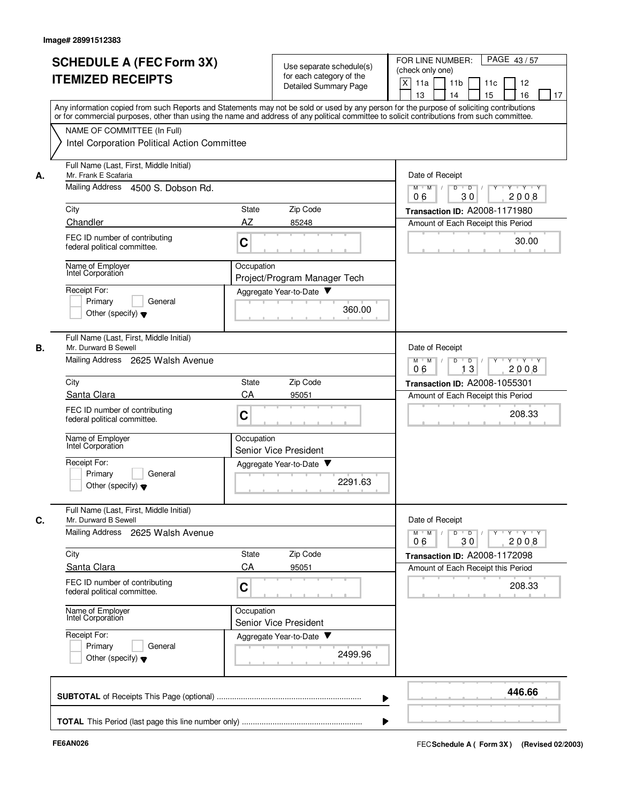|    | <b>SCHEDULE A (FEC Form 3X)</b><br><b>ITEMIZED RECEIPTS</b>                                                                                                                                                                                                                             | for each category of the<br>Detailed Summary Page | Use separate schedule(s) | PAGE 43/57<br>FOR LINE NUMBER:<br>(check only one)<br>X<br>11 <sub>b</sub><br>11a<br>11c<br>12<br>13<br>14<br>15<br>16<br>17 |
|----|-----------------------------------------------------------------------------------------------------------------------------------------------------------------------------------------------------------------------------------------------------------------------------------------|---------------------------------------------------|--------------------------|------------------------------------------------------------------------------------------------------------------------------|
|    | Any information copied from such Reports and Statements may not be sold or used by any person for the purpose of soliciting contributions<br>or for commercial purposes, other than using the name and address of any political committee to solicit contributions from such committee. |                                                   |                          |                                                                                                                              |
|    | NAME OF COMMITTEE (In Full)<br>Intel Corporation Political Action Committee                                                                                                                                                                                                             |                                                   |                          |                                                                                                                              |
| А. | Full Name (Last, First, Middle Initial)<br>Mr. Frank E Scafaria<br>Mailing Address 4500 S. Dobson Rd.                                                                                                                                                                                   |                                                   |                          | Date of Receipt<br>y y y y y y<br>$M$ $M$ /<br>D<br>$\overline{D}$ /                                                         |
|    |                                                                                                                                                                                                                                                                                         |                                                   |                          | 30<br>06<br>2008                                                                                                             |
|    | City                                                                                                                                                                                                                                                                                    | Zip Code<br>State                                 |                          | Transaction ID: A2008-1171980                                                                                                |
|    | Chandler<br>FEC ID number of contributing<br>federal political committee.                                                                                                                                                                                                               | AZ<br>85248<br>C                                  |                          | Amount of Each Receipt this Period<br>30.00                                                                                  |
|    | Name of Employer<br>Intel Corporation                                                                                                                                                                                                                                                   | Occupation<br>Project/Program Manager Tech        |                          |                                                                                                                              |
|    | Receipt For:<br>Primary<br>General<br>Other (specify) $\blacktriangledown$                                                                                                                                                                                                              | Aggregate Year-to-Date                            | 360.00                   |                                                                                                                              |
| В. | Full Name (Last, First, Middle Initial)<br>Mr. Durward B Sewell<br>Mailing Address 2625 Walsh Avenue                                                                                                                                                                                    |                                                   |                          | Date of Receipt<br>$Y - Y - Y$<br>$M$ M<br>D<br>D                                                                            |
|    |                                                                                                                                                                                                                                                                                         |                                                   |                          | 2008<br>13<br>06                                                                                                             |
|    | City<br>Santa Clara                                                                                                                                                                                                                                                                     | Zip Code<br>State<br>CA<br>95051                  |                          | Transaction ID: A2008-1055301                                                                                                |
|    | FEC ID number of contributing<br>federal political committee.                                                                                                                                                                                                                           | C                                                 |                          | Amount of Each Receipt this Period<br>208.33                                                                                 |
|    | Name of Employer<br>Intel Corporation                                                                                                                                                                                                                                                   | Occupation<br>Senior Vice President               |                          |                                                                                                                              |
|    | Receipt For:<br>Primary<br>General<br>Other (specify) $\blacktriangledown$                                                                                                                                                                                                              | Aggregate Year-to-Date                            | 2291.63                  |                                                                                                                              |
| C. | Full Name (Last, First, Middle Initial)<br>Mr. Durward B Sewell                                                                                                                                                                                                                         |                                                   |                          | Date of Receipt                                                                                                              |
|    | Mailing Address 2625 Walsh Avenue                                                                                                                                                                                                                                                       |                                                   |                          | $Y$ $Y$ $Y$<br>$M$ $M$<br>D<br>$\overline{D}$<br>Y<br>2008<br>06<br>30                                                       |
|    | City                                                                                                                                                                                                                                                                                    | State<br>Zip Code                                 |                          | Transaction ID: A2008-1172098                                                                                                |
|    | Santa Clara                                                                                                                                                                                                                                                                             | CA<br>95051                                       |                          | Amount of Each Receipt this Period                                                                                           |
|    | FEC ID number of contributing<br>federal political committee.                                                                                                                                                                                                                           | C                                                 |                          | 208.33                                                                                                                       |
|    | Name of Employer<br>Intel Corporation                                                                                                                                                                                                                                                   | Occupation<br>Senior Vice President               |                          |                                                                                                                              |
|    | Receipt For:<br>Primary<br>General<br>Other (specify) $\blacktriangledown$                                                                                                                                                                                                              | Aggregate Year-to-Date                            | 2499.96                  |                                                                                                                              |
|    |                                                                                                                                                                                                                                                                                         |                                                   |                          | 446.66                                                                                                                       |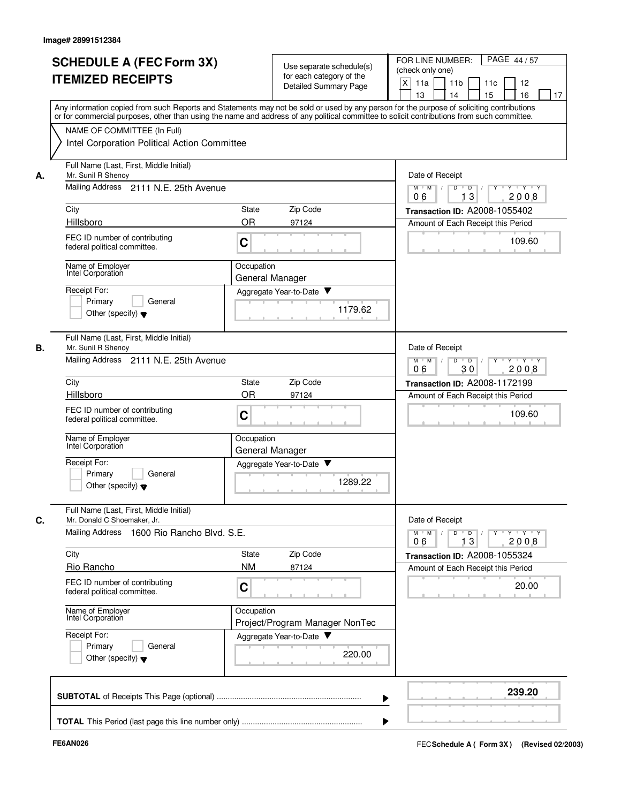|    | <b>SCHEDULE A (FEC Form 3X)</b><br><b>ITEMIZED RECEIPTS</b><br>Any information copied from such Reports and Statements may not be sold or used by any person for the purpose of soliciting contributions                  |                               | Use separate schedule(s)<br>for each category of the<br>Detailed Summary Page | FOR LINE NUMBER:<br>PAGE 44/57<br>(check only one)<br>X<br>11a<br>11 <sub>b</sub><br>12<br>11c<br>13<br>14<br>15<br>16<br>17 |
|----|---------------------------------------------------------------------------------------------------------------------------------------------------------------------------------------------------------------------------|-------------------------------|-------------------------------------------------------------------------------|------------------------------------------------------------------------------------------------------------------------------|
|    | or for commercial purposes, other than using the name and address of any political committee to solicit contributions from such committee.<br>NAME OF COMMITTEE (In Full)<br>Intel Corporation Political Action Committee |                               |                                                                               |                                                                                                                              |
| А. | Full Name (Last, First, Middle Initial)<br>Mr. Sunil R Shenoy<br>Mailing Address 2111 N.E. 25th Avenue                                                                                                                    |                               |                                                                               | Date of Receipt<br>$Y - Y - Y$<br>$M$ $M$ /<br>D<br>$\overline{D}$<br>3<br>2008<br>06<br>1                                   |
|    | City                                                                                                                                                                                                                      | State                         | Zip Code                                                                      | Transaction ID: A2008-1055402                                                                                                |
|    | Hillsboro                                                                                                                                                                                                                 | <b>OR</b>                     | 97124                                                                         | Amount of Each Receipt this Period                                                                                           |
|    | FEC ID number of contributing<br>federal political committee.                                                                                                                                                             | C                             |                                                                               | 109.60                                                                                                                       |
|    | Name of Employer<br>Intel Corporation                                                                                                                                                                                     | Occupation<br>General Manager |                                                                               |                                                                                                                              |
|    | Receipt For:<br>Primary<br>General<br>Other (specify) $\blacktriangledown$                                                                                                                                                |                               | Aggregate Year-to-Date<br>1179.62                                             |                                                                                                                              |
| В. | Full Name (Last, First, Middle Initial)<br>Mr. Sunil R Shenoy<br>Mailing Address 2111 N.E. 25th Avenue                                                                                                                    |                               |                                                                               | Date of Receipt<br>$M$ M<br>$\prime$<br>D<br>$\overline{D}$<br>$Y + Y + Y$                                                   |
|    |                                                                                                                                                                                                                           |                               |                                                                               | 2008<br>06<br>30                                                                                                             |
|    | City<br>Hillsboro                                                                                                                                                                                                         | State<br>OR                   | Zip Code<br>97124                                                             | Transaction ID: A2008-1172199                                                                                                |
|    | FEC ID number of contributing<br>federal political committee.                                                                                                                                                             | C                             |                                                                               | Amount of Each Receipt this Period<br>109.60                                                                                 |
|    | Name of Employer<br>Intel Corporation                                                                                                                                                                                     | Occupation<br>General Manager |                                                                               |                                                                                                                              |
|    | Receipt For:<br>Primary<br>General<br>Other (specify) $\blacktriangledown$                                                                                                                                                |                               | Aggregate Year-to-Date<br>1289.22                                             |                                                                                                                              |
| C. | Full Name (Last, First, Middle Initial)<br>Mr. Donald C Shoemaker, Jr.                                                                                                                                                    |                               |                                                                               | Date of Receipt                                                                                                              |
|    | Mailing Address 1600 Rio Rancho Blvd. S.E.                                                                                                                                                                                |                               |                                                                               | $Y$ $Y$ $Y$<br>$D$ $D$<br>Y<br>$M$ M<br>13<br>2008<br>06                                                                     |
|    | City                                                                                                                                                                                                                      | State                         | Zip Code                                                                      | Transaction ID: A2008-1055324                                                                                                |
|    | Rio Rancho                                                                                                                                                                                                                | <b>NM</b>                     | 87124                                                                         | Amount of Each Receipt this Period                                                                                           |
|    | FEC ID number of contributing<br>federal political committee.                                                                                                                                                             | C                             |                                                                               | 20.00                                                                                                                        |
|    | Name of Employer<br>Intel Corporation                                                                                                                                                                                     | Occupation                    | Project/Program Manager NonTec                                                |                                                                                                                              |
|    | Receipt For:<br>Primary<br>General<br>Other (specify) $\blacktriangledown$                                                                                                                                                |                               | Aggregate Year-to-Date<br>220.00                                              |                                                                                                                              |
|    |                                                                                                                                                                                                                           |                               |                                                                               | 239.20                                                                                                                       |
|    |                                                                                                                                                                                                                           |                               |                                                                               |                                                                                                                              |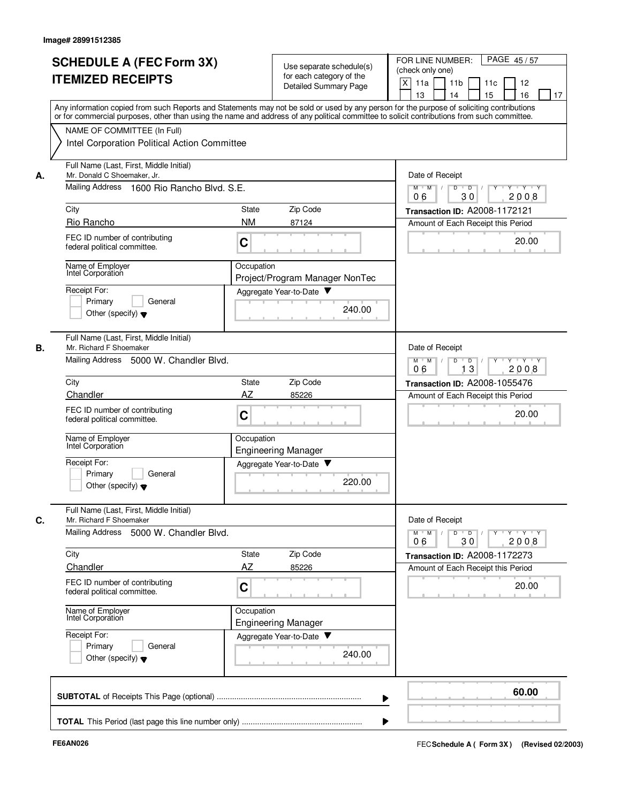|    | <b>SCHEDULE A (FEC Form 3X)</b><br><b>ITEMIZED RECEIPTS</b>                                                                                                                                                                                                                             | Use separate schedule(s)<br>for each category of the<br>Detailed Summary Page | PAGE 45/57<br>FOR LINE NUMBER:<br>(check only one)<br>X<br>11 <sub>b</sub><br>11a<br>11c<br>12<br>13<br>14<br>15<br>16<br>17 |
|----|-----------------------------------------------------------------------------------------------------------------------------------------------------------------------------------------------------------------------------------------------------------------------------------------|-------------------------------------------------------------------------------|------------------------------------------------------------------------------------------------------------------------------|
|    | Any information copied from such Reports and Statements may not be sold or used by any person for the purpose of soliciting contributions<br>or for commercial purposes, other than using the name and address of any political committee to solicit contributions from such committee. |                                                                               |                                                                                                                              |
|    | NAME OF COMMITTEE (In Full)<br>Intel Corporation Political Action Committee                                                                                                                                                                                                             |                                                                               |                                                                                                                              |
| А. | Full Name (Last, First, Middle Initial)<br>Mr. Donald C Shoemaker, Jr.                                                                                                                                                                                                                  |                                                                               | Date of Receipt                                                                                                              |
|    | Mailing Address<br>1600 Rio Rancho Blvd. S.E.                                                                                                                                                                                                                                           |                                                                               | y y y y y y<br>$M$ $M$ /<br>D<br>$\overline{D}$ /<br>30<br>06<br>2008                                                        |
|    | City                                                                                                                                                                                                                                                                                    | Zip Code<br>State                                                             | Transaction ID: A2008-1172121                                                                                                |
|    | Rio Rancho                                                                                                                                                                                                                                                                              | <b>NM</b><br>87124                                                            | Amount of Each Receipt this Period                                                                                           |
|    | FEC ID number of contributing<br>federal political committee.                                                                                                                                                                                                                           | C                                                                             | 20.00                                                                                                                        |
|    | Name of Employer<br>Intel Corporation                                                                                                                                                                                                                                                   | Occupation<br>Project/Program Manager NonTec                                  |                                                                                                                              |
|    | Receipt For:                                                                                                                                                                                                                                                                            | Aggregate Year-to-Date                                                        |                                                                                                                              |
|    | Primary<br>General<br>Other (specify) $\blacktriangledown$                                                                                                                                                                                                                              | 240.00                                                                        |                                                                                                                              |
| В. | Full Name (Last, First, Middle Initial)<br>Mr. Richard F Shoemaker                                                                                                                                                                                                                      |                                                                               | Date of Receipt                                                                                                              |
|    | Mailing Address<br>5000 W. Chandler Blvd.                                                                                                                                                                                                                                               | $Y - Y - Y$<br>$M$ M<br>D<br>D<br>2008<br>13<br>06                            |                                                                                                                              |
|    | City                                                                                                                                                                                                                                                                                    | Zip Code<br>State                                                             | Transaction ID: A2008-1055476                                                                                                |
|    | Chandler                                                                                                                                                                                                                                                                                | AZ<br>85226                                                                   | Amount of Each Receipt this Period                                                                                           |
|    | FEC ID number of contributing<br>federal political committee.                                                                                                                                                                                                                           | C                                                                             | 20.00                                                                                                                        |
|    | Name of Employer<br>Intel Corporation                                                                                                                                                                                                                                                   | Occupation<br><b>Engineering Manager</b>                                      |                                                                                                                              |
|    | Receipt For:<br>Primary<br>General<br>Other (specify) $\blacktriangledown$                                                                                                                                                                                                              | Aggregate Year-to-Date<br>v<br>220.00                                         |                                                                                                                              |
| C. | Full Name (Last, First, Middle Initial)<br>Mr. Richard F Shoemaker                                                                                                                                                                                                                      |                                                                               | Date of Receipt                                                                                                              |
|    | Mailing Address 5000 W. Chandler Blvd.                                                                                                                                                                                                                                                  |                                                                               | $Y$ $Y$ $Y$<br>$M$ M<br>D<br>$\overline{D}$<br>2008<br>06<br>30                                                              |
|    | City                                                                                                                                                                                                                                                                                    | Zip Code<br>State                                                             | Transaction ID: A2008-1172273                                                                                                |
|    | Chandler<br>FEC ID number of contributing                                                                                                                                                                                                                                               | AZ<br>85226                                                                   | Amount of Each Receipt this Period                                                                                           |
|    | federal political committee.                                                                                                                                                                                                                                                            | C                                                                             | 20.00                                                                                                                        |
|    | Name of Employer<br>Intel Corporation                                                                                                                                                                                                                                                   | Occupation<br><b>Engineering Manager</b>                                      |                                                                                                                              |
|    | Receipt For:<br>Primary<br>General<br>Other (specify) $\blacktriangledown$                                                                                                                                                                                                              | Aggregate Year-to-Date<br>240.00                                              |                                                                                                                              |
|    |                                                                                                                                                                                                                                                                                         |                                                                               | 60.00                                                                                                                        |
|    |                                                                                                                                                                                                                                                                                         |                                                                               |                                                                                                                              |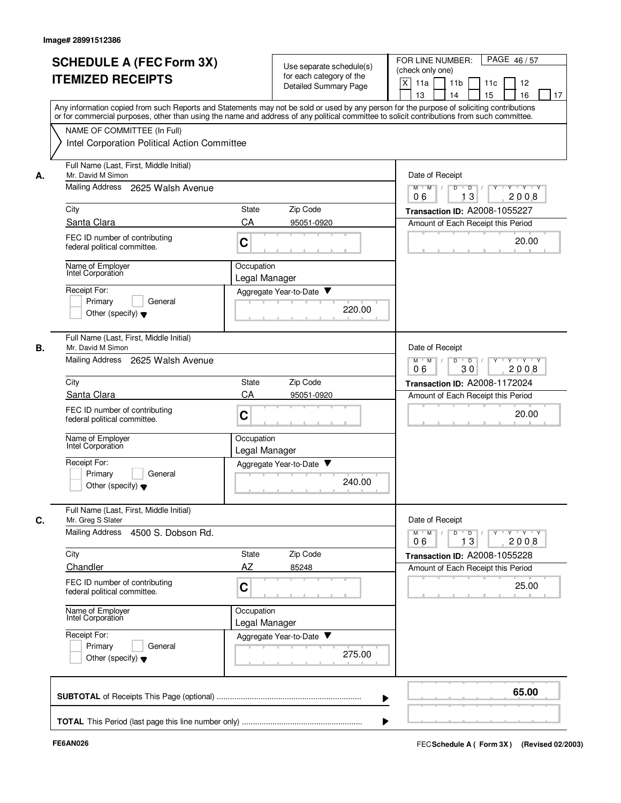|    | <b>SCHEDULE A (FEC Form 3X)</b><br><b>ITEMIZED RECEIPTS</b>                                                  | Use separate schedule(s)<br>for each category of the<br>Detailed Summary Page | PAGE 46/57<br>FOR LINE NUMBER:<br>(check only one)<br>X<br>11a<br>11 <sub>b</sub><br>11c<br>12<br>13<br>14<br>15<br>16<br>17                                                                                                                                                            |
|----|--------------------------------------------------------------------------------------------------------------|-------------------------------------------------------------------------------|-----------------------------------------------------------------------------------------------------------------------------------------------------------------------------------------------------------------------------------------------------------------------------------------|
|    | NAME OF COMMITTEE (In Full)                                                                                  |                                                                               | Any information copied from such Reports and Statements may not be sold or used by any person for the purpose of soliciting contributions<br>or for commercial purposes, other than using the name and address of any political committee to solicit contributions from such committee. |
|    | Intel Corporation Political Action Committee<br>Full Name (Last, First, Middle Initial)<br>Mr. David M Simon |                                                                               |                                                                                                                                                                                                                                                                                         |
| А. | Mailing Address 2625 Walsh Avenue                                                                            |                                                                               | Date of Receipt<br>$\overline{D}$ /<br>Y 'Y 'Y<br>$M$ $M$ /<br>D<br>13<br>06<br>2008                                                                                                                                                                                                    |
|    | City                                                                                                         | Zip Code<br>State                                                             | <b>Transaction ID: A2008-1055227</b>                                                                                                                                                                                                                                                    |
|    | Santa Clara                                                                                                  | CA<br>95051-0920                                                              | Amount of Each Receipt this Period                                                                                                                                                                                                                                                      |
|    | FEC ID number of contributing<br>federal political committee.                                                | C                                                                             | 20.00                                                                                                                                                                                                                                                                                   |
|    | Name of Employer<br>Intel Corporation                                                                        | Occupation<br>Legal Manager                                                   |                                                                                                                                                                                                                                                                                         |
|    | Receipt For:                                                                                                 | Aggregate Year-to-Date                                                        |                                                                                                                                                                                                                                                                                         |
|    | Primary<br>General<br>Other (specify) $\blacktriangledown$                                                   | 220.00                                                                        |                                                                                                                                                                                                                                                                                         |
| В. | Full Name (Last, First, Middle Initial)<br>Mr. David M Simon                                                 |                                                                               | Date of Receipt                                                                                                                                                                                                                                                                         |
|    | Mailing Address<br>2625 Walsh Avenue                                                                         |                                                                               | $Y - Y - Y$<br>$M$ M<br>$\overline{\phantom{0}}$<br>D<br>30<br>2008<br>06                                                                                                                                                                                                               |
|    | City                                                                                                         | Zip Code<br>State                                                             | Transaction ID: A2008-1172024                                                                                                                                                                                                                                                           |
|    | Santa Clara                                                                                                  | CA<br>95051-0920                                                              | Amount of Each Receipt this Period                                                                                                                                                                                                                                                      |
|    | FEC ID number of contributing<br>federal political committee.                                                | $\mathbf C$                                                                   | 20.00                                                                                                                                                                                                                                                                                   |
|    | Name of Employer<br>Intel Corporation                                                                        | Occupation<br>Legal Manager                                                   |                                                                                                                                                                                                                                                                                         |
|    | Receipt For:<br>Primary<br>General<br>Other (specify) $\blacktriangledown$                                   | Aggregate Year-to-Date<br>240.00                                              |                                                                                                                                                                                                                                                                                         |
| С. | Full Name (Last, First, Middle Initial)<br>Mr. Greg S Slater                                                 |                                                                               | Date of Receipt                                                                                                                                                                                                                                                                         |
|    | Mailing Address 4500 S. Dobson Rd.                                                                           |                                                                               | $Y$ $Y$ $Y$<br>$M$ $M$<br>$\overline{D}$<br>Y<br>D<br>13<br>2008<br>06                                                                                                                                                                                                                  |
|    | City                                                                                                         | Zip Code<br>State                                                             | Transaction ID: A2008-1055228                                                                                                                                                                                                                                                           |
|    | Chandler                                                                                                     | AZ<br>85248                                                                   | Amount of Each Receipt this Period                                                                                                                                                                                                                                                      |
|    | FEC ID number of contributing<br>federal political committee.                                                | C                                                                             | 25.00                                                                                                                                                                                                                                                                                   |
|    | Name of Employer<br>Intel Corporation                                                                        | Occupation<br>Legal Manager                                                   |                                                                                                                                                                                                                                                                                         |
|    | Receipt For:<br>Primary<br>General<br>Other (specify) $\blacktriangledown$                                   | Aggregate Year-to-Date<br>275.00                                              |                                                                                                                                                                                                                                                                                         |
|    |                                                                                                              |                                                                               | 65.00                                                                                                                                                                                                                                                                                   |
|    |                                                                                                              |                                                                               |                                                                                                                                                                                                                                                                                         |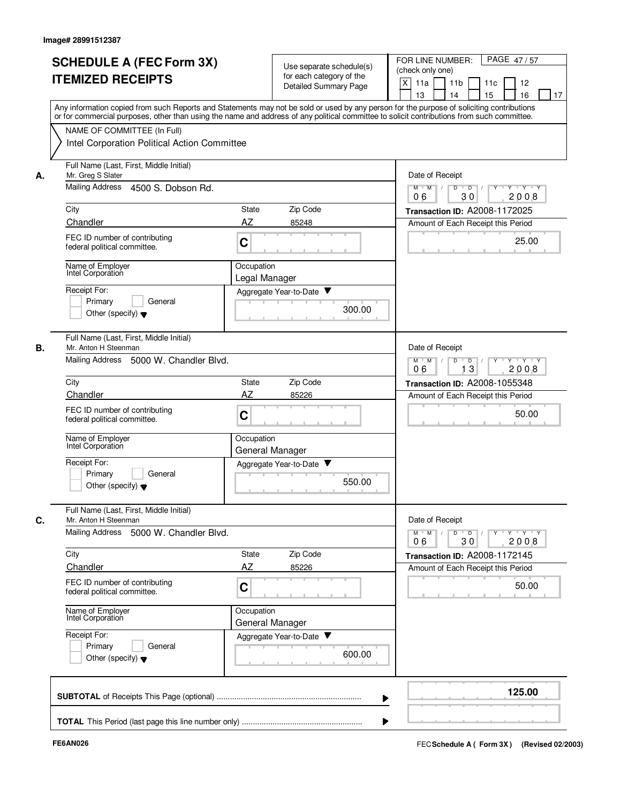|    | <b>SCHEDULE A (FEC Form 3X)</b><br><b>ITEMIZED RECEIPTS</b>                                                  | Use separate schedule(s)<br>for each category of the<br>Detailed Summary Page                                                                                                                                                                                                           | FOR LINE NUMBER:<br>PAGE 47/57<br>(check only one)<br>X<br>11a<br>11 <sub>b</sub><br>12<br>11c<br>13<br>14<br>15<br>16<br>17 |
|----|--------------------------------------------------------------------------------------------------------------|-----------------------------------------------------------------------------------------------------------------------------------------------------------------------------------------------------------------------------------------------------------------------------------------|------------------------------------------------------------------------------------------------------------------------------|
|    | NAME OF COMMITTEE (In Full)                                                                                  | Any information copied from such Reports and Statements may not be sold or used by any person for the purpose of soliciting contributions<br>or for commercial purposes, other than using the name and address of any political committee to solicit contributions from such committee. |                                                                                                                              |
|    | Intel Corporation Political Action Committee                                                                 |                                                                                                                                                                                                                                                                                         |                                                                                                                              |
| А. | Full Name (Last, First, Middle Initial)<br>Mr. Greg S Slater                                                 |                                                                                                                                                                                                                                                                                         | Date of Receipt                                                                                                              |
|    | Mailing Address<br>4500 S. Dobson Rd.                                                                        |                                                                                                                                                                                                                                                                                         | $Y - Y - Y$<br>$M$ $M$ /<br>D<br>$\overline{D}$<br>30<br>2008<br>06                                                          |
|    | City                                                                                                         | Zip Code<br>State                                                                                                                                                                                                                                                                       | Transaction ID: A2008-1172025                                                                                                |
|    | Chandler<br>FEC ID number of contributing<br>federal political committee.                                    | AZ<br>85248<br>C                                                                                                                                                                                                                                                                        | Amount of Each Receipt this Period<br>25.00                                                                                  |
|    | Name of Employer<br>Intel Corporation                                                                        | Occupation<br>Legal Manager                                                                                                                                                                                                                                                             |                                                                                                                              |
|    | Receipt For:<br>Primary<br>General<br>Other (specify) $\blacktriangledown$                                   | Aggregate Year-to-Date<br>300.00                                                                                                                                                                                                                                                        |                                                                                                                              |
| В. | Full Name (Last, First, Middle Initial)<br>Mr. Anton H Steenman<br>Mailing Address<br>5000 W. Chandler Blvd. |                                                                                                                                                                                                                                                                                         | Date of Receipt<br>$M$ M<br>D<br>$\overline{D}$<br>$Y + Y + Y$<br>$\sqrt{ }$                                                 |
|    |                                                                                                              |                                                                                                                                                                                                                                                                                         | 13<br>2008<br>06                                                                                                             |
|    | City<br>Chandler                                                                                             | Zip Code<br>State<br>AZ<br>85226                                                                                                                                                                                                                                                        | Transaction ID: A2008-1055348                                                                                                |
|    | FEC ID number of contributing<br>federal political committee.                                                | $\mathbf C$                                                                                                                                                                                                                                                                             | Amount of Each Receipt this Period<br>50.00                                                                                  |
|    | Name of Employer<br>Intel Corporation                                                                        | Occupation<br>General Manager                                                                                                                                                                                                                                                           |                                                                                                                              |
|    | Receipt For:<br>Primary<br>General<br>Other (specify) $\blacktriangledown$                                   | Aggregate Year-to-Date<br>550.00                                                                                                                                                                                                                                                        |                                                                                                                              |
|    | Full Name (Last, First, Middle Initial)<br>Mr. Anton H Steenman<br>Mailing Address 5000 W. Chandler Blvd.    |                                                                                                                                                                                                                                                                                         | Date of Receipt<br>$\mathsf{Y} \dashv \mathsf{Y} \dashv \mathsf{Y}$<br>$\overline{D}$<br>Y<br>$M$ $M$<br>D                   |
|    | City                                                                                                         | State<br>Zip Code                                                                                                                                                                                                                                                                       | 30<br>2008<br>06<br>Transaction ID: A2008-1172145                                                                            |
|    | Chandler                                                                                                     | AZ<br>85226                                                                                                                                                                                                                                                                             | Amount of Each Receipt this Period                                                                                           |
|    | FEC ID number of contributing<br>federal political committee.                                                | C                                                                                                                                                                                                                                                                                       | 50.00                                                                                                                        |
|    | Name of Employer<br>Intel Corporation                                                                        | Occupation<br>General Manager                                                                                                                                                                                                                                                           |                                                                                                                              |
|    | Receipt For:<br>Primary<br>General<br>Other (specify) $\blacktriangledown$                                   | Aggregate Year-to-Date<br>600.00                                                                                                                                                                                                                                                        |                                                                                                                              |
|    |                                                                                                              |                                                                                                                                                                                                                                                                                         | 125.00                                                                                                                       |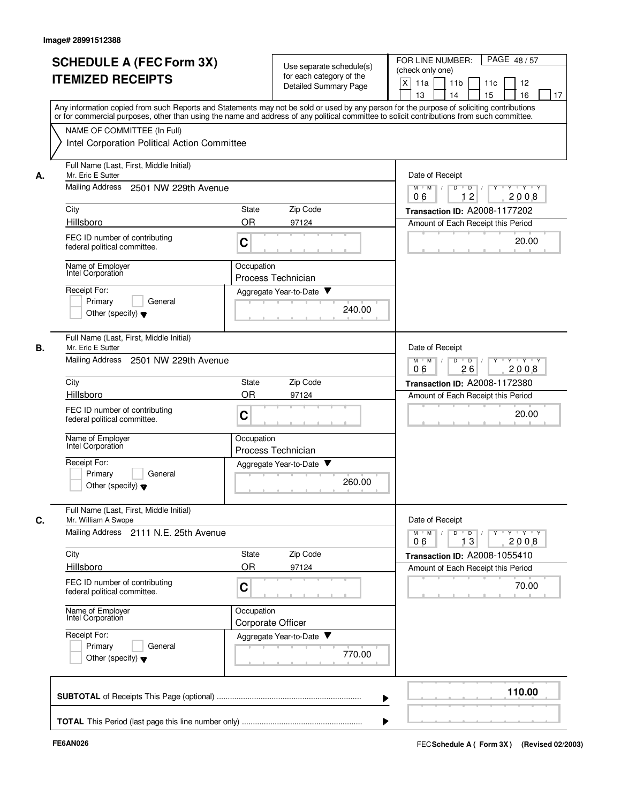|    | <b>SCHEDULE A (FEC Form 3X)</b><br><b>ITEMIZED RECEIPTS</b><br>Any information copied from such Reports and Statements may not be sold or used by any person for the purpose of soliciting contributions<br>or for commercial purposes, other than using the name and address of any political committee to solicit contributions from such committee. |            | Use separate schedule(s)<br>for each category of the<br><b>Detailed Summary Page</b> | FOR LINE NUMBER:<br>PAGE 48/57<br>(check only one)<br>X<br>11a<br>11 <sub>b</sub><br>12<br>11c<br>13<br>14<br>15<br>16<br>17 |
|----|--------------------------------------------------------------------------------------------------------------------------------------------------------------------------------------------------------------------------------------------------------------------------------------------------------------------------------------------------------|------------|--------------------------------------------------------------------------------------|------------------------------------------------------------------------------------------------------------------------------|
|    | NAME OF COMMITTEE (In Full)<br>Intel Corporation Political Action Committee                                                                                                                                                                                                                                                                            |            |                                                                                      |                                                                                                                              |
| А. | Full Name (Last, First, Middle Initial)<br>Mr. Eric E Sutter                                                                                                                                                                                                                                                                                           |            |                                                                                      | Date of Receipt                                                                                                              |
|    | <b>Mailing Address</b><br>2501 NW 229th Avenue                                                                                                                                                                                                                                                                                                         |            |                                                                                      | $Y - Y - Y$<br>$M$ $M$ /<br>D<br>$\overline{D}$<br>$\overline{c}$<br>2008<br>1<br>06                                         |
|    | City                                                                                                                                                                                                                                                                                                                                                   | State      | Zip Code                                                                             | Transaction ID: A2008-1177202                                                                                                |
|    | Hillsboro                                                                                                                                                                                                                                                                                                                                              | <b>OR</b>  | 97124                                                                                | Amount of Each Receipt this Period                                                                                           |
|    | FEC ID number of contributing<br>federal political committee.                                                                                                                                                                                                                                                                                          | C          |                                                                                      | 20.00                                                                                                                        |
|    | Name of Employer<br>Intel Corporation                                                                                                                                                                                                                                                                                                                  | Occupation | Process Technician                                                                   |                                                                                                                              |
|    | Receipt For:                                                                                                                                                                                                                                                                                                                                           |            | Aggregate Year-to-Date                                                               |                                                                                                                              |
|    | Primary<br>General<br>Other (specify) $\blacktriangledown$                                                                                                                                                                                                                                                                                             |            | 240.00                                                                               |                                                                                                                              |
| В. | Full Name (Last, First, Middle Initial)<br>Mr. Eric E Sutter                                                                                                                                                                                                                                                                                           |            |                                                                                      | Date of Receipt                                                                                                              |
|    | Mailing Address<br>2501 NW 229th Avenue                                                                                                                                                                                                                                                                                                                |            |                                                                                      | $M$ M<br>D<br>$\overline{D}$<br>$Y + Y + Y$<br>$\sqrt{ }$<br>2008<br>06<br>26                                                |
|    | City                                                                                                                                                                                                                                                                                                                                                   | State      | Zip Code                                                                             | Transaction ID: A2008-1172380                                                                                                |
|    | Hillsboro                                                                                                                                                                                                                                                                                                                                              | <b>OR</b>  | 97124                                                                                | Amount of Each Receipt this Period                                                                                           |
|    | FEC ID number of contributing<br>federal political committee.                                                                                                                                                                                                                                                                                          | C          |                                                                                      | 20.00                                                                                                                        |
|    | Name of Employer<br>Intel Corporation                                                                                                                                                                                                                                                                                                                  | Occupation | Process Technician                                                                   |                                                                                                                              |
|    | Receipt For:                                                                                                                                                                                                                                                                                                                                           |            | Aggregate Year-to-Date                                                               |                                                                                                                              |
|    | Primary<br>General<br>Other (specify) $\blacktriangledown$                                                                                                                                                                                                                                                                                             |            | 260.00                                                                               |                                                                                                                              |
| C. | Full Name (Last, First, Middle Initial)<br>Mr. William A Swope                                                                                                                                                                                                                                                                                         |            |                                                                                      | Date of Receipt                                                                                                              |
|    | Mailing Address 2111 N.E. 25th Avenue                                                                                                                                                                                                                                                                                                                  |            |                                                                                      | $\mathsf{Y} \dashv \mathsf{Y} \dashv \mathsf{Y}$<br>$D$ $D$ $I$<br>$Y$ <sup>U</sup><br>$M$ $M$<br>13<br>2008<br>06           |
|    | City                                                                                                                                                                                                                                                                                                                                                   | State      | Zip Code                                                                             | Transaction ID: A2008-1055410                                                                                                |
|    | Hillsboro                                                                                                                                                                                                                                                                                                                                              | <b>OR</b>  | 97124                                                                                | Amount of Each Receipt this Period                                                                                           |
|    | FEC ID number of contributing<br>federal political committee.                                                                                                                                                                                                                                                                                          | C          |                                                                                      | 70.00                                                                                                                        |
|    | Name of Employer<br>Intel Corporation                                                                                                                                                                                                                                                                                                                  | Occupation | Corporate Officer                                                                    |                                                                                                                              |
|    | Receipt For:<br>Primary<br>General<br>Other (specify) $\blacktriangledown$                                                                                                                                                                                                                                                                             |            | Aggregate Year-to-Date<br>770.00                                                     |                                                                                                                              |
|    |                                                                                                                                                                                                                                                                                                                                                        |            |                                                                                      | 110.00                                                                                                                       |
|    |                                                                                                                                                                                                                                                                                                                                                        |            |                                                                                      |                                                                                                                              |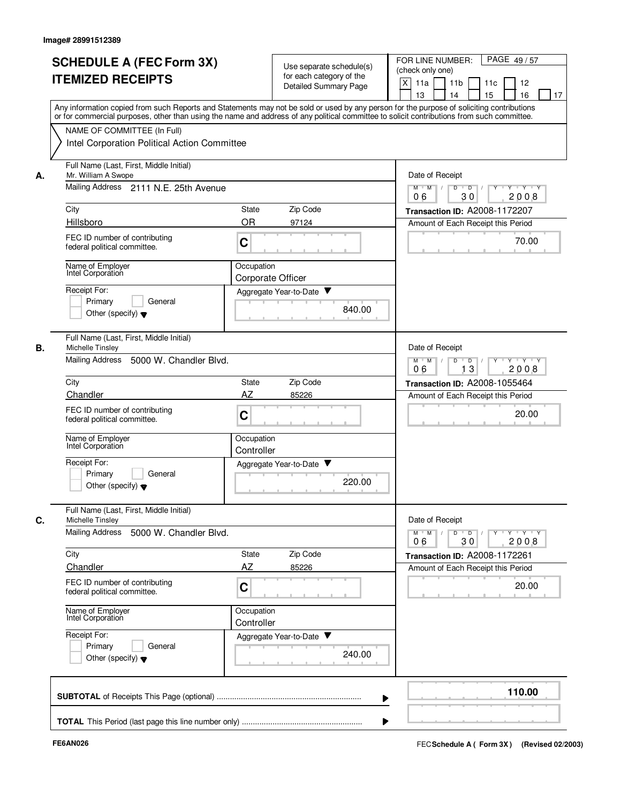| А.<br>City<br>Hillsboro<br>В.<br>City | NAME OF COMMITTEE (In Full)<br>Intel Corporation Political Action Committee<br>Full Name (Last, First, Middle Initial)<br>Mr. William A Swope<br>Mailing Address 2111 N.E. 25th Avenue<br>FEC ID number of contributing<br>federal political committee.<br>Name of Employer<br>Intel Corporation<br>Receipt For:<br>Primary<br>General<br>Other (specify) $\blacktriangledown$<br>Full Name (Last, First, Middle Initial)<br>Michelle Tinsley<br><b>Mailing Address</b><br>5000 W. Chandler Blvd.<br>Chandler<br>FEC ID number of contributing | Zip Code<br>State<br><b>OR</b><br>97124<br>C<br>Occupation<br>Corporate Officer<br>Aggregate Year-to-Date<br>Zip Code<br>State<br>AZ<br>85226 | Any information copied from such Reports and Statements may not be sold or used by any person for the purpose of soliciting contributions<br>or for commercial purposes, other than using the name and address of any political committee to solicit contributions from such committee.<br>Date of Receipt<br>$M$ $M$ /<br>D<br>$\overline{D}$<br>30<br>06<br>Transaction ID: A2008-1172207<br>Amount of Each Receipt this Period<br>840.00<br>Date of Receipt<br>$M^+$ M<br>$\mathbb{L}$<br>D<br>$\overline{D}$<br>13<br>06<br>Transaction ID: A2008-1055464<br>Amount of Each Receipt this Period | $Y \vdash Y \vdash Y$<br>2008<br>70.00<br>$Y \vdash Y \vdash Y$<br>2008 |
|---------------------------------------|------------------------------------------------------------------------------------------------------------------------------------------------------------------------------------------------------------------------------------------------------------------------------------------------------------------------------------------------------------------------------------------------------------------------------------------------------------------------------------------------------------------------------------------------|-----------------------------------------------------------------------------------------------------------------------------------------------|-----------------------------------------------------------------------------------------------------------------------------------------------------------------------------------------------------------------------------------------------------------------------------------------------------------------------------------------------------------------------------------------------------------------------------------------------------------------------------------------------------------------------------------------------------------------------------------------------------|-------------------------------------------------------------------------|
|                                       |                                                                                                                                                                                                                                                                                                                                                                                                                                                                                                                                                |                                                                                                                                               |                                                                                                                                                                                                                                                                                                                                                                                                                                                                                                                                                                                                     |                                                                         |
|                                       |                                                                                                                                                                                                                                                                                                                                                                                                                                                                                                                                                |                                                                                                                                               |                                                                                                                                                                                                                                                                                                                                                                                                                                                                                                                                                                                                     |                                                                         |
|                                       |                                                                                                                                                                                                                                                                                                                                                                                                                                                                                                                                                |                                                                                                                                               |                                                                                                                                                                                                                                                                                                                                                                                                                                                                                                                                                                                                     |                                                                         |
|                                       |                                                                                                                                                                                                                                                                                                                                                                                                                                                                                                                                                |                                                                                                                                               |                                                                                                                                                                                                                                                                                                                                                                                                                                                                                                                                                                                                     |                                                                         |
|                                       |                                                                                                                                                                                                                                                                                                                                                                                                                                                                                                                                                |                                                                                                                                               |                                                                                                                                                                                                                                                                                                                                                                                                                                                                                                                                                                                                     |                                                                         |
|                                       |                                                                                                                                                                                                                                                                                                                                                                                                                                                                                                                                                |                                                                                                                                               |                                                                                                                                                                                                                                                                                                                                                                                                                                                                                                                                                                                                     |                                                                         |
|                                       |                                                                                                                                                                                                                                                                                                                                                                                                                                                                                                                                                |                                                                                                                                               |                                                                                                                                                                                                                                                                                                                                                                                                                                                                                                                                                                                                     |                                                                         |
|                                       |                                                                                                                                                                                                                                                                                                                                                                                                                                                                                                                                                |                                                                                                                                               |                                                                                                                                                                                                                                                                                                                                                                                                                                                                                                                                                                                                     |                                                                         |
|                                       |                                                                                                                                                                                                                                                                                                                                                                                                                                                                                                                                                |                                                                                                                                               |                                                                                                                                                                                                                                                                                                                                                                                                                                                                                                                                                                                                     |                                                                         |
|                                       |                                                                                                                                                                                                                                                                                                                                                                                                                                                                                                                                                |                                                                                                                                               |                                                                                                                                                                                                                                                                                                                                                                                                                                                                                                                                                                                                     |                                                                         |
|                                       |                                                                                                                                                                                                                                                                                                                                                                                                                                                                                                                                                |                                                                                                                                               |                                                                                                                                                                                                                                                                                                                                                                                                                                                                                                                                                                                                     |                                                                         |
|                                       |                                                                                                                                                                                                                                                                                                                                                                                                                                                                                                                                                |                                                                                                                                               |                                                                                                                                                                                                                                                                                                                                                                                                                                                                                                                                                                                                     |                                                                         |
|                                       |                                                                                                                                                                                                                                                                                                                                                                                                                                                                                                                                                |                                                                                                                                               |                                                                                                                                                                                                                                                                                                                                                                                                                                                                                                                                                                                                     |                                                                         |
|                                       |                                                                                                                                                                                                                                                                                                                                                                                                                                                                                                                                                |                                                                                                                                               |                                                                                                                                                                                                                                                                                                                                                                                                                                                                                                                                                                                                     |                                                                         |
|                                       | federal political committee.                                                                                                                                                                                                                                                                                                                                                                                                                                                                                                                   | $\mathbf C$                                                                                                                                   |                                                                                                                                                                                                                                                                                                                                                                                                                                                                                                                                                                                                     | 20.00                                                                   |
|                                       | Name of Employer<br>Intel Corporation                                                                                                                                                                                                                                                                                                                                                                                                                                                                                                          | Occupation<br>Controller                                                                                                                      |                                                                                                                                                                                                                                                                                                                                                                                                                                                                                                                                                                                                     |                                                                         |
|                                       | Receipt For:<br>Primary<br>General<br>Other (specify) $\blacktriangledown$                                                                                                                                                                                                                                                                                                                                                                                                                                                                     | Aggregate Year-to-Date                                                                                                                        | 220.00                                                                                                                                                                                                                                                                                                                                                                                                                                                                                                                                                                                              |                                                                         |
| C.                                    | Full Name (Last, First, Middle Initial)<br>Michelle Tinsley                                                                                                                                                                                                                                                                                                                                                                                                                                                                                    |                                                                                                                                               | Date of Receipt                                                                                                                                                                                                                                                                                                                                                                                                                                                                                                                                                                                     |                                                                         |
|                                       | Mailing Address 5000 W. Chandler Blvd.                                                                                                                                                                                                                                                                                                                                                                                                                                                                                                         |                                                                                                                                               | $M$ $M$<br>$D$ $D$<br>30<br>06                                                                                                                                                                                                                                                                                                                                                                                                                                                                                                                                                                      | $Y$ $Y$ $Y$<br>$Y$ <sup>U</sup><br>2008                                 |
| City                                  |                                                                                                                                                                                                                                                                                                                                                                                                                                                                                                                                                | State<br>Zip Code                                                                                                                             | Transaction ID: A2008-1172261                                                                                                                                                                                                                                                                                                                                                                                                                                                                                                                                                                       |                                                                         |
|                                       | Chandler                                                                                                                                                                                                                                                                                                                                                                                                                                                                                                                                       | AZ<br>85226                                                                                                                                   | Amount of Each Receipt this Period                                                                                                                                                                                                                                                                                                                                                                                                                                                                                                                                                                  |                                                                         |
|                                       | FEC ID number of contributing<br>federal political committee.                                                                                                                                                                                                                                                                                                                                                                                                                                                                                  | C                                                                                                                                             |                                                                                                                                                                                                                                                                                                                                                                                                                                                                                                                                                                                                     | 20.00                                                                   |
|                                       | Name of Employer<br>Intel Corporation                                                                                                                                                                                                                                                                                                                                                                                                                                                                                                          | Occupation<br>Controller                                                                                                                      |                                                                                                                                                                                                                                                                                                                                                                                                                                                                                                                                                                                                     |                                                                         |
|                                       | Receipt For:<br>Primary<br>General<br>Other (specify) $\blacktriangledown$                                                                                                                                                                                                                                                                                                                                                                                                                                                                     | Aggregate Year-to-Date                                                                                                                        | 240.00                                                                                                                                                                                                                                                                                                                                                                                                                                                                                                                                                                                              |                                                                         |
|                                       |                                                                                                                                                                                                                                                                                                                                                                                                                                                                                                                                                |                                                                                                                                               |                                                                                                                                                                                                                                                                                                                                                                                                                                                                                                                                                                                                     | 110.00                                                                  |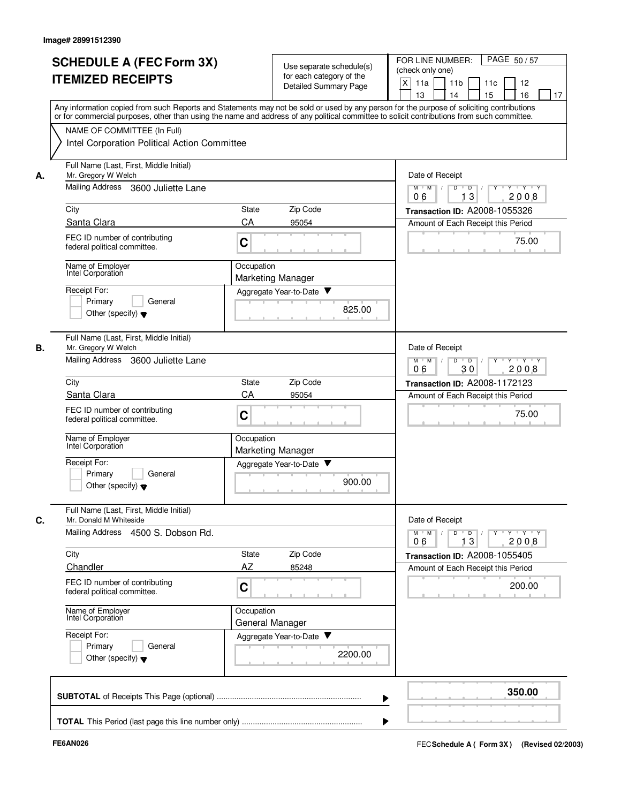|    | <b>SCHEDULE A (FEC Form 3X)</b><br><b>ITEMIZED RECEIPTS</b>                                             | Use separate schedule(s)<br>for each category of the<br>Detailed Summary Page                                                                                                                                                                                                           | FOR LINE NUMBER:<br>PAGE 50/57<br>(check only one)<br>X<br>11a<br>11 <sub>b</sub><br>11c<br>12<br>13<br>14<br>15<br>16<br>17 |
|----|---------------------------------------------------------------------------------------------------------|-----------------------------------------------------------------------------------------------------------------------------------------------------------------------------------------------------------------------------------------------------------------------------------------|------------------------------------------------------------------------------------------------------------------------------|
|    |                                                                                                         | Any information copied from such Reports and Statements may not be sold or used by any person for the purpose of soliciting contributions<br>or for commercial purposes, other than using the name and address of any political committee to solicit contributions from such committee. |                                                                                                                              |
|    | NAME OF COMMITTEE (In Full)<br>Intel Corporation Political Action Committee                             |                                                                                                                                                                                                                                                                                         |                                                                                                                              |
| А. | Full Name (Last, First, Middle Initial)<br>Mr. Gregory W Welch                                          |                                                                                                                                                                                                                                                                                         | Date of Receipt                                                                                                              |
|    | Mailing Address<br>3600 Juliette Lane                                                                   |                                                                                                                                                                                                                                                                                         | $M$ $M$ /<br>Y 'Y 'Y<br>D<br>D<br>13<br>2008<br>06                                                                           |
|    | City                                                                                                    | Zip Code<br><b>State</b>                                                                                                                                                                                                                                                                | Transaction ID: A2008-1055326                                                                                                |
|    | Santa Clara                                                                                             | CA<br>95054                                                                                                                                                                                                                                                                             | Amount of Each Receipt this Period                                                                                           |
|    | FEC ID number of contributing<br>federal political committee.                                           | C                                                                                                                                                                                                                                                                                       | 75.00                                                                                                                        |
|    | Name of Employer<br>Intel Corporation                                                                   | Occupation<br><b>Marketing Manager</b>                                                                                                                                                                                                                                                  |                                                                                                                              |
|    | Receipt For:                                                                                            | Aggregate Year-to-Date                                                                                                                                                                                                                                                                  |                                                                                                                              |
|    | Primary<br>General<br>Other (specify) $\blacktriangledown$                                              | 825.00                                                                                                                                                                                                                                                                                  |                                                                                                                              |
| В. | Full Name (Last, First, Middle Initial)<br>Mr. Gregory W Welch                                          |                                                                                                                                                                                                                                                                                         | Date of Receipt                                                                                                              |
|    | Mailing Address<br>3600 Juliette Lane                                                                   |                                                                                                                                                                                                                                                                                         | D<br>$Y - Y - Y$<br>$M$ M<br>$\sqrt{ }$<br>$\overline{D}$<br>2008<br>06<br>30                                                |
|    | City                                                                                                    | Zip Code<br>State                                                                                                                                                                                                                                                                       | Transaction ID: A2008-1172123                                                                                                |
|    | Santa Clara                                                                                             | CA<br>95054                                                                                                                                                                                                                                                                             | Amount of Each Receipt this Period                                                                                           |
|    | FEC ID number of contributing<br>federal political committee.                                           | C                                                                                                                                                                                                                                                                                       | 75.00                                                                                                                        |
|    | Name of Employer<br>Intel Corporation                                                                   | Occupation<br><b>Marketing Manager</b>                                                                                                                                                                                                                                                  |                                                                                                                              |
|    | Receipt For:<br>Primary<br>General<br>Other (specify) $\blacktriangledown$                              | Aggregate Year-to-Date<br>900.00                                                                                                                                                                                                                                                        |                                                                                                                              |
| C. | Full Name (Last, First, Middle Initial)<br>Mr. Donald M Whiteside<br>Mailing Address 4500 S. Dobson Rd. |                                                                                                                                                                                                                                                                                         | Date of Receipt<br>$Y + Y + Y$<br>$M$ $M$ /<br>$D$ $D$ $I$<br>$\mathbf{Y}$<br>13<br>2008<br>06                               |
|    | City                                                                                                    | State<br>Zip Code                                                                                                                                                                                                                                                                       | Transaction ID: A2008-1055405                                                                                                |
|    | Chandler                                                                                                | AZ<br>85248                                                                                                                                                                                                                                                                             | Amount of Each Receipt this Period                                                                                           |
|    | FEC ID number of contributing<br>federal political committee.                                           | C                                                                                                                                                                                                                                                                                       | 200.00                                                                                                                       |
|    | Name of Employer<br>Intel Corporation                                                                   | Occupation<br>General Manager                                                                                                                                                                                                                                                           |                                                                                                                              |
|    | Receipt For:<br>Primary<br>General<br>Other (specify) $\blacktriangledown$                              | Aggregate Year-to-Date<br>2200.00                                                                                                                                                                                                                                                       |                                                                                                                              |
|    |                                                                                                         |                                                                                                                                                                                                                                                                                         | 350.00                                                                                                                       |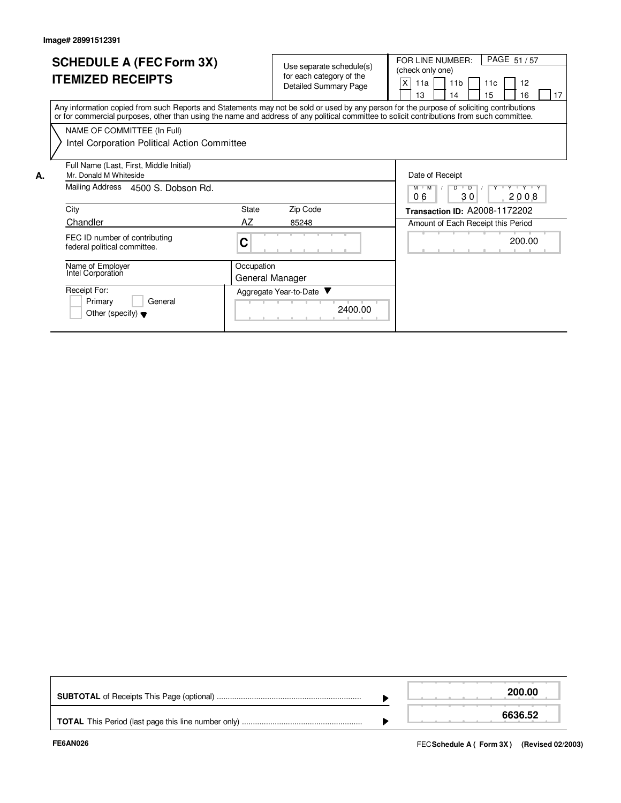|    | <b>SCHEDULE A (FEC Form 3X)</b><br><b>ITEMIZED RECEIPTS</b>                                                                                                                                                                                                                             |            | for each category of the<br><b>Detailed Summary Page</b> | Use separate schedule(s) | PAGE 51/57<br>FOR LINE NUMBER:<br>(check only one)<br>X<br>11 <sub>b</sub><br>12<br>11a<br>11c<br>15<br>17<br>13<br>16<br>14 |
|----|-----------------------------------------------------------------------------------------------------------------------------------------------------------------------------------------------------------------------------------------------------------------------------------------|------------|----------------------------------------------------------|--------------------------|------------------------------------------------------------------------------------------------------------------------------|
|    | Any information copied from such Reports and Statements may not be sold or used by any person for the purpose of soliciting contributions<br>or for commercial purposes, other than using the name and address of any political committee to solicit contributions from such committee. |            |                                                          |                          |                                                                                                                              |
|    | NAME OF COMMITTEE (In Full)                                                                                                                                                                                                                                                             |            |                                                          |                          |                                                                                                                              |
|    | Intel Corporation Political Action Committee                                                                                                                                                                                                                                            |            |                                                          |                          |                                                                                                                              |
| А. | Full Name (Last, First, Middle Initial)<br>Mr. Donald M Whiteside                                                                                                                                                                                                                       |            |                                                          |                          | Date of Receipt                                                                                                              |
|    | Mailing Address 4500 S. Dobson Rd.                                                                                                                                                                                                                                                      |            |                                                          |                          | Y Y Y Y Y<br>$M$ $M$<br>D<br>$\overline{\phantom{a}}$ $\overline{\phantom{a}}$<br>06<br>30<br>2008                           |
|    | City                                                                                                                                                                                                                                                                                    | State      | Zip Code                                                 |                          | Transaction ID: A2008-1172202                                                                                                |
|    | <b>Chandler</b>                                                                                                                                                                                                                                                                         | AZ         | 85248                                                    |                          | Amount of Each Receipt this Period                                                                                           |
|    | FEC ID number of contributing<br>federal political committee.                                                                                                                                                                                                                           | C          |                                                          |                          | 200.00                                                                                                                       |
|    | Name of Employer<br>Intel Corporation                                                                                                                                                                                                                                                   | Occupation | General Manager                                          |                          |                                                                                                                              |
|    | Receipt For:<br>Primary<br>General<br>Other (specify) $\blacktriangledown$                                                                                                                                                                                                              |            | Aggregate Year-to-Date                                   | 2400.00                  |                                                                                                                              |

|  | 200.00  |
|--|---------|
|  | 6636.52 |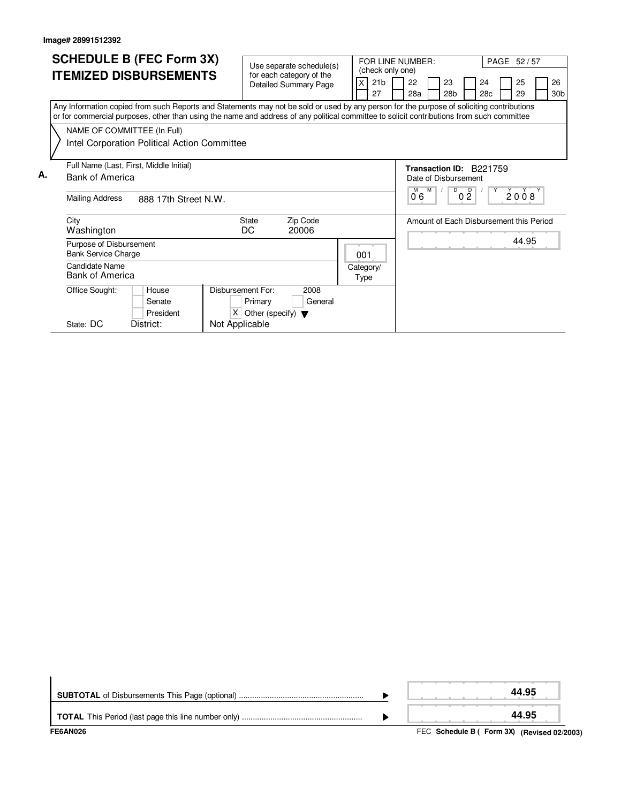|    |                        |                                                       | <b>SCHEDULE B (FEC Form 3X)</b>                                                                                                                                                                                                                                                        |                   |                                                      |       |          |                   | FOR LINE NUMBER:      |                         |          |                       |                                   |           | PAGE 52/57                              |                       |
|----|------------------------|-------------------------------------------------------|----------------------------------------------------------------------------------------------------------------------------------------------------------------------------------------------------------------------------------------------------------------------------------------|-------------------|------------------------------------------------------|-------|----------|-------------------|-----------------------|-------------------------|----------|-----------------------|-----------------------------------|-----------|-----------------------------------------|-----------------------|
|    |                        |                                                       | <b>ITEMIZED DISBURSEMENTS</b>                                                                                                                                                                                                                                                          |                   | Use separate schedule(s)<br>for each category of the |       |          |                   | (check only one)      |                         |          |                       |                                   |           |                                         |                       |
|    |                        |                                                       |                                                                                                                                                                                                                                                                                        |                   | <b>Detailed Summary Page</b>                         |       |          |                   | 21 <sub>b</sub><br>27 | 22<br>28a               |          | 23<br>28 <sub>b</sub> |                                   | 24<br>28c | 25<br>29                                | 26<br>30 <sub>b</sub> |
|    |                        |                                                       | Any Information copied from such Reports and Statements may not be sold or used by any person for the purpose of soliciting contributions<br>or for commercial purposes, other than using the name and address of any political committee to solicit contributions from such committee |                   |                                                      |       |          |                   |                       |                         |          |                       |                                   |           |                                         |                       |
|    |                        | NAME OF COMMITTEE (In Full)                           |                                                                                                                                                                                                                                                                                        |                   |                                                      |       |          |                   |                       |                         |          |                       |                                   |           |                                         |                       |
|    |                        |                                                       | Intel Corporation Political Action Committee                                                                                                                                                                                                                                           |                   |                                                      |       |          |                   |                       |                         |          |                       |                                   |           |                                         |                       |
|    |                        |                                                       | Full Name (Last, First, Middle Initial)                                                                                                                                                                                                                                                |                   |                                                      |       |          |                   |                       | Transaction ID: B221759 |          |                       |                                   |           |                                         |                       |
| А. | <b>Bank of America</b> |                                                       |                                                                                                                                                                                                                                                                                        |                   |                                                      |       |          |                   |                       | Date of Disbursement    |          |                       |                                   |           |                                         |                       |
|    |                        | Mailing Address                                       | 888 17th Street N.W.                                                                                                                                                                                                                                                                   |                   |                                                      |       |          |                   |                       | 06                      | <b>M</b> | D                     | $\overline{D}$<br>$0\overline{2}$ | Υ         | 2008                                    |                       |
|    |                        | City<br>Washington                                    |                                                                                                                                                                                                                                                                                        |                   | <b>State</b><br>DC                                   | 20006 | Zip Code |                   |                       |                         |          |                       |                                   |           | Amount of Each Disbursement this Period |                       |
|    |                        | Purpose of Disbursement<br><b>Bank Service Charge</b> |                                                                                                                                                                                                                                                                                        |                   |                                                      |       |          | 001               |                       |                         |          |                       |                                   |           | 44.95                                   |                       |
|    |                        | Candidate Name<br><b>Bank of America</b>              |                                                                                                                                                                                                                                                                                        |                   |                                                      |       |          | Category/<br>Type |                       |                         |          |                       |                                   |           |                                         |                       |
|    |                        | Office Sought:                                        | House                                                                                                                                                                                                                                                                                  | Disbursement For: |                                                      |       | 2008     |                   |                       |                         |          |                       |                                   |           |                                         |                       |
|    |                        |                                                       | Senate                                                                                                                                                                                                                                                                                 |                   | Primary                                              |       | General  |                   |                       |                         |          |                       |                                   |           |                                         |                       |
|    |                        | State: DC                                             | President<br>District:                                                                                                                                                                                                                                                                 | Not Applicable    | $X$ Other (specify) $\blacktriangledown$             |       |          |                   |                       |                         |          |                       |                                   |           |                                         |                       |
|    |                        |                                                       |                                                                                                                                                                                                                                                                                        |                   |                                                      |       |          |                   |                       |                         |          |                       |                                   |           |                                         |                       |

| <b>FE6AN026</b> | FEC Schedule B ( Form 3X) (Revised 02/2003) |
|-----------------|---------------------------------------------|
|                 | 44.95                                       |
|                 | 44.95                                       |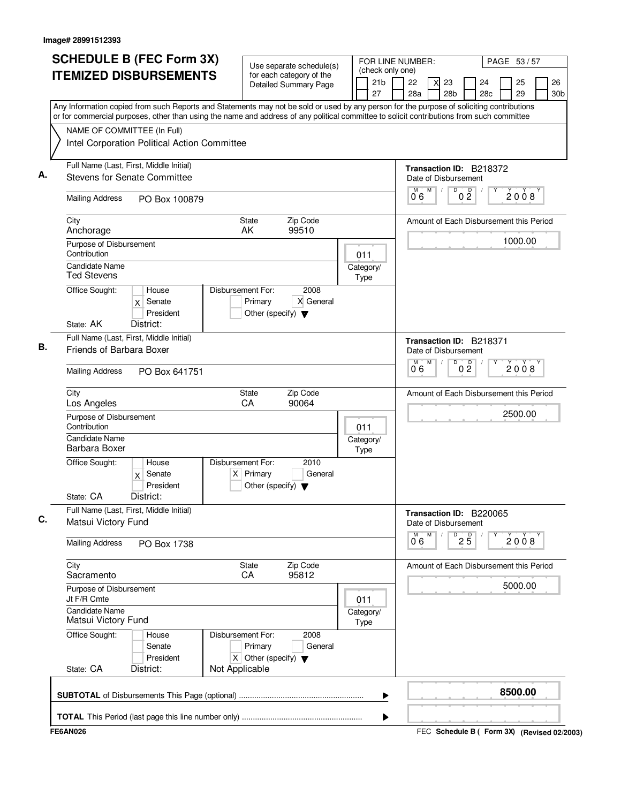|      |                                                                            | <b>SCHEDULE B (FEC Form 3X)</b><br><b>ITEMIZED DISBURSEMENTS</b>                                                                                                                                                                                                                                                                       |                                  | Use separate schedule(s)<br>for each category of the<br><b>Detailed Summary Page</b> |                          | FOR LINE NUMBER:<br>(check only one)<br>21 <sub>b</sub><br>27 | 22<br>28a                                                 | 23<br>28 <sub>b</sub> |                      | 24<br>28c                               | PAGE 53 / 57 | 25<br>29 | 26<br>30 <sub>b</sub> |
|------|----------------------------------------------------------------------------|----------------------------------------------------------------------------------------------------------------------------------------------------------------------------------------------------------------------------------------------------------------------------------------------------------------------------------------|----------------------------------|--------------------------------------------------------------------------------------|--------------------------|---------------------------------------------------------------|-----------------------------------------------------------|-----------------------|----------------------|-----------------------------------------|--------------|----------|-----------------------|
|      | NAME OF COMMITTEE (In Full)                                                | Any Information copied from such Reports and Statements may not be sold or used by any person for the purpose of soliciting contributions<br>or for commercial purposes, other than using the name and address of any political committee to solicit contributions from such committee<br>Intel Corporation Political Action Committee |                                  |                                                                                      |                          |                                                               |                                                           |                       |                      |                                         |              |          |                       |
| А.   |                                                                            | Full Name (Last, First, Middle Initial)<br><b>Stevens for Senate Committee</b>                                                                                                                                                                                                                                                         |                                  |                                                                                      |                          |                                                               | Transaction ID: B218372<br>Date of Disbursement<br>M<br>M |                       | D<br>$0\frac{D}{2}$  |                                         |              | 2008     |                       |
|      | <b>Mailing Address</b>                                                     | PO Box 100879                                                                                                                                                                                                                                                                                                                          |                                  |                                                                                      |                          |                                                               | 06                                                        |                       |                      |                                         |              |          |                       |
| City | Anchorage                                                                  |                                                                                                                                                                                                                                                                                                                                        | State<br>AK                      | Zip Code<br>99510                                                                    |                          |                                                               |                                                           |                       |                      | Amount of Each Disbursement this Period |              | 1000.00  |                       |
|      | Purpose of Disbursement<br>Contribution<br><b>Candidate Name</b>           |                                                                                                                                                                                                                                                                                                                                        |                                  |                                                                                      | 011<br>Category/         |                                                               |                                                           |                       |                      |                                         |              |          |                       |
|      | Ted Stevens<br>Office Sought:<br>State: AK                                 | House<br>Senate<br>X<br>President<br>District:                                                                                                                                                                                                                                                                                         | Disbursement For:<br>Primary     | 2008<br>X General<br>Other (specify) $\blacktriangledown$                            | Type                     |                                                               |                                                           |                       |                      |                                         |              |          |                       |
| В.   | Friends of Barbara Boxer                                                   | Full Name (Last, First, Middle Initial)                                                                                                                                                                                                                                                                                                |                                  |                                                                                      |                          |                                                               | Transaction ID: B218371<br>Date of Disbursement<br>M<br>M |                       | D                    |                                         |              |          |                       |
|      | <b>Mailing Address</b>                                                     | PO Box 641751                                                                                                                                                                                                                                                                                                                          |                                  |                                                                                      |                          |                                                               | 0.6                                                       |                       | 0 <sup>0</sup>       |                                         |              | 2008     |                       |
| City | Los Angeles                                                                |                                                                                                                                                                                                                                                                                                                                        | <b>State</b><br>CA               | Zip Code<br>90064                                                                    |                          |                                                               |                                                           |                       |                      | Amount of Each Disbursement this Period |              |          |                       |
|      | Purpose of Disbursement<br>Contribution<br>Candidate Name<br>Barbara Boxer |                                                                                                                                                                                                                                                                                                                                        |                                  |                                                                                      | 011<br>Category/<br>Type |                                                               |                                                           |                       |                      |                                         |              | 2500.00  |                       |
|      | Office Sought:<br>State: CA                                                | House<br>$x$ Senate<br>President<br>District:                                                                                                                                                                                                                                                                                          | Disbursement For:<br>$X$ Primary | 2010<br>General<br>Other (specify) $\blacktriangledown$                              |                          |                                                               |                                                           |                       |                      |                                         |              |          |                       |
|      | Matsui Victory Fund                                                        | Full Name (Last, First, Middle Initial)                                                                                                                                                                                                                                                                                                |                                  |                                                                                      |                          |                                                               | Transaction ID: B220065<br>Date of Disbursement           |                       |                      |                                         |              |          |                       |
|      | <b>Mailing Address</b>                                                     | PO Box 1738                                                                                                                                                                                                                                                                                                                            |                                  |                                                                                      |                          |                                                               | M<br>M<br>06                                              |                       | D<br>$2\overline{5}$ |                                         |              | 2008     |                       |
| City | Sacramento                                                                 |                                                                                                                                                                                                                                                                                                                                        | State<br>CA                      | Zip Code<br>95812                                                                    |                          |                                                               |                                                           |                       |                      | Amount of Each Disbursement this Period |              |          |                       |
|      | Purpose of Disbursement<br>Jt F/R Cmte                                     |                                                                                                                                                                                                                                                                                                                                        |                                  |                                                                                      | 011                      |                                                               |                                                           |                       |                      |                                         |              | 5000.00  |                       |
|      | <b>Candidate Name</b><br>Matsui Victory Fund                               |                                                                                                                                                                                                                                                                                                                                        |                                  |                                                                                      | Category/<br>Type        |                                                               |                                                           |                       |                      |                                         |              |          |                       |
|      | Office Sought:                                                             | House<br>Senate<br>President                                                                                                                                                                                                                                                                                                           | Disbursement For:<br>Primary     | 2008<br>General<br>X Other (specify) $\blacktriangledown$                            |                          |                                                               |                                                           |                       |                      |                                         |              |          |                       |
|      | State: CA                                                                  | District:                                                                                                                                                                                                                                                                                                                              | Not Applicable                   |                                                                                      |                          |                                                               |                                                           |                       |                      |                                         |              |          |                       |
|      |                                                                            |                                                                                                                                                                                                                                                                                                                                        |                                  |                                                                                      |                          | ▶                                                             |                                                           |                       |                      |                                         |              | 8500.00  |                       |

FEC **Schedule B ( ) Form 3X FE6AN026 (Revised 02/2003)**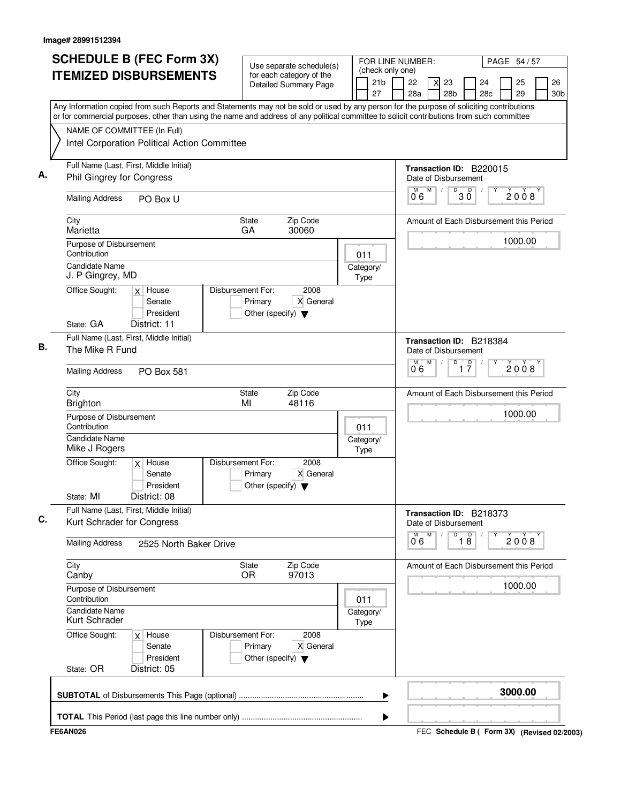| <b>ITEMIZED DISBURSEMENTS</b><br>Any Information copied from such Reports and Statements may not be sold or used by any person for the purpose of soliciting contributions<br>or for commercial purposes, other than using the name and address of any political committee to solicit contributions from such committee<br>NAME OF COMMITTEE (In Full)<br>Intel Corporation Political Action Committee<br>Full Name (Last, First, Middle Initial)<br><b>Phil Gingrey for Congress</b><br><b>Mailing Address</b><br>PO Box U<br>City<br>Marietta<br>Purpose of Disbursement<br>Contribution<br><b>Candidate Name</b><br>J. P Gingrey, MD<br>Office Sought:<br>Disbursement For:<br>$x$ House<br>Senate<br>President<br>State: GA<br>District: 11<br>Full Name (Last, First, Middle Initial)<br>The Mike R Fund<br><b>Mailing Address</b><br><b>PO Box 581</b><br>City<br><b>Brighton</b><br>Purpose of Disbursement | for each category of the<br><b>Detailed Summary Page</b><br>Zip Code<br><b>State</b><br>30060<br>GA<br>2008<br>X General<br>Primary<br>Other (specify) $\blacktriangledown$ | 21 <sub>b</sub><br>27<br>011<br>Category/<br>Type |   | 22<br>28a<br>Transaction ID: B220015<br>Date of Disbursement<br>M<br>M<br>06<br>Amount of Each Disbursement this Period | 23<br>28 <sub>b</sub><br>D | $30^{\circ}$                  | 24<br>28 <sub>c</sub> | 25<br>29<br>2008 | 26<br>30 <sub>b</sub> |
|--------------------------------------------------------------------------------------------------------------------------------------------------------------------------------------------------------------------------------------------------------------------------------------------------------------------------------------------------------------------------------------------------------------------------------------------------------------------------------------------------------------------------------------------------------------------------------------------------------------------------------------------------------------------------------------------------------------------------------------------------------------------------------------------------------------------------------------------------------------------------------------------------------------------|-----------------------------------------------------------------------------------------------------------------------------------------------------------------------------|---------------------------------------------------|---|-------------------------------------------------------------------------------------------------------------------------|----------------------------|-------------------------------|-----------------------|------------------|-----------------------|
|                                                                                                                                                                                                                                                                                                                                                                                                                                                                                                                                                                                                                                                                                                                                                                                                                                                                                                                    |                                                                                                                                                                             |                                                   |   |                                                                                                                         |                            |                               |                       |                  |                       |
|                                                                                                                                                                                                                                                                                                                                                                                                                                                                                                                                                                                                                                                                                                                                                                                                                                                                                                                    |                                                                                                                                                                             |                                                   |   |                                                                                                                         |                            |                               |                       |                  |                       |
|                                                                                                                                                                                                                                                                                                                                                                                                                                                                                                                                                                                                                                                                                                                                                                                                                                                                                                                    |                                                                                                                                                                             |                                                   |   |                                                                                                                         |                            |                               |                       |                  |                       |
|                                                                                                                                                                                                                                                                                                                                                                                                                                                                                                                                                                                                                                                                                                                                                                                                                                                                                                                    |                                                                                                                                                                             |                                                   |   |                                                                                                                         |                            |                               |                       |                  |                       |
|                                                                                                                                                                                                                                                                                                                                                                                                                                                                                                                                                                                                                                                                                                                                                                                                                                                                                                                    |                                                                                                                                                                             |                                                   |   |                                                                                                                         |                            |                               |                       |                  |                       |
|                                                                                                                                                                                                                                                                                                                                                                                                                                                                                                                                                                                                                                                                                                                                                                                                                                                                                                                    |                                                                                                                                                                             |                                                   |   |                                                                                                                         |                            |                               |                       |                  |                       |
|                                                                                                                                                                                                                                                                                                                                                                                                                                                                                                                                                                                                                                                                                                                                                                                                                                                                                                                    |                                                                                                                                                                             |                                                   |   |                                                                                                                         |                            |                               |                       |                  |                       |
|                                                                                                                                                                                                                                                                                                                                                                                                                                                                                                                                                                                                                                                                                                                                                                                                                                                                                                                    |                                                                                                                                                                             |                                                   |   |                                                                                                                         |                            |                               |                       | 1000.00          |                       |
|                                                                                                                                                                                                                                                                                                                                                                                                                                                                                                                                                                                                                                                                                                                                                                                                                                                                                                                    |                                                                                                                                                                             |                                                   |   |                                                                                                                         |                            |                               |                       |                  |                       |
|                                                                                                                                                                                                                                                                                                                                                                                                                                                                                                                                                                                                                                                                                                                                                                                                                                                                                                                    |                                                                                                                                                                             |                                                   |   |                                                                                                                         |                            |                               |                       |                  |                       |
|                                                                                                                                                                                                                                                                                                                                                                                                                                                                                                                                                                                                                                                                                                                                                                                                                                                                                                                    |                                                                                                                                                                             |                                                   |   |                                                                                                                         |                            |                               |                       |                  |                       |
|                                                                                                                                                                                                                                                                                                                                                                                                                                                                                                                                                                                                                                                                                                                                                                                                                                                                                                                    |                                                                                                                                                                             |                                                   |   | Transaction ID: B218384<br>Date of Disbursement                                                                         |                            |                               |                       |                  |                       |
|                                                                                                                                                                                                                                                                                                                                                                                                                                                                                                                                                                                                                                                                                                                                                                                                                                                                                                                    |                                                                                                                                                                             |                                                   |   | M<br>M<br>0.6                                                                                                           | $\overline{D}$             | $\overline{1}$ $\overline{7}$ |                       | 2008             |                       |
|                                                                                                                                                                                                                                                                                                                                                                                                                                                                                                                                                                                                                                                                                                                                                                                                                                                                                                                    | Zip Code<br><b>State</b><br>48116<br>MI                                                                                                                                     |                                                   |   | Amount of Each Disbursement this Period                                                                                 |                            |                               |                       |                  |                       |
| Contribution                                                                                                                                                                                                                                                                                                                                                                                                                                                                                                                                                                                                                                                                                                                                                                                                                                                                                                       |                                                                                                                                                                             | 011                                               |   |                                                                                                                         |                            |                               |                       | 1000.00          |                       |
| Candidate Name<br>Mike J Rogers                                                                                                                                                                                                                                                                                                                                                                                                                                                                                                                                                                                                                                                                                                                                                                                                                                                                                    |                                                                                                                                                                             | Category/<br>Type                                 |   |                                                                                                                         |                            |                               |                       |                  |                       |
| Office Sought:<br>Disbursement For:<br>$x$ House<br>Senate<br>President                                                                                                                                                                                                                                                                                                                                                                                                                                                                                                                                                                                                                                                                                                                                                                                                                                            | 2008<br>X General<br>Primary<br>Other (specify) $\blacktriangledown$                                                                                                        |                                                   |   |                                                                                                                         |                            |                               |                       |                  |                       |
| District: 08<br>State: MI                                                                                                                                                                                                                                                                                                                                                                                                                                                                                                                                                                                                                                                                                                                                                                                                                                                                                          |                                                                                                                                                                             |                                                   |   |                                                                                                                         |                            |                               |                       |                  |                       |
| Full Name (Last, First, Middle Initial)<br>Kurt Schrader for Congress                                                                                                                                                                                                                                                                                                                                                                                                                                                                                                                                                                                                                                                                                                                                                                                                                                              |                                                                                                                                                                             |                                                   |   | Transaction ID: B218373<br>Date of Disbursement                                                                         |                            |                               |                       |                  |                       |
| <b>Mailing Address</b><br>2525 North Baker Drive                                                                                                                                                                                                                                                                                                                                                                                                                                                                                                                                                                                                                                                                                                                                                                                                                                                                   |                                                                                                                                                                             |                                                   |   | M<br>M<br>06                                                                                                            | D                          | $\overline{18}$               |                       | 2008             |                       |
| City<br>Canby                                                                                                                                                                                                                                                                                                                                                                                                                                                                                                                                                                                                                                                                                                                                                                                                                                                                                                      | State<br>Zip Code<br>97013<br>OR.                                                                                                                                           |                                                   |   | Amount of Each Disbursement this Period                                                                                 |                            |                               |                       |                  |                       |
| Purpose of Disbursement<br>Contribution                                                                                                                                                                                                                                                                                                                                                                                                                                                                                                                                                                                                                                                                                                                                                                                                                                                                            |                                                                                                                                                                             | 011                                               |   |                                                                                                                         |                            |                               |                       | 1000.00          |                       |
| <b>Candidate Name</b><br>Kurt Schrader                                                                                                                                                                                                                                                                                                                                                                                                                                                                                                                                                                                                                                                                                                                                                                                                                                                                             |                                                                                                                                                                             | Category/<br>Type                                 |   |                                                                                                                         |                            |                               |                       |                  |                       |
| Office Sought:<br>Disbursement For:<br>$x$ House<br>Senate<br>President                                                                                                                                                                                                                                                                                                                                                                                                                                                                                                                                                                                                                                                                                                                                                                                                                                            | 2008<br>X General<br>Primary<br>Other (specify) $\blacktriangledown$                                                                                                        |                                                   |   |                                                                                                                         |                            |                               |                       |                  |                       |
| State: OR<br>District: 05                                                                                                                                                                                                                                                                                                                                                                                                                                                                                                                                                                                                                                                                                                                                                                                                                                                                                          |                                                                                                                                                                             |                                                   |   |                                                                                                                         |                            |                               |                       |                  |                       |
|                                                                                                                                                                                                                                                                                                                                                                                                                                                                                                                                                                                                                                                                                                                                                                                                                                                                                                                    |                                                                                                                                                                             |                                                   | ▶ |                                                                                                                         |                            |                               |                       | 3000.00          |                       |

FEC **Schedule B ( ) Form 3X FE6AN026 (Revised 02/2003)**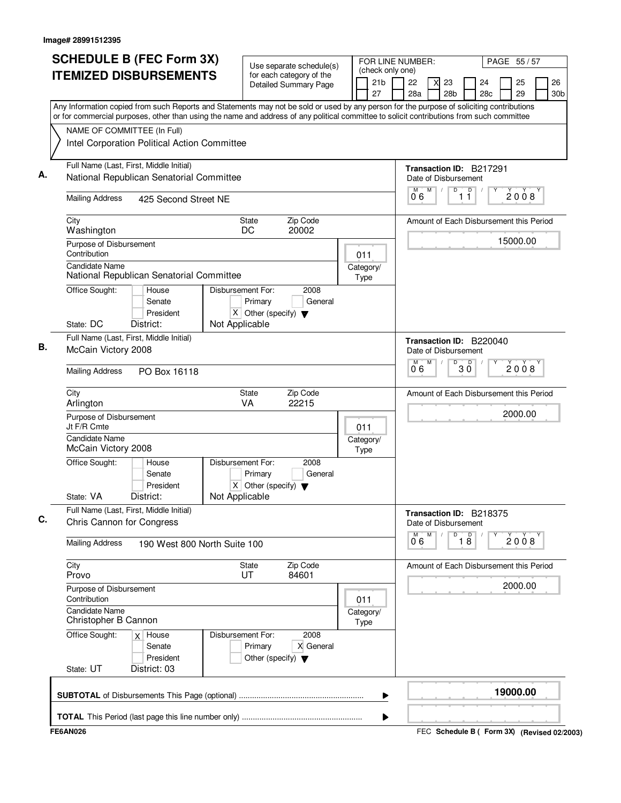| NAME OF COMMITTEE (In Full)<br>Intel Corporation Political Action Committee<br>Full Name (Last, First, Middle Initial) | <b>ITEMIZED DISBURSEMENTS</b><br>Any Information copied from such Reports and Statements may not be sold or used by any person for the purpose of soliciting contributions<br>or for commercial purposes, other than using the name and address of any political committee to solicit contributions from such committee |                   |                                                 | for each category of the<br><b>Detailed Summary Page</b> |                   | 21 <sub>b</sub> | 22                              |   | 23                   |                 | 24                                      |          |                       |
|------------------------------------------------------------------------------------------------------------------------|-------------------------------------------------------------------------------------------------------------------------------------------------------------------------------------------------------------------------------------------------------------------------------------------------------------------------|-------------------|-------------------------------------------------|----------------------------------------------------------|-------------------|-----------------|---------------------------------|---|----------------------|-----------------|-----------------------------------------|----------|-----------------------|
|                                                                                                                        |                                                                                                                                                                                                                                                                                                                         |                   |                                                 |                                                          |                   | 27              | 28a                             |   | 28b                  |                 | 28c                                     | 25<br>29 | 26<br>30 <sub>b</sub> |
|                                                                                                                        |                                                                                                                                                                                                                                                                                                                         |                   |                                                 |                                                          |                   |                 |                                 |   |                      |                 |                                         |          |                       |
|                                                                                                                        |                                                                                                                                                                                                                                                                                                                         |                   |                                                 |                                                          |                   |                 |                                 |   |                      |                 |                                         |          |                       |
|                                                                                                                        |                                                                                                                                                                                                                                                                                                                         |                   |                                                 |                                                          |                   |                 |                                 |   |                      |                 |                                         |          |                       |
|                                                                                                                        |                                                                                                                                                                                                                                                                                                                         |                   |                                                 |                                                          |                   |                 |                                 |   |                      |                 |                                         |          |                       |
|                                                                                                                        | National Republican Senatorial Committee                                                                                                                                                                                                                                                                                |                   |                                                 |                                                          |                   |                 |                                 |   | Date of Disbursement |                 | Transaction ID: B217291                 |          |                       |
|                                                                                                                        |                                                                                                                                                                                                                                                                                                                         |                   |                                                 |                                                          |                   |                 |                                 | M | D                    |                 |                                         |          |                       |
| <b>Mailing Address</b>                                                                                                 | 425 Second Street NE                                                                                                                                                                                                                                                                                                    |                   |                                                 |                                                          |                   |                 | 06                              |   |                      | $\overline{11}$ |                                         | 2008     |                       |
| City<br>Washington                                                                                                     |                                                                                                                                                                                                                                                                                                                         |                   | State<br>DC                                     | Zip Code<br>20002                                        |                   |                 |                                 |   |                      |                 | Amount of Each Disbursement this Period |          |                       |
| Purpose of Disbursement<br>Contribution                                                                                |                                                                                                                                                                                                                                                                                                                         |                   |                                                 |                                                          | 011               |                 |                                 |   |                      |                 |                                         | 15000.00 |                       |
| <b>Candidate Name</b>                                                                                                  | National Republican Senatorial Committee                                                                                                                                                                                                                                                                                |                   |                                                 |                                                          | Category/<br>Type |                 |                                 |   |                      |                 |                                         |          |                       |
| Office Sought:                                                                                                         | House                                                                                                                                                                                                                                                                                                                   | Disbursement For: |                                                 | 2008                                                     |                   |                 |                                 |   |                      |                 |                                         |          |                       |
|                                                                                                                        | Senate                                                                                                                                                                                                                                                                                                                  |                   | Primary                                         | General                                                  |                   |                 |                                 |   |                      |                 |                                         |          |                       |
| State: DC                                                                                                              | President<br>District:                                                                                                                                                                                                                                                                                                  | Not Applicable    | $X$ Other (specify) $\blacktriangledown$        |                                                          |                   |                 |                                 |   |                      |                 |                                         |          |                       |
| Full Name (Last, First, Middle Initial)                                                                                |                                                                                                                                                                                                                                                                                                                         |                   |                                                 |                                                          |                   |                 |                                 |   |                      |                 |                                         |          |                       |
| McCain Victory 2008                                                                                                    |                                                                                                                                                                                                                                                                                                                         |                   |                                                 |                                                          |                   |                 |                                 |   | Date of Disbursement |                 | Transaction ID: B220040                 |          |                       |
| <b>Mailing Address</b>                                                                                                 | PO Box 16118                                                                                                                                                                                                                                                                                                            |                   |                                                 |                                                          |                   |                 | $\overline{0}^{\overline{M}}$ 6 | M | D                    | $30^{\circ}$    |                                         | 2008     |                       |
| City<br>Arlington                                                                                                      |                                                                                                                                                                                                                                                                                                                         | VA                | State                                           | Zip Code<br>22215                                        |                   |                 |                                 |   |                      |                 | Amount of Each Disbursement this Period |          |                       |
| Purpose of Disbursement<br>Jt F/R Cmte                                                                                 |                                                                                                                                                                                                                                                                                                                         |                   |                                                 |                                                          | 011               |                 |                                 |   |                      |                 |                                         | 2000.00  |                       |
| Candidate Name<br>McCain Victory 2008                                                                                  |                                                                                                                                                                                                                                                                                                                         |                   |                                                 |                                                          | Category/<br>Type |                 |                                 |   |                      |                 |                                         |          |                       |
| Office Sought:                                                                                                         | House                                                                                                                                                                                                                                                                                                                   | Disbursement For: |                                                 | 2008                                                     |                   |                 |                                 |   |                      |                 |                                         |          |                       |
|                                                                                                                        | Senate                                                                                                                                                                                                                                                                                                                  |                   | Primary                                         | General                                                  |                   |                 |                                 |   |                      |                 |                                         |          |                       |
|                                                                                                                        | President                                                                                                                                                                                                                                                                                                               |                   | $X$ Other (specify) $\nabla$                    |                                                          |                   |                 |                                 |   |                      |                 |                                         |          |                       |
| State: VA                                                                                                              | District:                                                                                                                                                                                                                                                                                                               | Not Applicable    |                                                 |                                                          |                   |                 |                                 |   |                      |                 |                                         |          |                       |
| Full Name (Last, First, Middle Initial)<br>Chris Cannon for Congress                                                   |                                                                                                                                                                                                                                                                                                                         |                   |                                                 |                                                          |                   |                 |                                 |   | Date of Disbursement |                 | Transaction ID: B218375                 |          |                       |
| <b>Mailing Address</b>                                                                                                 | 190 West 800 North Suite 100                                                                                                                                                                                                                                                                                            |                   |                                                 |                                                          |                   |                 | М<br>06                         | M | D                    | 18              | D                                       | 2008     |                       |
| City<br>Provo                                                                                                          |                                                                                                                                                                                                                                                                                                                         |                   | <b>State</b><br>UT                              | Zip Code<br>84601                                        |                   |                 |                                 |   |                      |                 | Amount of Each Disbursement this Period |          |                       |
| Purpose of Disbursement<br>Contribution                                                                                |                                                                                                                                                                                                                                                                                                                         |                   |                                                 |                                                          | 011               |                 |                                 |   |                      |                 |                                         | 2000.00  |                       |
| <b>Candidate Name</b><br>Christopher B Cannon                                                                          |                                                                                                                                                                                                                                                                                                                         |                   |                                                 |                                                          | Category/<br>Type |                 |                                 |   |                      |                 |                                         |          |                       |
| Office Sought:                                                                                                         | $x$ House<br>Senate<br>President                                                                                                                                                                                                                                                                                        | Disbursement For: | Primary<br>Other (specify) $\blacktriangledown$ | 2008<br>X General                                        |                   |                 |                                 |   |                      |                 |                                         |          |                       |
| State: UT                                                                                                              | District: 03                                                                                                                                                                                                                                                                                                            |                   |                                                 |                                                          |                   |                 |                                 |   |                      |                 |                                         |          |                       |
|                                                                                                                        |                                                                                                                                                                                                                                                                                                                         |                   |                                                 |                                                          |                   | ▶               |                                 |   |                      |                 |                                         | 19000.00 |                       |

FEC **Schedule B ( ) Form 3X FE6AN026 (Revised 02/2003)**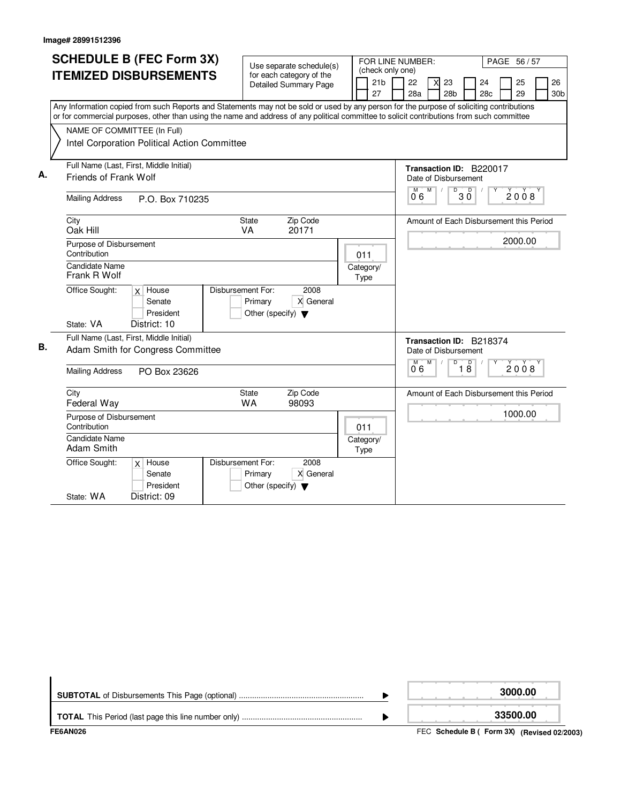|    | <b>SCHEDULE B (FEC Form 3X)</b>                                                                                                           |                                                      |                   | FOR LINE NUMBER:<br>PAGE 56 / 57                                            |
|----|-------------------------------------------------------------------------------------------------------------------------------------------|------------------------------------------------------|-------------------|-----------------------------------------------------------------------------|
|    | <b>ITEMIZED DISBURSEMENTS</b>                                                                                                             | Use separate schedule(s)<br>for each category of the | (check only one)  |                                                                             |
|    |                                                                                                                                           | <b>Detailed Summary Page</b>                         | 21 <sub>b</sub>   | 22<br>24<br>25<br>26<br>23<br>X                                             |
|    |                                                                                                                                           |                                                      | 27                | 28 <sub>b</sub><br>29<br>28a<br>28c<br>30 <sub>b</sub>                      |
|    | Any Information copied from such Reports and Statements may not be sold or used by any person for the purpose of soliciting contributions |                                                      |                   |                                                                             |
|    | or for commercial purposes, other than using the name and address of any political committee to solicit contributions from such committee |                                                      |                   |                                                                             |
|    | NAME OF COMMITTEE (In Full)                                                                                                               |                                                      |                   |                                                                             |
|    | Intel Corporation Political Action Committee                                                                                              |                                                      |                   |                                                                             |
|    | Full Name (Last, First, Middle Initial)                                                                                                   |                                                      |                   |                                                                             |
| А. | Friends of Frank Wolf                                                                                                                     |                                                      |                   | Transaction ID: B220017<br>Date of Disbursement                             |
|    |                                                                                                                                           |                                                      |                   | M<br>D<br>$\Box$                                                            |
|    | <b>Mailing Address</b><br>P.O. Box 710235                                                                                                 |                                                      |                   | 2008<br>ЗŎ<br>06                                                            |
|    | City                                                                                                                                      | Zip Code<br><b>State</b>                             |                   | Amount of Each Disbursement this Period                                     |
|    | Oak Hill                                                                                                                                  | <b>VA</b><br>20171                                   |                   |                                                                             |
|    | Purpose of Disbursement                                                                                                                   |                                                      |                   | 2000.00                                                                     |
|    | Contribution                                                                                                                              |                                                      | 011               |                                                                             |
|    | <b>Candidate Name</b><br>Frank R Wolf                                                                                                     |                                                      | Category/<br>Type |                                                                             |
|    | Office Sought:<br>$x$ House                                                                                                               | Disbursement For:<br>2008                            |                   |                                                                             |
|    | Senate                                                                                                                                    | X General<br>Primary                                 |                   |                                                                             |
|    | President                                                                                                                                 | Other (specify) $\blacktriangledown$                 |                   |                                                                             |
|    | State: VA<br>District: 10                                                                                                                 |                                                      |                   |                                                                             |
| В. | Full Name (Last, First, Middle Initial)                                                                                                   |                                                      |                   | Transaction ID: B218374                                                     |
|    | Adam Smith for Congress Committee                                                                                                         |                                                      |                   | Date of Disbursement                                                        |
|    | <b>Mailing Address</b><br>PO Box 23626                                                                                                    |                                                      |                   | $\overline{D}$<br>D<br>M<br>M<br>$\check{2}0\check{0}8$<br>$1\bar{8}$<br>06 |
|    | City                                                                                                                                      | Zip Code<br><b>State</b>                             |                   | Amount of Each Disbursement this Period                                     |
|    | Federal Way                                                                                                                               | 98093<br>WA                                          |                   |                                                                             |
|    | Purpose of Disbursement<br>Contribution                                                                                                   |                                                      | 011               | 1000.00                                                                     |
|    | <b>Candidate Name</b><br>Adam Smith                                                                                                       |                                                      | Category/<br>Type |                                                                             |
|    | Office Sought:<br>$x$ House                                                                                                               | Disbursement For:<br>2008                            |                   |                                                                             |
|    | Senate                                                                                                                                    | X General<br>Primary                                 |                   |                                                                             |
|    | President                                                                                                                                 | Other (specify) $\blacktriangledown$                 |                   |                                                                             |
|    | District: 09<br>State: WA                                                                                                                 |                                                      |                   |                                                                             |

| FE6AN026 | FEC Schedule B ( Form 3X) (Revised 02/2003) |
|----------|---------------------------------------------|
|          | 33500.00                                    |
|          | 3000.00                                     |